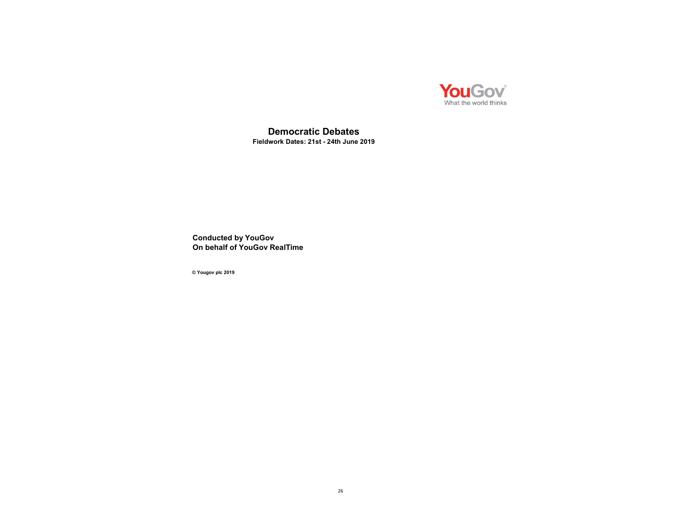

Democratic Debates Fieldwork Dates: 21st - 24th June 2019

Conducted by YouGov On behalf of YouGov RealTime

© Yougov plc 2019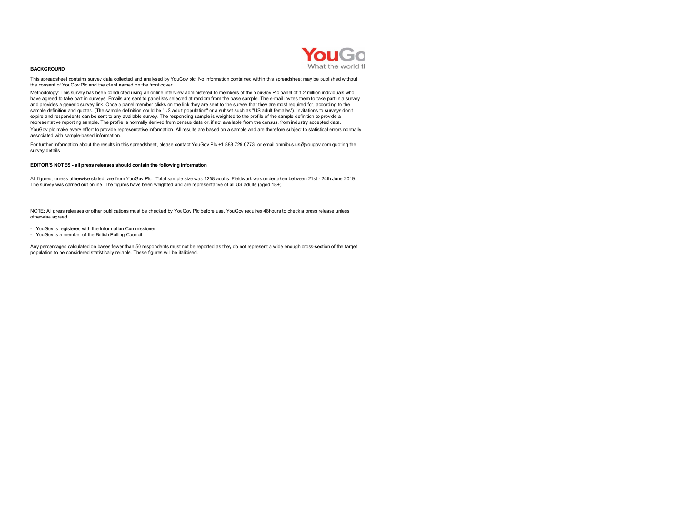

#### BACKGROUND

This spreadsheet contains survey data collected and analysed by YouGov plc. No information contained within this spreadsheet may be published without the consent of YouGov Plc and the client named on the front cover.

Methodology: This survey has been conducted using an online interview administered to members of the YouGov Plc panel of 1.2 million individuals who have agreed to take part in surveys. Emails are sent to panellists selected at random from the base sample. The e-mail invites them to take part in a survey and provides a generic survey link. Once a panel member clicks on the link they are sent to the survey that they are most required for, according to the sample definition and quotas. (The sample definition could be "US adult population" or a subset such as "US adult females"). Invitations to surveys don't expire and respondents can be sent to any available survey. The responding sample is weighted to the profile of the sample definition to provide a representative reporting sample. The profile is normally derived from census data or, if not available from the census, from industry accepted data. YouGov plc make every effort to provide representative information. All results are based on a sample and are therefore subject to statistical errors normally associated with sample-based information.

For further information about the results in this spreadsheet, please contact YouGov Plc +1 888.729.0773 or email omnibus.us@yougov.com quoting the survey details

#### EDITOR'S NOTES - all press releases should contain the following information

All figures, unless otherwise stated, are from YouGov Plc. Total sample size was 1258 adults. Fieldwork was undertaken between 21st - 24th June 2019. The survey was carried out online. The figures have been weighted and are representative of all US adults (aged 18+).

NOTE: All press releases or other publications must be checked by YouGov Plc before use. YouGov requires 48hours to check a press release unless otherwise agreed.

- YouGov is registered with the Information Commissioner
- YouGov is a member of the British Polling Council

Any percentages calculated on bases fewer than 50 respondents must not be reported as they do not represent a wide enough cross-section of the target population to be considered statistically reliable. These figures will be italicised.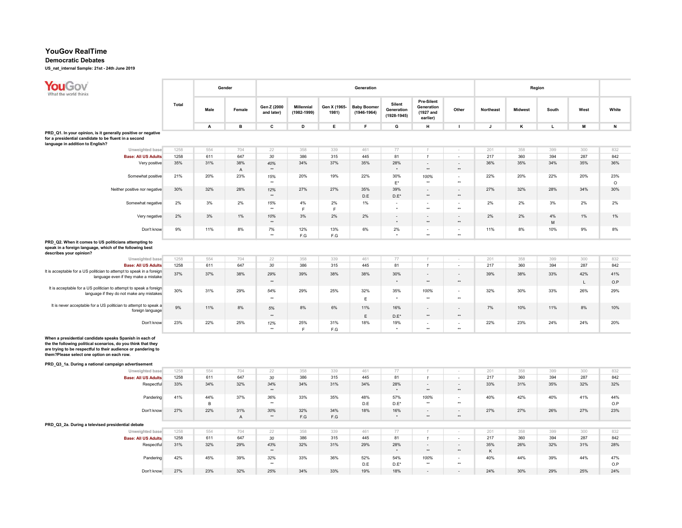## Democratic Debates

| YouGov<br>What the world thinks                                                                                                                                                                                                                                                                |              |               | Gender                |                           |                                  |                                | Generation                            |                                         |                                                          |                           |              | Region         |         |           |                |
|------------------------------------------------------------------------------------------------------------------------------------------------------------------------------------------------------------------------------------------------------------------------------------------------|--------------|---------------|-----------------------|---------------------------|----------------------------------|--------------------------------|---------------------------------------|-----------------------------------------|----------------------------------------------------------|---------------------------|--------------|----------------|---------|-----------|----------------|
|                                                                                                                                                                                                                                                                                                | <b>Total</b> | Male          | Female                | Gen Z (2000<br>and later) | <b>Millennial</b><br>(1982-1999) | Gen X (1965-<br>1981)          | <b>Baby Boomer</b><br>$(1946 - 1964)$ | Silent<br>Generation<br>$(1928 - 1945)$ | <b>Pre-Silent</b><br>Generation<br>(1927 and<br>earlier) | Other                     | Northeast    | <b>Midwest</b> | South   | West      | White          |
|                                                                                                                                                                                                                                                                                                |              | Α             | в                     | c                         | D                                | E                              | F                                     | G                                       | н                                                        | $\mathbf{I}$              | $\mathsf{J}$ | κ              | L.      | M         | N              |
| PRD_Q1. In your opinion, is it generally positive or negative<br>for a presidential candidate to be fluent in a second<br>language in addition to English?                                                                                                                                     |              |               |                       |                           |                                  |                                |                                       |                                         |                                                          |                           |              |                |         |           |                |
| Unweighted base                                                                                                                                                                                                                                                                                | 1258         | 554           | 704                   | 22                        | 358                              | 339                            | 461                                   | 77                                      | $\mathcal I$                                             | ×.                        | 201          | 358            | 399     | 300       | 832            |
| <b>Base: All US Adults</b>                                                                                                                                                                                                                                                                     | 1258         | 611           | 647                   | 30                        | 386                              | 315                            | 445                                   | 81                                      | $\mathbf{1}$                                             | $\bar{z}$                 | 217          | 360            | 394     | 287       | 842            |
| Very positive                                                                                                                                                                                                                                                                                  | 35%          | 31%           | 38%<br>$\mathsf{A}$   | 40%<br>$**$               | 34%                              | 37%                            | 35%                                   | 28%                                     | $\blacksquare$<br>$\star\star$                           | $\sim$<br>$^{\star\star}$ | 36%          | 35%            | 34%     | 35%       | 36%            |
| Somewhat positive                                                                                                                                                                                                                                                                              | 21%          | 20%           | 23%                   | 15%<br>$\star\star$       | 20%                              | 19%                            | 22%                                   | 30%<br>$\mathsf{E}^\star$               | 100%<br>$\star\star$                                     | $\sim$<br>$\star\star$    | 22%          | 20%            | 22%     | 20%       | 23%<br>$\circ$ |
| Neither positive nor negative                                                                                                                                                                                                                                                                  | 30%          | 32%           | 28%                   | 12%<br>$\star\star$       | 27%                              | 27%                            | 35%<br>D.E                            | 39%<br>$D.E^*$                          | $\blacksquare$<br>$\star\star$                           | $\sim$<br>$\star\star$    | 27%          | 32%            | 28%     | 34%       | 30%            |
| Somewhat negative                                                                                                                                                                                                                                                                              | 2%           | 3%            | 2%                    | 15%<br>$^{\star\star}$    | 4%<br>$\mathsf F$                | 2%<br>F                        | 1%                                    | $\overline{\phantom{a}}$<br>$\star$     | $\sim$<br>$\star\star$                                   | $\sim$<br>$\star\star$    | 2%           | 2%             | 3%      | 2%        | 2%             |
| Very negative                                                                                                                                                                                                                                                                                  | 2%           | 3%            | 1%                    | 10%<br>$\star\star$       | 3%                               | 2%                             | 2%                                    | $\sim$<br>$\star$                       | $\star\star$                                             | $\sim$<br>$^{\star\star}$ | 2%           | 2%             | 4%<br>M | 1%        | 1%             |
| Don't know                                                                                                                                                                                                                                                                                     | 9%           | 11%           | 8%                    | 7%<br>$\star\star$        | 12%<br>F.G                       | 13%<br>F.G                     | 6%                                    | 2%<br>$\ddot{\phantom{1}}$              | $\blacksquare$<br>$\star\star$                           | $\sim$<br>$\star\star$    | 11%          | 8%             | 10%     | 9%        | 8%             |
| PRD_Q2. When it comes to US politicians attempting to<br>speak in a foreign language, which of the following best<br>describes your opinion?                                                                                                                                                   |              |               |                       |                           |                                  |                                |                                       |                                         |                                                          |                           |              |                |         |           |                |
| Unweighted base                                                                                                                                                                                                                                                                                | 1258         | 554           | 704                   | 22                        | 358                              | 339                            | 461                                   | 77                                      | $\mathcal I$                                             |                           | 201          | 358            | 399     | 300       | 832            |
| <b>Base: All US Adults</b>                                                                                                                                                                                                                                                                     | 1258         | 611           | 647                   | 30                        | 386                              | 315                            | 445                                   | 81                                      | $\mathbf{1}$                                             | $\sim$                    | 217          | 360            | 394     | 287       | 842            |
| It is acceptable for a US politician to attempt to speak in a foreign<br>language even if they make a mistake                                                                                                                                                                                  | 37%          | 37%           | 38%                   | 29%<br>$^{\star\star}$    | 39%                              | 38%                            | 38%                                   | 30%<br>$^\star$                         | ÷,<br>$^{\star\star}$                                    | ä,<br>$^{\star\star}$     | 39%          | 38%            | 33%     | 42%<br>т. | 41%<br>O.P     |
| It is acceptable for a US politician to attempt to speak a foreign<br>language if they do not make any mistakes                                                                                                                                                                                | 30%          | 31%           | 29%                   | 54%<br>$\star\star$       | 29%                              | 25%                            | 32%<br>E                              | 35%<br>$\star$                          | 100%<br>$\star\star$                                     | $\sim$<br>$\star\star$    | 32%          | 30%            | 33%     | 26%       | 29%            |
| It is never acceptable for a US politician to attempt to speak a<br>foreign language                                                                                                                                                                                                           | 9%           | 11%           | 8%                    | 5%<br>$\star$             | 8%                               | 6%                             | 11%                                   | 16%                                     | $\overline{\phantom{a}}$<br>$\star\star$                 | $\sim$<br>$\star\star$    | 7%           | 10%            | 11%     | 8%        | 10%            |
| Don't know                                                                                                                                                                                                                                                                                     | 23%          | 22%           | 25%                   | 12%<br>$\star\star$       | 25%<br>$\mathsf F$               | 31%<br>$\mathsf{F}.\mathsf{G}$ | Ε<br>18%                              | $D.E^*$<br>19%                          | $\sim$<br>$\star\star$                                   | $\sim$<br>$\star\star$    | 22%          | 23%            | 24%     | 24%       | 20%            |
| When a presidential candidate speaks Spanish in each of<br>the the following political scenarios, do you think that they<br>are trying to be respectful to their audience or pandering to<br>them?Please select one option on each row.<br>PRD_Q3_1a. During a national campaign advertisement |              |               |                       |                           |                                  |                                |                                       |                                         |                                                          |                           |              |                |         |           |                |
| Unweighted base                                                                                                                                                                                                                                                                                | 1258         | 554           | 704                   | 22                        | 358                              | 339                            | 461                                   | 77                                      |                                                          | $\sim$                    | 201          | 358            | 399     | 300       | 832            |
| <b>Base: All US Adults</b>                                                                                                                                                                                                                                                                     | 1258         | 611           | 647                   | 30                        | 386                              | 315                            | 445                                   | 81                                      | $\mathbf{1}$                                             | $\sim$                    | 217          | 360            | 394     | 287       | 842            |
| Respectful                                                                                                                                                                                                                                                                                     | 33%          | 34%           | 32%                   | 34%<br>$\star\star$       | 34%                              | 31%                            | 34%                                   | 28%                                     | $\sim$<br>$\star\star$                                   | $\sim$<br>$\star\star$    | 33%          | 31%            | 35%     | 32%       | 32%            |
| Pandering                                                                                                                                                                                                                                                                                      | 41%          | 44%<br>$\,$ B | 37%                   | 36%<br>$\star$            | 33%                              | 35%                            | 48%<br>D.E                            | 57%<br>$D.E^*$                          | 100%<br>$\star\star$                                     | $\sim$<br>$\star\star$    | 40%          | 42%            | 40%     | 41%       | 44%<br>O.P     |
| Don't know                                                                                                                                                                                                                                                                                     | 27%          | 22%           | 31%<br>$\overline{A}$ | 30%<br>$^{\star\star}$    | 32%<br>F.G                       | 34%<br>F.G                     | 18%                                   | 16%<br>$\star$                          | $\star\star$                                             | $\sim$<br>$^{\star\star}$ | 27%          | 27%            | 26%     | 27%       | 23%            |
| PRD_Q3_2a. During a televised presidential debate                                                                                                                                                                                                                                              |              |               |                       |                           |                                  |                                |                                       |                                         |                                                          |                           |              |                |         |           |                |
| Unweighted base                                                                                                                                                                                                                                                                                | 1258         | 554           | 704                   | 22                        | 358                              | 339                            | 461                                   | 77                                      | $\mathcal I$                                             | $\sim$                    | 201          | 358            | 399     | 300       | 832            |
| <b>Base: All US Adults</b>                                                                                                                                                                                                                                                                     | 1258         | 611           | 647                   | 30                        | 386                              | 315                            | 445                                   | 81                                      | $\mathbf{1}$                                             | $\sim$                    | 217          | 360            | 394     | 287       | 842            |
| Respectful                                                                                                                                                                                                                                                                                     | 31%          | 32%           | 29%                   | 43%<br>$\star\star$       | 32%                              | 31%                            | 29%                                   | 28%<br>$\star$                          | $\blacksquare$<br>$\star\star$                           | $\sim$<br>$^{\star\star}$ | 35%<br>K     | 26%            | 32%     | 31%       | 28%            |
| Pandering                                                                                                                                                                                                                                                                                      | 42%          | 45%           | 39%                   | 32%<br>$\star\star$       | 33%                              | 36%                            | 52%<br>D.E                            | 54%<br>$D.E^*$                          | 100%<br>$\star\star$                                     | $\sim$<br>$\star\star$    | 40%          | 44%            | 39%     | 44%       | 47%<br>O.P     |
| Don't know                                                                                                                                                                                                                                                                                     | 27%          | 23%           | 32%                   | 25%                       | 34%                              | 33%                            | 19%                                   | 18%                                     |                                                          |                           | 24%          | 30%            | 29%     | 25%       | 24%            |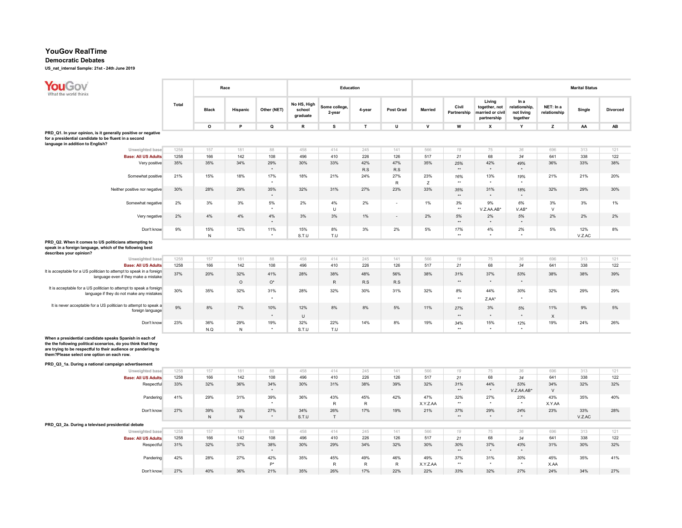## Democratic Debates

| YouGov<br>What the world thinks                                                                                                                                                                                                         |              |                  | Race             |                             |                                   | Education               |                     |                          |                 |                           |                                                            |                                                 |                           | <b>Marital Status</b> |                        |
|-----------------------------------------------------------------------------------------------------------------------------------------------------------------------------------------------------------------------------------------|--------------|------------------|------------------|-----------------------------|-----------------------------------|-------------------------|---------------------|--------------------------|-----------------|---------------------------|------------------------------------------------------------|-------------------------------------------------|---------------------------|-----------------------|------------------------|
|                                                                                                                                                                                                                                         | <b>Total</b> | <b>Black</b>     | Hispanic         | Other (NET)                 | No HS, High<br>school<br>graduate | Some college,<br>2-year | 4-year              | Post Grad                | <b>Married</b>  | Civil<br>Partnership      | Living<br>together, not<br>married or civil<br>partnership | In a<br>relationship,<br>not living<br>together | NET: In a<br>relationship | Single                | Divorced               |
|                                                                                                                                                                                                                                         |              | $\circ$          | P                | Q                           | R                                 | s                       | $\mathsf T$         | U                        | $\mathbf{v}$    | W                         | x                                                          | Y                                               | z                         | AA                    | $\mathsf{A}\mathsf{B}$ |
| PRD_Q1. In your opinion, is it generally positive or negative<br>for a presidential candidate to be fluent in a second<br>language in addition to English?                                                                              |              |                  |                  |                             |                                   |                         |                     |                          |                 |                           |                                                            |                                                 |                           |                       |                        |
| Unweighted base                                                                                                                                                                                                                         | 1258         | 157              | 181              | 88                          | 458                               | 414                     | 245                 | 141                      | 566             | 19                        | 75                                                         | 36                                              | 696                       | 313                   | 121                    |
| <b>Base: All US Adults</b>                                                                                                                                                                                                              | 1258         | 166              | 142              | 108                         | 496                               | 410                     | 226                 | 126                      | 517             | 21                        | 68                                                         | 34                                              | 641                       | 338                   | 122                    |
| Very positive                                                                                                                                                                                                                           | 35%          | 35%              | 34%              | 29%<br>$\star$              | 30%                               | 33%                     | 42%<br>R.S          | 47%<br>R.S               | 35%             | 25%<br>$\star\star$       | 42%<br>$\star$                                             | 49%                                             | 36%                       | 33%                   | 38%                    |
| Somewhat positive                                                                                                                                                                                                                       | 21%          | 15%              | 18%              | 17%                         | 18%                               | 21%                     | 24%                 | 27%<br>$\mathsf{R}$      | 23%<br>Z        | 16%<br>$\star\star$       | 13%                                                        | 19%<br>$\star$                                  | 21%                       | 21%                   | 20%                    |
| Neither positive nor negative                                                                                                                                                                                                           | 30%          | 28%              | 29%              | 35%                         | 32%                               | 31%                     | 27%                 | 23%                      | 33%             | 35%<br>$\star\star$       | 31%                                                        | 18%                                             | 32%                       | 29%                   | 30%                    |
| Somewhat negative                                                                                                                                                                                                                       | 2%           | 3%               | 3%               | 5%<br>$\Delta$              | 2%                                | 4%<br>$\cup$            | 2%                  | $\overline{\phantom{a}}$ | 1%              | 3%<br>$^{\star\star}$     | 9%<br>V.Z.AA.AB*                                           | 6%<br>$V. AB*$                                  | 3%<br>$\vee$              | 3%                    | 1%                     |
| Very negative                                                                                                                                                                                                                           | 2%           | 4%               | 4%               | 4%<br>$\star$               | 3%                                | 3%                      | 1%                  |                          | 2%              | 5%<br>$\star\star$        | 2%<br>$\ddot{\phantom{1}}$                                 | $5%$<br>$\star$                                 | 2%                        | 2%                    | 2%                     |
| Don't know                                                                                                                                                                                                                              | 9%           | 15%<br>${\sf N}$ | 12%              | 11%<br>$\ddot{\phantom{1}}$ | 15%<br>S.T.U                      | 8%<br>T.U               | 3%                  | 2%                       | 5%              | 17%<br>$\rightarrow$      | 4%<br>٠                                                    | 2%                                              | 5%                        | 12%<br>V.Z.AC         | 8%                     |
| PRD_Q2. When it comes to US politicians attempting to<br>speak in a foreign language, which of the following best<br>describes your opinion?                                                                                            |              |                  |                  |                             |                                   |                         |                     |                          |                 |                           |                                                            |                                                 |                           |                       |                        |
| Unweighted base                                                                                                                                                                                                                         | 1258         | 157              | 181              | 88                          | 458                               | 414                     | 245                 | 141                      | 566             | 19                        | 75                                                         | 36                                              | 696                       | 313                   | 121                    |
| <b>Base: All US Adults</b>                                                                                                                                                                                                              | 1258         | 166              | 142              | 108                         | 496                               | 410                     | 226                 | 126                      | 517             | 21                        | 68                                                         | 34                                              | 641                       | 338                   | 122                    |
| It is acceptable for a US politician to attempt to speak in a foreign<br>language even if they make a mistake                                                                                                                           | 37%          | 20%              | 32%<br>$\circ$   | 41%<br>$O^*$                | 28%                               | 38%<br>$\mathsf{R}$     | 48%<br>R.S          | 56%<br>R.S               | 38%             | 31%<br>$\star\star$       | 37%<br>$^\star$                                            | 53%<br>$\star$                                  | 38%                       | 38%                   | 39%                    |
| It is acceptable for a US politician to attempt to speak a foreign<br>language if they do not make any mistakes                                                                                                                         | 30%          | 35%              | 32%              | 31%<br>$^\star$             | 28%                               | 32%                     | 30%                 | 31%                      | 32%             | 8%<br>$\star\star$        | 44%<br>$Z.AA*$                                             | 30%<br>$^\star$                                 | 32%                       | 29%                   | 29%                    |
| It is never acceptable for a US politician to attempt to speak a<br>foreign language                                                                                                                                                    | 9%           | $8\%$            | 7%               | 10%<br>$\star$              | 12%<br>$\cup$                     | 8%                      | 8%                  | 5%                       | 11%             | 27%<br>$\star\star$       | 3%<br>٠                                                    | $5%$                                            | 11%<br>X                  | 9%                    | 5%                     |
| Don't know                                                                                                                                                                                                                              | 23%          | 36%<br>N.Q       | 29%<br>${\sf N}$ | 19%<br>$^\star$             | 32%<br>S.T.U                      | 22%<br>$T.U$            | 14%                 | 8%                       | 19%             | 34%<br>$\star\star$       | 15%<br>$\Delta$                                            | 12%                                             | 19%                       | 24%                   | 26%                    |
| When a presidential candidate speaks Spanish in each of<br>the the following political scenarios, do you think that they<br>are trying to be respectful to their audience or pandering to<br>them?Please select one option on each row. |              |                  |                  |                             |                                   |                         |                     |                          |                 |                           |                                                            |                                                 |                           |                       |                        |
| PRD_Q3_1a. During a national campaign advertisement                                                                                                                                                                                     |              |                  |                  |                             |                                   |                         |                     |                          |                 |                           |                                                            |                                                 |                           |                       |                        |
| Unweighted base                                                                                                                                                                                                                         | 1258         | 157              | 181              | 88                          | 458                               | 414                     | 245                 | 141                      | 566             | 19                        | 75                                                         | 36<br>34                                        | 696                       | 313<br>338            | 121<br>122             |
| <b>Base: All US Adults</b><br>Respectful                                                                                                                                                                                                | 1258<br>33%  | 166<br>32%       | 142<br>36%       | 108<br>34%<br>$\star$       | 496<br>30%                        | 410<br>31%              | 226<br>38%          | 126<br>39%               | 517<br>32%      | 21<br>31%<br>$\star\star$ | 68<br>44%<br>$\star$                                       | 53%<br>V.Z.AA.AB*                               | 641<br>34%<br>$\vee$      | 32%                   | 32%                    |
| Pandering                                                                                                                                                                                                                               | 41%          | 29%              | 31%              | 39%<br>$\cdot$              | 36%                               | 43%<br>$\mathsf{R}$     | 45%<br>$\mathsf{R}$ | 42%                      | 47%<br>X.Y.Z.AA | 32%<br>$+ +$              | 27%<br>$\bullet$                                           | 23%                                             | 43%<br>X.Y.AA             | 35%                   | 40%                    |
| Don't know                                                                                                                                                                                                                              | 27%          | 39%<br>N         | 33%<br>N         | 27%<br>$\star$              | 34%<br>S.T.U                      | 26%<br>T                | 17%                 | 19%                      | 21%             | 37%<br>$**$               | 29%<br>$\star$                                             | 24%<br>$\star$                                  | 23%                       | 33%<br>V.Z.AC         | 28%                    |
| PRD_Q3_2a. During a televised presidential debate                                                                                                                                                                                       |              |                  |                  |                             |                                   |                         |                     |                          |                 |                           |                                                            |                                                 |                           |                       |                        |
| Unweighted base                                                                                                                                                                                                                         | 1258         | 157              | 181              | 88                          | 458                               | 414                     | 245                 | 141                      | 566             | 19                        | 75                                                         | 36                                              | 696                       | 313                   | 121                    |
| <b>Base: All US Adults</b>                                                                                                                                                                                                              | 1258         | 166              | 142              | 108                         | 496                               | 410                     | 226                 | 126                      | 517             | 21                        | 68                                                         | 34                                              | 641                       | 338                   | 122                    |
| Respectful                                                                                                                                                                                                                              | 31%          | 32%              | 37%              | 38%<br>$^\star$             | 30%                               | 29%                     | 34%                 | 32%                      | 30%             | 30%<br>$^{\star\star}$    | 37%<br>$\star$                                             | 43%<br>$\star$                                  | 31%                       | 30%                   | 32%                    |
| Pandering                                                                                                                                                                                                                               | 42%          | 28%              | 27%              | 42%<br>$P^*$                | 35%                               | 45%<br>${\sf R}$        | 49%<br>$\sf R$      | 46%<br>$\mathsf R$       | 49%<br>X.Y.Z.AA | 37%<br>$\star\star$       | 31%                                                        | 30%                                             | 45%<br>X.AA               | 35%                   | 41%                    |
| Don't know                                                                                                                                                                                                                              | 27%          | 40%              | 36%              | 21%                         | 35%                               | 26%                     | 17%                 | 22%                      | 22%             | 33%                       | 32%                                                        | 27%                                             | 24%                       | 34%                   | 27%                    |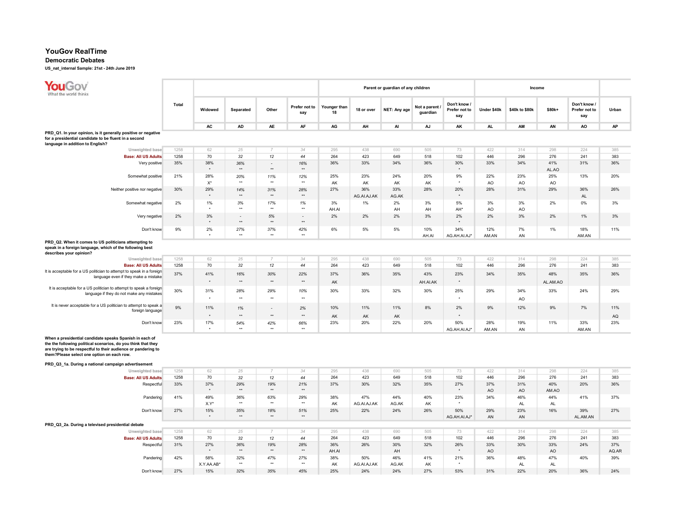#### Democratic Debates

| YouGov<br>Vhat the world thinks                                                                                                                                                                                                         |              |                             |                           |                          |                           |                    |                    | Parent or guardian of any children |                           |                                      |              | Income           |                       |                                      |            |
|-----------------------------------------------------------------------------------------------------------------------------------------------------------------------------------------------------------------------------------------|--------------|-----------------------------|---------------------------|--------------------------|---------------------------|--------------------|--------------------|------------------------------------|---------------------------|--------------------------------------|--------------|------------------|-----------------------|--------------------------------------|------------|
|                                                                                                                                                                                                                                         | <b>Total</b> | Widowed                     | Separated                 | Other                    | Prefer not to<br>say      | Younger than<br>18 | 18 or over         | NET: Any age                       | Not a parent.<br>guardian | Don't know /<br>Prefer not to<br>say | Under \$40k  | \$40k to \$80k   | \$80k+                | Don't know /<br>Prefer not to<br>say | Urban      |
|                                                                                                                                                                                                                                         |              | AC                          | <b>AD</b>                 | AE                       | AF                        | AG                 | AH                 | Al                                 | AJ                        | AK                                   | AL.          | AM               | AN                    | AO                                   | AP         |
| PRD Q1. In your opinion, is it generally positive or negative<br>for a presidential candidate to be fluent in a second<br>language in addition to English?                                                                              |              |                             |                           |                          |                           |                    |                    |                                    |                           |                                      |              |                  |                       |                                      |            |
| Unweighted base                                                                                                                                                                                                                         | 1258         | 62                          | 25                        | $\overline{7}$           | 34                        | 295                | 438                | 690                                | 505                       | 73                                   | 422          | 314              | 298                   | 224                                  | 385        |
| <b>Base: All US Adults</b>                                                                                                                                                                                                              | 1258         | 70                          | 32                        | 12                       | 44                        | 264                | 423                | 649                                | 518                       | 102                                  | 446          | 296              | 276                   | 241                                  | 383        |
| Very positive                                                                                                                                                                                                                           | 35%          | 38%<br>$\ddot{\phantom{1}}$ | 36%<br>$\star\star$       | $\sim$<br>$\star\star$   | 16%<br>$+$                | 36%                | 33%                | 34%                                | 36%                       | 30%<br>$\ddot{\phantom{1}}$          | 33%          | 34%              | 41%<br>AL.AO          | 31%                                  | 36%        |
| Somewhat positive                                                                                                                                                                                                                       | 21%          | 28%<br>$X^*$                | 20%<br>$\star$            | 11%<br>$\star\star$      | 12%<br>$+$                | 25%<br>AK          | 23%<br>AK          | 24%<br>AK                          | 20%<br>AK                 | 9%<br>$\star$                        | 22%<br>AO    | 23%<br>AO        | 25%<br>A <sub>O</sub> | 13%                                  | 20%        |
| Neither positive nor negative                                                                                                                                                                                                           | 30%          | 29%<br>$\star$              | 14%<br>$**$               | 31%<br>$\star\star$      | 28%<br>$\star\star$       | 27%                | 36%<br>AG.AI.AJ.AK | 33%<br>AG.AK                       | 28%                       | 20%<br>$\star$                       | 28%          | 31%              | 29%                   | 36%<br>AL                            | 26%        |
| Somewhat negative                                                                                                                                                                                                                       | 2%           | 1%                          | 3%<br>$\star\star$        | 17%<br>$\star\star$      | 1%<br>$\star\star$        | 3%<br>AH.AI        | 1%                 | 2%<br>AH                           | 3%<br>AH                  | 5%<br>AH <sup>*</sup>                | 3%<br>AO     | 3%<br>AO         | 2%                    | $0\%$                                | 3%         |
| Very negative                                                                                                                                                                                                                           | 2%           | 3%<br>$\star$               | $\sim$<br>$\star\star$    | 5%<br>$\star\star$       | $\sim$<br>$^{\star\star}$ | 2%                 | 2%                 | 2%                                 | 3%                        | 2%                                   | 2%           | 3%               | 2%                    | 1%                                   | 3%         |
| Don't know                                                                                                                                                                                                                              | 9%           | 2%<br>$\star$               | 27%<br>$\star\star$       | 37%<br>$\star\star$      | 42%<br>$\star\star$       | 6%                 | 5%                 | 5%                                 | 10%<br>AH.AI              | 34%<br>AG.AH.AI.AJ*                  | 12%<br>AM.AN | 7%<br>AN         | 1%                    | 18%<br>AM.AN                         | 11%        |
| PRD_Q2. When it comes to US politicians attempting to<br>speak in a foreign language, which of the following best<br>describes your opinion?                                                                                            |              |                             |                           |                          |                           |                    |                    |                                    |                           |                                      |              |                  |                       |                                      |            |
| Unweighted base                                                                                                                                                                                                                         | 1258         | 62                          | 25                        |                          | 34                        | 295                | 438                | 690                                | 505                       | 73                                   | 422          | 314              | 298                   | 224                                  | 385        |
| <b>Base: All US Adults</b>                                                                                                                                                                                                              | 1258         | 70                          | 32                        | 12                       | 44                        | 264                | 423                | 649                                | 518                       | 102                                  | 446          | 296              | 276                   | 241                                  | 383        |
| It is acceptable for a US politician to attempt to speak in a foreign<br>language even if they make a mistake                                                                                                                           | 37%          | 41%                         | 16%                       | 30%                      | 22%                       | 37%                | 36%                | 35%                                | 43%                       | 23%                                  | 34%          | 35%              | 48%                   | 35%                                  | 36%        |
| It is acceptable for a US politician to attempt to speak a foreign                                                                                                                                                                      |              |                             | $\star\star$              | $\star\star$             | $\star\star$              | AK                 |                    |                                    | AH.AI.AK                  |                                      |              |                  | AL.AM.AO              |                                      |            |
| language if they do not make any mistakes                                                                                                                                                                                               | 30%          | 31%<br>$\star$              | 28%<br>$^{\star\star}$    | 29%<br>$\star\star$      | 10%<br>$\star\star$       | 30%                | 33%                | 32%                                | 30%                       | 25%<br>$^\star$                      | 29%          | 34%<br>AO        | 33%                   | 24%                                  | 29%        |
| It is never acceptable for a US politician to attempt to speak a                                                                                                                                                                        | 9%           | 11%                         | 1%                        | $\overline{\phantom{a}}$ | 2%                        | 10%                | 11%                | 11%                                | 8%                        | 2%                                   | 9%           | 12%              | 9%                    | 7%                                   | 11%        |
| foreign language                                                                                                                                                                                                                        |              | $\star$                     | $\star\star$              | $**$                     | $\star\star$              | AK                 | AK                 | AK                                 |                           |                                      |              |                  |                       |                                      | AQ         |
| Don't know                                                                                                                                                                                                                              | 23%          | 17%<br>$\cdot$              | 54%<br>$\star\star$       | 42%<br>$\star\star$      | 66%<br>$+$                | 23%                | 20%                | 22%                                | 20%                       | 50%<br>AG.AH.AI.AJ*                  | 28%<br>AM.AN | 19%<br>AN        | 11%                   | 33%<br>AM.AN                         | 23%        |
| When a presidential candidate speaks Spanish in each of<br>the the following political scenarios, do you think that they<br>are trying to be respectful to their audience or pandering to<br>them?Please select one option on each row. |              |                             |                           |                          |                           |                    |                    |                                    |                           |                                      |              |                  |                       |                                      |            |
| PRD_Q3_1a. During a national campaign advertisement                                                                                                                                                                                     |              |                             |                           |                          |                           |                    |                    |                                    |                           |                                      |              |                  |                       |                                      |            |
| Unweighted base                                                                                                                                                                                                                         | 1258         | 62                          | 25                        | $\overline{7}$           | 34                        | 295                | 438                | 690                                | 505                       | 73                                   | 422          | 314              | 298                   | 224                                  | 385        |
| <b>Base: All US Adults</b><br>Respectful                                                                                                                                                                                                | 1258<br>33%  | 70<br>37%<br>$\star$        | 32<br>29%<br>$\star\star$ | 12<br>19%<br>$**$        | 44<br>21%<br>$\star\star$ | 264<br>37%         | 423<br>30%         | 649<br>32%                         | 518<br>35%                | 102<br>27%<br>$\star$                | 446<br>37%   | 296<br>31%       | 276<br>40%            | 241<br>20%                           | 383<br>36% |
| Pandering                                                                                                                                                                                                                               | 41%          | 49%<br>X.Y*                 | 36%<br>$\star\star$       | 63%<br>$\star\star$      | 29%<br>$\star\star$       | 38%                | 47%                | 44%                                | 40%                       | 23%                                  | AO<br>34%    | AO<br>46%        | AM.AO<br>44%<br>AL    | 41%                                  | 37%        |
| Don't know                                                                                                                                                                                                                              | 27%          | 15%<br>$\star$              | 35%<br>$^{\star\star}$    | 18%<br>$\star\star$      | 51%<br>$^{\star\star}$    | AK<br>25%          | AG.AI.AJ.AK<br>22% | AG.AK<br>24%                       | AK<br>26%                 | 50%                                  | 29%<br>AN    | AL.<br>23%<br>AN | 16%                   | 39%<br>AL.AM.AN                      | 27%        |
| PRD_Q3_2a. During a televised presidential debate                                                                                                                                                                                       |              |                             |                           |                          |                           |                    |                    |                                    |                           | AG.AH.AI.AJ*                         |              |                  |                       |                                      |            |
|                                                                                                                                                                                                                                         | 1258         |                             |                           | $\overline{7}$           | 34                        |                    |                    |                                    |                           |                                      |              |                  |                       |                                      |            |
| Unweighted base<br><b>Base: All US Adults</b>                                                                                                                                                                                           | 1258         | 62<br>70                    | 25<br>32                  | 12                       | 44                        | 295<br>264         | 438<br>423         | 690<br>649                         | 505<br>518                | 73<br>102                            | 422<br>446   | 314<br>296       | 298<br>276            | 224<br>241                           | 385<br>383 |
| Respectful                                                                                                                                                                                                                              | 31%          | 27%                         | 36%                       | 19%                      | 28%                       | 36%                | 26%                | 30%                                | 32%                       | 26%                                  | 33%          | 30%              | 33%                   | 24%                                  | 37%        |
|                                                                                                                                                                                                                                         |              |                             | $\star\star$              | $\star\star$             | $^{\star\star}$           | AH.AI              |                    | AH                                 |                           |                                      | AO           |                  | AO                    |                                      | AQ.AR      |
| Pandering                                                                                                                                                                                                                               | 42%          | 58%<br>X.Y.AA.AB*           | 32%<br>$\star\star$       | 47%<br>$\star\star$      | 27%<br>$\star\star$       | 38%<br>AK          | 50%<br>AG.AI.AJ.AK | 46%<br>AG.AK                       | 41%<br>AK                 | 21%<br>$\ddot{\phantom{1}}$          | 36%          | 48%<br>AL        | 47%<br><b>AL</b>      | 40%                                  | 39%        |
| Don't know                                                                                                                                                                                                                              | 27%          | 15%                         | 32%                       | 35%                      | 45%                       | 25%                | 24%                | 24%                                | 27%                       | 53%                                  | 31%          | 22%              | 20%                   | 36%                                  | 24%        |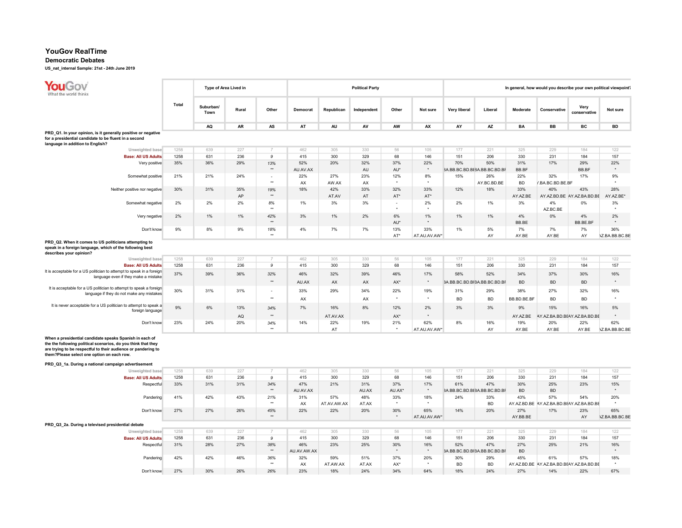#### Democratic Debates

| What the world thinks                                                                                                                                                                                                                                                                          |              | Type of Area Lived in |           |                        |             |                    | <b>Political Party</b> |                |              |                     |                              |                 |                                                 |                                   | In general, how would you describe your own political viewpoint? |
|------------------------------------------------------------------------------------------------------------------------------------------------------------------------------------------------------------------------------------------------------------------------------------------------|--------------|-----------------------|-----------|------------------------|-------------|--------------------|------------------------|----------------|--------------|---------------------|------------------------------|-----------------|-------------------------------------------------|-----------------------------------|------------------------------------------------------------------|
|                                                                                                                                                                                                                                                                                                | <b>Total</b> | Suburban/<br>Town     | Rural     | Other                  | Democrat    | Republican         | Independent            | Other          | Not sure     | <b>Very liberal</b> | Liberal                      | Moderate        | Conservative                                    | Very<br>conservative              | Not sure                                                         |
|                                                                                                                                                                                                                                                                                                |              | <b>AQ</b>             | <b>AR</b> | AS                     | AT          | AU                 | AV                     | AW             | AX           | AY                  | <b>AZ</b>                    | <b>BA</b>       | <b>BB</b>                                       | <b>BC</b>                         | <b>BD</b>                                                        |
| PRD_Q1. In your opinion, is it generally positive or negative                                                                                                                                                                                                                                  |              |                       |           |                        |             |                    |                        |                |              |                     |                              |                 |                                                 |                                   |                                                                  |
| for a presidential candidate to be fluent in a second<br>language in addition to English?                                                                                                                                                                                                      |              |                       |           |                        |             |                    |                        |                |              |                     |                              |                 |                                                 |                                   |                                                                  |
| Unweighted base                                                                                                                                                                                                                                                                                | 1258         | 639                   | 227       | $\overline{7}$         | 462         | 305                | 330                    | 56             | 105          | 177                 | 221                          | 325             | 229                                             | 184                               | 122                                                              |
| <b>Base: All US Adults</b>                                                                                                                                                                                                                                                                     | 1258         | 631                   | 236       | 9                      | 415         | 300                | 329                    | 68             | 146          | 151                 | 206                          | 330             | 231                                             | 184                               | 157                                                              |
| Very positive                                                                                                                                                                                                                                                                                  | 35%          | 36%                   | 29%       | 13%                    | 52%         | 20%                | 32%                    | 37%            | 22%          | 70%                 | 50%                          | 31%             | 17%                                             | 29%                               | 22%                                                              |
|                                                                                                                                                                                                                                                                                                |              |                       |           | $\star\star$           | AU.AV.AX    |                    | AU                     | AU*            | $\star$      |                     | 3A.BB.BC.BD.BE3A.BB.BC.BD.BF | BB.BF           |                                                 | BB.BF                             | $\star$                                                          |
| Somewhat positive                                                                                                                                                                                                                                                                              | 21%          | 21%                   | 24%       | $\hat{\phantom{a}}$    | 22%         | 27%                | 23%                    | 12%            | $8\%$        | 15%                 | 26%                          | 22%             | 32%                                             | 17%                               | 9%                                                               |
|                                                                                                                                                                                                                                                                                                |              |                       |           | $\star\star$           | AX<br>18%   | AW.AX              | AX                     |                |              |                     | AY.BC.BD.BE                  | <b>BD</b>       | /.BA.BC.BD.BE.BF                                |                                   |                                                                  |
| Neither positive nor negative                                                                                                                                                                                                                                                                  | 30%          | 31%                   | 35%<br>AP | 19%<br>$^{\star\star}$ |             | 42%<br>AT.AV       | 33%<br>AT              | 32%<br>AT*     | 33%<br>AT*   | 12%                 | 18%                          | 33%<br>AY.AZ.BE | 40%                                             | 43%<br>AY.AZ.BD.BE AY.AZ.BA.BD.BE | 28%<br>AY.AZ.BE*                                                 |
| Somewhat negative                                                                                                                                                                                                                                                                              | 2%           | 2%                    | 2%        | 8%                     | 1%          | 3%                 | 3%                     |                | 2%           | 2%                  | 1%                           | 3%              | 4%                                              | 0%                                | $3\%$                                                            |
|                                                                                                                                                                                                                                                                                                |              |                       |           | $\ddot{\phantom{1}}$   |             |                    |                        |                |              |                     |                              |                 | AZ.BC.BE                                        |                                   | $\overline{a}$                                                   |
| Very negative                                                                                                                                                                                                                                                                                  | 2%           | 1%                    | 1%        | 42%                    | $3\%$       | 1%                 | 2%                     | 6%             | 1%           | 1%                  | 1%                           | 4%              | 0%                                              | 4%                                | 2%                                                               |
|                                                                                                                                                                                                                                                                                                |              |                       |           | $\star\star$           |             |                    |                        | AU*            |              |                     |                              | BB.BE           |                                                 | BB.BE.BF                          | $\star$                                                          |
| Don't know                                                                                                                                                                                                                                                                                     | 9%           | 8%                    | 9%        | 18%                    | 4%          | 7%                 | 7%                     | 13%            | 33%          | 1%                  | 5%                           | 7%              | 7%                                              | 7%                                | 36%                                                              |
|                                                                                                                                                                                                                                                                                                |              |                       |           |                        |             |                    |                        | $AT^*$         | AT.AU.AV.AW* |                     | AY                           | AY.BE           | AY.BE                                           | AY                                | <b>\Z.BA.BB.BC.BE</b>                                            |
| PRD Q2. When it comes to US politicians attempting to<br>speak in a foreign language, which of the following best<br>describes your opinion?                                                                                                                                                   |              |                       |           |                        |             |                    |                        |                |              |                     |                              |                 |                                                 |                                   |                                                                  |
| Unweighted base                                                                                                                                                                                                                                                                                | 1258         | 639                   | 227       | $\overline{7}$         | 462         | 305                | 330                    | 56             | 105          | 177                 | 221                          | 325             | 229                                             | 184                               | 122                                                              |
| <b>Base: All US Adults</b>                                                                                                                                                                                                                                                                     | 1258         | 631                   | 236       | 9                      | 415         | 300                | 329                    | 68             | 146          | 151                 | 206                          | 330             | 231                                             | 184                               | 157                                                              |
| It is acceptable for a US politician to attempt to speak in a foreign                                                                                                                                                                                                                          | 37%          | 39%                   | 36%       | 32%                    | 46%         | 32%                | 39%                    | 46%            | 17%          | 58%                 | 52%                          | 34%             | 37%                                             | 30%                               | 16%                                                              |
| language even if they make a mistake                                                                                                                                                                                                                                                           |              |                       |           | $^{\star\star}$        | AU.AX       | AX                 | AX                     | AX*            | $\star$      |                     | 3A.BB.BC.BD.BF3A.BB.BC.BD.BF | <b>BD</b>       | <b>BD</b>                                       | <b>BD</b>                         |                                                                  |
| It is acceptable for a US politician to attempt to speak a foreign                                                                                                                                                                                                                             | 30%          | 31%                   | 31%       | $\sim$                 | 33%         | 29%                | 34%                    | 22%            | 19%          | 31%                 | 29%                          | 38%             | 27%                                             | 32%                               | 16%                                                              |
| language if they do not make any mistakes                                                                                                                                                                                                                                                      |              |                       |           | $\star\star$           |             |                    |                        | $\star$        | $\star$      |                     |                              |                 |                                                 |                                   |                                                                  |
| It is never acceptable for a US politician to attempt to speak a                                                                                                                                                                                                                               |              |                       |           |                        | AX          |                    | AX                     |                |              | <b>BD</b>           | <b>BD</b>                    | BB.BD.BE.BF     | <b>BD</b>                                       | <b>BD</b>                         |                                                                  |
| foreign language                                                                                                                                                                                                                                                                               | 9%           | 6%                    | 13%       | 34%                    | 7%          | 16%                | 8%                     | 12%            | 2%           | 3%                  | 3%                           | 9%              | 15%                                             | 16%                               | 5%                                                               |
|                                                                                                                                                                                                                                                                                                |              |                       | AQ        | $\star\star$           |             | AT.AV.AX           |                        | AX*            |              |                     |                              | AY.AZ.BE        | AY.AZ.BA.BD.BEAY.AZ.BA.BD.BE                    |                                   |                                                                  |
| Don't know                                                                                                                                                                                                                                                                                     | 23%          | 24%                   | 20%       | 34%                    | 14%         | 22%                | 19%                    | 21%            | 62%          | 8%                  | 16%                          | 19%             | 20%                                             | 22%                               | 62%                                                              |
|                                                                                                                                                                                                                                                                                                |              |                       |           | $\star\star$           |             | AT                 |                        | $\star$        | AT.AU.AV.AW* |                     | AY                           | AY.BE           | AY.BE                                           | AY.BE                             | <b>\Z.BA.BB.BC.BE</b>                                            |
| When a presidential candidate speaks Spanish in each of<br>the the following political scenarios, do you think that they<br>are trying to be respectful to their audience or pandering to<br>them?Please select one option on each row.<br>PRD_Q3_1a. During a national campaign advertisement |              |                       |           |                        |             |                    |                        |                |              |                     |                              |                 |                                                 |                                   |                                                                  |
| Unweighted base                                                                                                                                                                                                                                                                                | 1258         | 639                   | 227       |                        | 462         | 305                | 330                    | 56             | 105          | 177                 | 221                          | 325             | 229                                             | 184                               | 122                                                              |
| <b>Base: All US Adults</b>                                                                                                                                                                                                                                                                     | 1258         | 631                   | 236       | 9                      | 415         | 300                | 329                    | 68             | 146          | 151                 | 206                          | 330             | 231                                             | 184                               | 157                                                              |
| Respectful                                                                                                                                                                                                                                                                                     | 33%          | 31%                   | 31%       | 34%                    | 47%         | 21%                | 31%                    | 37%            | 17%          | 61%                 | 47%                          | 30%             | 25%                                             | 23%                               | 15%                                                              |
|                                                                                                                                                                                                                                                                                                |              |                       |           | $**$                   | AU.AV.AX    |                    | AU.AX                  | AU.AX*         | $\star$      |                     | 3A.BB.BC.BD.BE3A.BB.BC.BD.BF | <b>BD</b>       | <b>BD</b>                                       |                                   | $\star$                                                          |
| Pandering                                                                                                                                                                                                                                                                                      | 41%          | 42%                   | 43%       | 21%<br>$**$            | 31%<br>AX   | 57%<br>AT.AV.AW.AX | 48%<br>AT.AX           | 33%<br>$\star$ | 18%          | 24%                 | 33%<br><b>BD</b>             | 43%             | 57%<br>AY.AZ.BD.BE AY.AZ.BA.BD.BEAY.AZ.BA.BD.BE | 54%                               | 20%                                                              |
| Don't know                                                                                                                                                                                                                                                                                     | 27%          | 27%                   | 26%       | 45%                    | 22%         | 22%                | 20%                    | 30%            | 65%          | 14%                 | 20%                          | 27%             | 17%                                             | 23%                               | 65%                                                              |
|                                                                                                                                                                                                                                                                                                |              |                       |           | $**$                   |             |                    |                        | $\star$        | AT.AU.AV.AW* |                     |                              | AY.BB.BE        |                                                 | AY                                | <b>\Z.BA.BB.BC.BE</b>                                            |
| PRD_Q3_2a. During a televised presidential debate                                                                                                                                                                                                                                              |              |                       |           |                        |             |                    |                        |                |              |                     |                              |                 |                                                 |                                   |                                                                  |
| Unweighted base                                                                                                                                                                                                                                                                                | 1258         | 639                   | 227       | $\overline{7}$         | 462         | 305                | 330                    | 56             | 105          | 177                 | 221                          | 325             | 229                                             | 184                               | 122                                                              |
| <b>Base: All US Adults</b>                                                                                                                                                                                                                                                                     | 1258         | 631                   | 236       | 9                      | 415         | 300                | 329                    | 68             | 146          | 151                 | 206                          | 330             | 231                                             | 184                               | 157                                                              |
| Respectful                                                                                                                                                                                                                                                                                     | 31%          | 28%                   | 27%       | 38%                    | 46%         | 23%                | 25%                    | 30%            | 16%          | 52%                 | 47%                          | 27%             | 25%                                             | 21%                               | 16%                                                              |
|                                                                                                                                                                                                                                                                                                |              |                       |           | $^{\star\star}$        | AU.AV.AW.AX |                    |                        |                |              |                     | 3A.BB.BC.BD.BF3A.BB.BC.BD.BF | <b>BD</b>       |                                                 |                                   | $\star$                                                          |
| Pandering                                                                                                                                                                                                                                                                                      | 42%          | 42%                   | 46%       | 36%                    | 32%         | 59%                | 51%                    | 37%            | 20%          | 30%                 | 29%                          | 45%             | 61%                                             | 57%                               | 18%                                                              |
|                                                                                                                                                                                                                                                                                                |              |                       |           | $\star\star$           | AX          | AT.AW.AX           | AT.AX                  | AX*            |              | <b>BD</b>           | <b>BD</b>                    |                 | AY.AZ.BD.BE AY.AZ.BA.BD.BEAY.AZ.BA.BD.BE        |                                   |                                                                  |
| Don't know                                                                                                                                                                                                                                                                                     | 27%          | 30%                   | 26%       | 26%                    | 23%         | 18%                | 24%                    | 34%            | 64%          | 18%                 | 24%                          | 27%             | 14%                                             | 22%                               | 67%                                                              |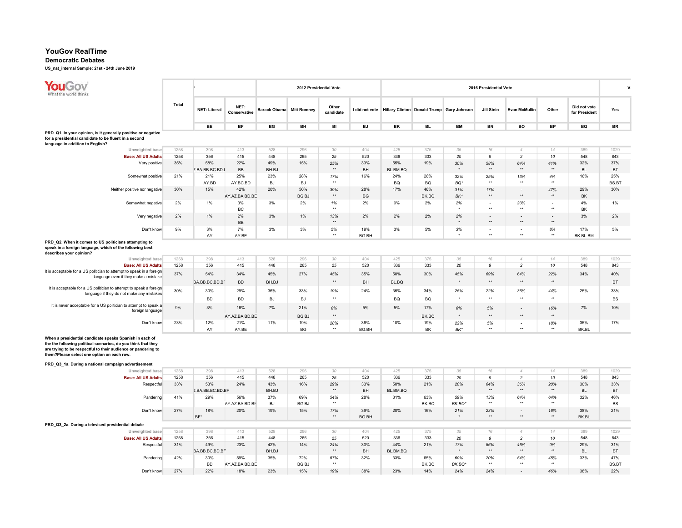## Democratic Debates

| <b>YouGov</b><br>What the world thinks                                                                                                                                                                                                  |       |                     |                       |                                 | 2012 Presidential Vote |                     |           |           |              |                                                          | 2016 Presidential Vote |                                 |                      |                               | ٧                   |
|-----------------------------------------------------------------------------------------------------------------------------------------------------------------------------------------------------------------------------------------|-------|---------------------|-----------------------|---------------------------------|------------------------|---------------------|-----------|-----------|--------------|----------------------------------------------------------|------------------------|---------------------------------|----------------------|-------------------------------|---------------------|
|                                                                                                                                                                                                                                         | Total | <b>NET: Liberal</b> | NET:<br>Conservative  | <b>Barack Obama</b> Mitt Romney |                        | Other<br>candidate  |           |           |              | I did not vote Hillary Clinton Donald Trump Gary Johnson | Jill Stein             | <b>Evan McMullin</b>            | Other                | Did not vote<br>for President | Yes                 |
|                                                                                                                                                                                                                                         |       | BE                  | <b>BF</b>             | BG                              | BH                     | BI                  | <b>BJ</b> | BK        | <b>BL</b>    | <b>BM</b>                                                | <b>BN</b>              | BO                              | <b>BP</b>            | BQ                            | <b>BR</b>           |
| PRD_Q1. In your opinion, is it generally positive or negative                                                                                                                                                                           |       |                     |                       |                                 |                        |                     |           |           |              |                                                          |                        |                                 |                      |                               |                     |
| for a presidential candidate to be fluent in a second<br>language in addition to English?                                                                                                                                               |       |                     |                       |                                 |                        |                     |           |           |              |                                                          |                        |                                 |                      |                               |                     |
| Unweighted base                                                                                                                                                                                                                         | 1258  | 398                 | 413                   | 528                             | 296                    | 30                  | 404       | 425       | 375          | 35                                                       | 16                     | $\overline{4}$                  | 14                   | 389                           | 1029                |
| <b>Base: All US Adults</b>                                                                                                                                                                                                              | 1258  | 356                 | 415                   | 448                             | 265                    | 25                  | 520       | 336       | 333          | 20                                                       | 9                      | $\overline{c}$                  | 10                   | 548                           | 843                 |
| Very positive                                                                                                                                                                                                                           | 35%   | 58%                 | 22%                   | 49%                             | 15%                    | 25%                 | 33%       | 55%       | 19%          | 30%                                                      | 58%                    | 64%                             | 41%                  | 32%                           | 37%                 |
|                                                                                                                                                                                                                                         |       | Z.BA.BB.BC.BD.I     | BB                    | BH.BJ                           |                        | $^{\star\star}$     | BH        | BL.BM.BQ  |              |                                                          | $\star\star$           | $\star\star$                    | $\star\star$         | <b>BL</b>                     | <b>BT</b>           |
| Somewhat positive                                                                                                                                                                                                                       | 21%   | 21%                 | 25%                   | 23%                             | 28%                    | 17%                 | 16%       | 24%       | 26%          | 32%                                                      | 25%                    | 13%                             | 4%                   | 16%                           | 25%                 |
|                                                                                                                                                                                                                                         |       | AY.BD               | AY.BC.BD              | <b>BJ</b>                       | <b>BJ</b>              | $\star\star$        |           | <b>BQ</b> | BQ           | $BO*$                                                    | $\star\star$           | $\star\star$                    | $\star\star$         |                               | BS.BT               |
| Neither positive nor negative                                                                                                                                                                                                           | 30%   | 15%                 | 42%<br>AY.AZ.BA.BD.BE | 20%                             | 50%<br>BG.BJ           | 39%<br>$\star\star$ | 28%<br>BG | 17%       | 46%<br>BK.BQ | 31%<br>BK*                                               | 17%<br>$\star\star$    | $\blacksquare$<br>$\star\star$  | 47%<br>$\star\star$  | 29%<br><b>BK</b>              | 30%                 |
| Somewhat negative                                                                                                                                                                                                                       | 2%    | 1%                  | 3%                    | 3%                              | 2%                     | 1%                  | 2%        | 0%        | 2%           | 2%                                                       | $\sim$                 | 23%                             |                      | 4%                            | 1%                  |
|                                                                                                                                                                                                                                         |       |                     | BC                    |                                 |                        | $\bullet\bullet$    |           |           |              |                                                          | $\ddot{\phantom{0}}$   | $\star\star$                    | $\star\star$         | BK                            |                     |
| Very negative                                                                                                                                                                                                                           | 2%    | 1%                  | 2%                    | 3%                              | 1%                     | 13%                 | 2%        | 2%        | 2%           | 2%                                                       |                        |                                 |                      | 3%                            | 2%                  |
|                                                                                                                                                                                                                                         |       |                     | BB                    |                                 |                        | $**$                |           |           |              |                                                          | $**$                   | $\star\star$                    | $\star\star$         |                               |                     |
| Don't know                                                                                                                                                                                                                              | 9%    | 3%                  | 7%                    | 3%                              | 3%                     | 5%                  | 19%       | 3%        | 5%           | 3%                                                       | $\blacksquare$         |                                 | 8%                   | 17%                           | 5%                  |
|                                                                                                                                                                                                                                         |       | AY                  | AY.BE                 |                                 |                        | $\star\star$        | BG.BH     |           |              | $\rightarrow$                                            | $\star\star$           | $\star\star$                    | $\star\star$         | BK.BL.BM                      |                     |
| PRD Q2. When it comes to US politicians attempting to<br>speak in a foreign language, which of the following best<br>describes your opinion?                                                                                            |       |                     |                       |                                 |                        |                     |           |           |              |                                                          |                        |                                 |                      |                               |                     |
| Unweighted base                                                                                                                                                                                                                         | 1258  | 398                 | 413                   | 528                             | 296                    | 30                  | 404       | 425       | 375          | 35                                                       | $16\,$                 | $\overline{4}$                  | 14                   | 389                           | 1029                |
| <b>Base: All US Adults</b>                                                                                                                                                                                                              | 1258  | 356                 | 415                   | 448                             | 265                    | 25                  | 520       | 336       | 333          | 20                                                       | 9                      | $\overline{c}$                  | 10                   | 548                           | 843                 |
| It is acceptable for a US politician to attempt to speak in a foreign                                                                                                                                                                   | 37%   | 54%                 | 34%                   | 45%                             | 27%                    | 45%                 | 35%       | 50%       | 30%          | 45%                                                      | 69%                    | 64%                             | 22%                  | 34%                           | 40%                 |
| language even if they make a mistake                                                                                                                                                                                                    |       | BA.BB.BC.BD.BF      | <b>BD</b>             | BH.BJ                           |                        | $\star\star$        | BH        | BL.BQ     |              |                                                          | $\star\star$           | $\star\star$                    | $\star\star$         |                               | <b>BT</b>           |
| It is acceptable for a US politician to attempt to speak a foreign                                                                                                                                                                      |       |                     |                       |                                 |                        |                     |           |           |              |                                                          |                        |                                 |                      |                               |                     |
| language if they do not make any mistakes                                                                                                                                                                                               | 30%   | 30%                 | 29%                   | 36%                             | 33%                    | 19%                 | 24%       | 35%       | 34%          | 25%                                                      | 22%                    | 36%                             | 44%                  | 25%                           | 33%                 |
|                                                                                                                                                                                                                                         |       | <b>BD</b>           | <b>BD</b>             | <b>BJ</b>                       | BJ                     | $\star\star$        |           | BQ        | BQ           |                                                          | $\star\star$           | $\star\star$                    | $^{\star\star}$      |                               | BS                  |
| It is never acceptable for a US politician to attempt to speak a<br>foreign language                                                                                                                                                    | 9%    | 3%                  | 16%                   | 7%                              | 21%                    | 8%                  | 5%        | 5%        | 17%          | 8%                                                       | 5%                     | $\sim$                          | 16%                  | 7%                            | 10%                 |
|                                                                                                                                                                                                                                         |       |                     | AY.AZ.BA.BD.BE        |                                 | BG.BJ                  | $\star\star$        |           |           | BK.BQ        |                                                          | $\rightarrow$          | $\star\star$                    | $\star\star$         |                               |                     |
| Don't know                                                                                                                                                                                                                              | 23%   | 12%                 | 21%                   | 11%                             | 19%                    | 28%                 | 36%       | 10%       | 19%          | 22%                                                      | 5%                     | $\overline{\phantom{a}}$        | 18%                  | 35%                           | 17%                 |
|                                                                                                                                                                                                                                         |       | AY                  | AY.BE                 |                                 | <b>BG</b>              | $\star\star$        | BG.BH     |           | <b>BK</b>    | BK*                                                      | $\rightarrow$          | $\star\star$                    | $\ddot{\phantom{0}}$ | BK.BL                         |                     |
| When a presidential candidate speaks Spanish in each of<br>the the following political scenarios, do you think that they<br>are trying to be respectful to their audience or pandering to<br>them?Please select one option on each row. |       |                     |                       |                                 |                        |                     |           |           |              |                                                          |                        |                                 |                      |                               |                     |
| PRD_Q3_1a. During a national campaign advertisement                                                                                                                                                                                     | 1258  | 398                 | 413                   | 528                             | 296                    |                     | 404       | 425       | 375          |                                                          |                        |                                 |                      | 389                           | 1029                |
| Unweighted base<br><b>Base: All US Adults</b>                                                                                                                                                                                           | 1258  | 356                 | 415                   | 448                             | 265                    | 30<br>25            | 520       | 336       | 333          | 35<br>20                                                 | $16\,$<br>9            | $\mathcal{A}$<br>$\overline{2}$ | 14<br>10             | 548                           | 843                 |
| Respectful                                                                                                                                                                                                                              | 33%   | 53%                 | 24%                   | 43%                             | 16%                    | 29%                 | 33%       | 50%       | 21%          | 20%                                                      | 64%                    | 36%                             | 20%                  | 30%                           | 33%                 |
|                                                                                                                                                                                                                                         |       | Z.BA.BB.BC.BD.BF    |                       | BH.BJ                           |                        | $\star\star$        | BH        | BL.BM.BQ  |              |                                                          | $\star\star$           | $\star\star$                    | $\star\star$         | <b>BL</b>                     | <b>BT</b>           |
| Pandering                                                                                                                                                                                                                               | 41%   | 29%                 | 56%                   | 37%                             | 69%                    | 54%                 | 28%       | 31%       | 63%          | 59%                                                      | 13%                    | 64%                             | 64%                  | 32%                           | 46%                 |
|                                                                                                                                                                                                                                         |       |                     | AY.AZ.BA.BD.BE        | <b>BJ</b>                       | BG.BJ                  | $\star\star$        |           |           | BK.BQ        | BK.BQ*                                                   | $***$                  | $\star\star$                    | $**$                 |                               | <b>BS</b>           |
| Don't know                                                                                                                                                                                                                              | 27%   | 18%                 | 20%                   | 19%                             | 15%                    | 17%                 | 39%       | 20%       | 16%          | 21%                                                      | 23%                    | $\overline{\phantom{a}}$        | 16%                  | 38%                           | 21%                 |
|                                                                                                                                                                                                                                         |       | .BF*                |                       |                                 |                        | $\star\star$        | BG.BH     |           |              | $\star$                                                  | $\star\star$           | $\star\star$                    | $\star\star$         | BK.BL                         |                     |
| PRD_Q3_2a. During a televised presidential debate                                                                                                                                                                                       |       |                     |                       |                                 |                        |                     |           |           |              |                                                          |                        |                                 |                      |                               |                     |
| Unweighted base                                                                                                                                                                                                                         | 1258  | 398                 | 413                   | 528                             | 296                    | 30                  | 404       | 425       | 375          | 35                                                       | 16                     | $\mathcal{A}$                   | 14                   | 389                           | 1029                |
| <b>Base: All US Adults</b>                                                                                                                                                                                                              | 1258  | 356                 | 415                   | 448                             | 265                    | 25                  | 520       | 336       | 333          | 20                                                       | 9                      | $\overline{c}$                  | 10                   | 548                           | 843                 |
| Respectful                                                                                                                                                                                                                              | 31%   | 49%                 | 23%                   | 42%                             | 14%                    | 24%                 | 30%       | 44%       | 21%          | 17%                                                      | 56%                    | 46%                             | 9%                   | 29%                           | 31%                 |
|                                                                                                                                                                                                                                         |       | BA.BB.BC.BD.BF      |                       | BH.BJ                           |                        | $\star\star$        | BH        | BL.BM.BQ  |              |                                                          | $^{\star\star}$        | $\star\star$                    | $^{\star\star}$      | <b>BL</b>                     | <b>BT</b>           |
| Pandering                                                                                                                                                                                                                               | 42%   | 30%                 | 59%                   | 35%                             | 72%                    | 57%<br>$\star\star$ | 32%       | 33%       | 65%          | 60%                                                      | 20%<br>$\star\star$    | 54%<br>$\star\star$             | 45%<br>$\star\star$  | 33%                           | 47%                 |
| Don't know                                                                                                                                                                                                                              | 27%   | <b>BD</b><br>22%    | AY.AZ.BA.BD.BE        |                                 | BG.BJ                  |                     |           | 23%       | BK.BQ<br>14% | BK.BQ*                                                   |                        |                                 |                      | 38%                           | <b>BS.BT</b><br>22% |
|                                                                                                                                                                                                                                         |       |                     | 18%                   | 23%                             | 15%                    | 19%                 | 38%       |           |              | 24%                                                      | 24%                    | $\sim$                          | 46%                  |                               |                     |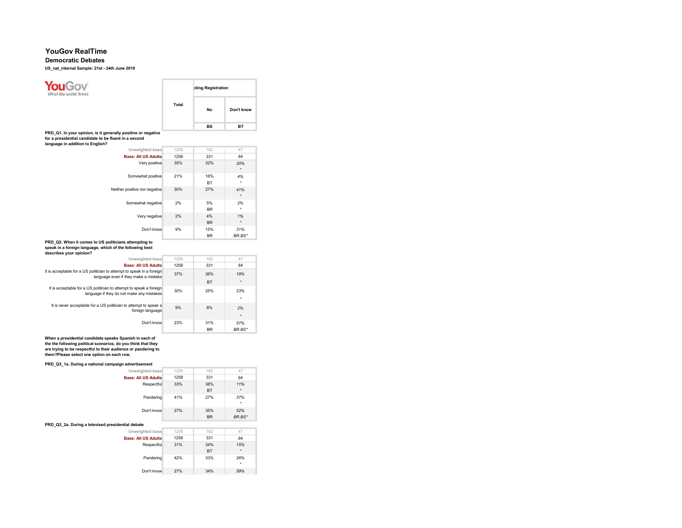### Democratic Debates

US\_nat\_internal Sample: 21st - 24th June 2019



| 84            | 331              | 1258 | <b>Base: All US Adults</b>                                                                                      |
|---------------|------------------|------|-----------------------------------------------------------------------------------------------------------------|
| 19%           | 36%              | 37%  | It is acceptable for a US politician to attempt to speak in a foreign<br>language even if they make a mistake   |
| $\star$       | <b>BT</b>        |      |                                                                                                                 |
| 23%<br>۰      | 25%              | 30%  | It is acceptable for a US politician to attempt to speak a foreign<br>language if they do not make any mistakes |
| 2%<br>$\star$ | 8%               | 9%   | It is never acceptable for a US politician to attempt to speak a<br>foreign language                            |
| 57%<br>BR.BS* | 31%<br><b>BR</b> | 23%  | Don't know                                                                                                      |

When a presidential candidate speaks Spanish in each of the the following political scenarios, do you think that they are trying to be respectful to their audience or pandering to them?Please select one option on each row.

#### PRD\_Q3\_1a. During a national campaign advertisement

| Unweighted base                                   | 1258 | 182       | 47       |
|---------------------------------------------------|------|-----------|----------|
| <b>Base: All US Adults</b>                        | 1258 | 331       | 84       |
| Respectful                                        | 33%  | 38%       | 11%      |
|                                                   |      | <b>BT</b> | $\star$  |
| Pandering                                         | 41%  | 27%       | 37%<br>۰ |
| Don't know                                        | 27%  | 35%       | 52%      |
|                                                   |      | <b>BR</b> | BR.BS*   |
|                                                   |      |           |          |
| PRD Q3 2a. During a televised presidential debate |      |           |          |
| Unweighted base                                   | 1258 | 182       | 47       |
| <b>Base: All US Adults</b>                        | 1258 | 331       | 84       |
| Respectful                                        | 31%  | 34%       | 15%      |
|                                                   |      | <b>BT</b> | $\star$  |
| Pandering                                         | 42%  | 33%       | 26%      |

\*

34% 59%

Don't know 27%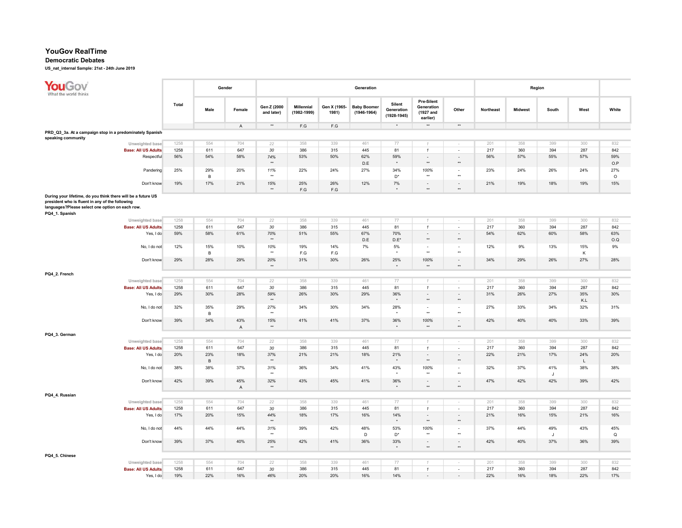### Democratic Debates

| YouGov<br>What the world thinks                                                                                                                                                      |       |                       | Gender             |                           |                                  |                         | Generation                            |                                         |                                                   |                             |           |                | Region              |            |                    |
|--------------------------------------------------------------------------------------------------------------------------------------------------------------------------------------|-------|-----------------------|--------------------|---------------------------|----------------------------------|-------------------------|---------------------------------------|-----------------------------------------|---------------------------------------------------|-----------------------------|-----------|----------------|---------------------|------------|--------------------|
|                                                                                                                                                                                      | Total | Male                  | Female             | Gen Z (2000<br>and later) | <b>Millennial</b><br>(1982-1999) | Gen X (1965-<br>1981)   | <b>Baby Boomer</b><br>$(1946 - 1964)$ | Silent<br>Generation<br>$(1928 - 1945)$ | Pre-Silent<br>Generation<br>(1927 and<br>earlier) | Other                       | Northeast | <b>Midwest</b> | South               | West       | White              |
|                                                                                                                                                                                      |       |                       | $\mathsf{A}$       | $^{\star\star}$           | $\mathsf{F}.\mathsf{G}$          | $\mathsf{F}.\mathsf{G}$ |                                       | $^\star$                                | $\star\star$                                      | $\star\star$                |           |                |                     |            |                    |
| PRD_Q3_3a. At a campaign stop in a predominately Spanish-<br>speaking community                                                                                                      |       |                       |                    |                           |                                  |                         |                                       |                                         |                                                   |                             |           |                |                     |            |                    |
| Unweighted base                                                                                                                                                                      | 1258  | 554                   | 704                | 22                        | 358                              | 339                     | 461                                   | 77                                      |                                                   |                             | 201       | 358            | 399                 | 300        | 832                |
| <b>Base: All US Adults</b>                                                                                                                                                           | 1258  | 611                   | 647                | 30                        | 386                              | 315                     | 445                                   | 81                                      | $\mathbf{1}$                                      | $\sim$                      | 217       | 360            | 394                 | 287        | 842                |
| Respectful                                                                                                                                                                           | 56%   | 54%                   | 58%                | 74%                       | 53%                              | 50%                     | 62%                                   | 59%                                     | $\Box$                                            | $\sim$                      | 56%       | 57%            | 55%                 | 57%        | 59%                |
|                                                                                                                                                                                      |       |                       |                    | $\star\star$              |                                  |                         | D.E                                   | $\star$                                 | ×                                                 | $\star\star$                |           |                |                     |            | O.P                |
| Pandering                                                                                                                                                                            | 25%   | 29%                   | 20%                | 11%<br>$\star\star$       | 22%                              | 24%                     | 27%                                   | 34%                                     | 100%<br>$\star\star$                              | $\sim$<br>$\star\star$      | 23%       | 24%            | 26%                 | 24%        | 27%                |
| Don't know                                                                                                                                                                           | 19%   | $\overline{B}$<br>17% | 21%                | 15%                       | 25%                              | 26%                     | 12%                                   | $\mathsf{D}^\star$<br>7%                | ä,                                                |                             | 21%       | 19%            | 18%                 | 19%        | $\circ$<br>15%     |
|                                                                                                                                                                                      |       |                       |                    | $^{\star\star}$           | $\mathsf{F}.\mathsf{G}$          | $\mathsf{F}.\mathsf{G}$ |                                       | $\Delta$                                | $\star\star$                                      | $\star\star$                |           |                |                     |            |                    |
| During your lifetime, do you think there will be a future US<br>president who is fluent in any of the following<br>languages?Please select one option on each row.<br>PQ4_1. Spanish |       |                       |                    |                           |                                  |                         |                                       |                                         |                                                   |                             |           |                |                     |            |                    |
| Unweighted base                                                                                                                                                                      | 1258  | 554                   | 704                | 22                        | 358                              | 339                     | 461                                   | 77                                      |                                                   |                             | 201       | 358            | 399                 | 300        | 832                |
| <b>Base: All US Adults</b>                                                                                                                                                           | 1258  | 611                   | 647                | 30                        | 386                              | 315                     | 445                                   | 81                                      | $\mathbf{1}$                                      | $\sim$                      | 217       | 360            | 394                 | 287        | 842                |
| Yes, I do                                                                                                                                                                            | 59%   | 58%                   | 61%                | 70%<br>$\star\star$       | 51%                              | 55%                     | 67%<br>D.E                            | 70%<br>$D.E^*$                          | $\blacksquare$<br>$\star\star$                    | $\sim$<br>$\star\star$      | 54%       | 62%            | 60%                 | 58%        | 63%<br>O.Q         |
| No, I do not                                                                                                                                                                         | 12%   | 15%                   | 10%                | 10%                       | 19%                              | 14%                     | 7%                                    | 5%                                      | $\blacksquare$                                    | $\sim$                      | 12%       | 9%             | 13%                 | 15%        | 9%                 |
|                                                                                                                                                                                      |       | $\,$ B                |                    | $\star\star$              | $\mathsf{F}.\mathsf{G}$          | $\mathsf{F}.\mathsf{G}$ |                                       | $\star$                                 | $\star\star$                                      | $\star\star$                |           |                |                     | К          |                    |
| Don't know                                                                                                                                                                           | 29%   | 28%                   | 29%                | 20%<br>$\star\star$       | 31%                              | 30%                     | 26%                                   | 25%<br>$^\star$                         | 100%<br>$\star\star$                              | $\omega$<br>$^{\star\star}$ | 34%       | 29%            | 26%                 | 27%        | 28%                |
| PQ4_2. French                                                                                                                                                                        |       |                       |                    |                           |                                  |                         |                                       |                                         |                                                   |                             |           |                |                     |            |                    |
| Unweighted base                                                                                                                                                                      | 1258  | 554                   | 704                | 22                        | 358                              | 339                     | 461                                   | 77                                      | $\mathcal I$                                      | $\sim$                      | 201       | 358            | 399                 | 300        | 832                |
| <b>Base: All US Adults</b>                                                                                                                                                           | 1258  | 611                   | 647                | 30                        | 386                              | 315                     | 445                                   | 81                                      | $\mathbf{1}$                                      | $\sim$                      | 217       | 360            | 394                 | 287        | 842                |
| Yes, I do                                                                                                                                                                            | 29%   | 30%                   | 28%                | 59%<br>$\star\star$       | 26%                              | 30%                     | 29%                                   | 36%<br>$\star$                          | $\overline{\phantom{a}}$<br>$\star\star$          | $\sim$<br>$\star\star$      | 31%       | 26%            | 27%                 | 35%<br>K.L | 30%                |
| No, I do not                                                                                                                                                                         | 32%   | 35%<br>$\overline{B}$ | 29%                | 27%<br>$\star\star$       | 34%                              | 30%                     | 34%                                   | 28%                                     | $\blacksquare$<br>$\star\star$                    | $\sim$<br>$\star\star$      | 27%       | 33%            | 34%                 | 32%        | 31%                |
| Don't know                                                                                                                                                                           | 39%   | 34%                   | 43%<br>$\mathsf A$ | 15%<br>$^{\star\star}$    | 41%                              | 41%                     | 37%                                   | 36%<br>$\ddot{\phantom{0}}$             | 100%<br>$\star$                                   | $\sim$<br>$\star\star$      | 42%       | 40%            | 40%                 | 33%        | 39%                |
| PQ4_3. German                                                                                                                                                                        |       |                       |                    |                           |                                  |                         |                                       |                                         |                                                   |                             |           |                |                     |            |                    |
| Unweighted base                                                                                                                                                                      | 1258  | 554                   | 704                | 22                        | 358                              | 339                     | 461                                   | 77                                      | 1                                                 | ×.                          | 201       | 358            | 399                 | 300        | 832                |
| <b>Base: All US Adults</b>                                                                                                                                                           | 1258  | 611                   | 647                | 30                        | 386                              | 315                     | 445                                   | 81                                      | $\mathbf{1}$                                      | $\sim$                      | 217       | 360            | 394                 | 287        | 842                |
| Yes, I do                                                                                                                                                                            | 20%   | 23%<br>$\,$ B         | 18%                | 37%<br>$^{\star\star}$    | 21%                              | 21%                     | 18%                                   | 21%<br>$\star$                          | $\bar{\phantom{a}}$<br>$\star\star$               | $\sim$<br>$\star\star$      | 22%       | 21%            | 17%                 | 24%<br>L   | 20%                |
| No, I do not                                                                                                                                                                         | 38%   | 38%                   | 37%                | 31%<br>$\star\star$       | 36%                              | 34%                     | 41%                                   | 43%<br>$\bullet$                        | 100%<br>$\star\star$                              | $\sim$<br>$\star\star$      | 32%       | 37%            | 41%<br>$\mathbf{I}$ | 38%        | 38%                |
| Don't know                                                                                                                                                                           | 42%   | 39%                   | 45%<br>$\mathsf A$ | 32%<br>$^{\star\star}$    | 43%                              | 45%                     | 41%                                   | 36%<br>$^\star$                         | $\overline{\phantom{a}}$<br>$^{\star\star}$       | $\omega$<br>$^{\star\star}$ | 47%       | 42%            | 42%                 | 39%        | 42%                |
| PQ4_4. Russian                                                                                                                                                                       |       |                       |                    |                           |                                  |                         |                                       |                                         |                                                   |                             |           |                |                     |            |                    |
| Unweighted base                                                                                                                                                                      | 1258  | 554                   | 704                | 22                        | 358                              | 339                     | 461                                   | 77                                      | 1                                                 | $\sim$                      | 201       | 358            | 399                 | 300        | 832                |
| <b>Base: All US Adults</b>                                                                                                                                                           | 1258  | 611                   | 647                | 30                        | 386                              | 315                     | 445                                   | 81                                      | $\mathbf{1}$                                      | $\blacksquare$              | 217       | 360            | 394                 | 287        | 842                |
| Yes, I do                                                                                                                                                                            | 17%   | 20%                   | 15%                | 44%<br>$\star\star$       | 18%                              | 17%                     | 16%                                   | 14%<br>$\star$                          | $\blacksquare$<br>×                               | $\sim$<br>$\star\star$      | 21%       | 16%            | 15%                 | 21%        | 16%                |
| No, I do not                                                                                                                                                                         | 44%   | 44%                   | 44%                | 31%<br>$\star\star$       | 39%                              | 42%                     | 48%<br>D                              | 53%<br>$D^*$                            | 100%<br>$\star\star$                              | $\sim$<br>$\star\star$      | 37%       | 44%            | 49%<br>$\mathbf{J}$ | 43%        | 45%<br>$\mathsf Q$ |
| Don't know                                                                                                                                                                           | 39%   | 37%                   | 40%                | 25%<br>$\star\star$       | 42%                              | 41%                     | 36%                                   | 33%<br>$\ddot{\phantom{1}}$             | $\overline{\phantom{a}}$<br>$\star\star$          | $\sim$<br>$\star\star$      | 42%       | 40%            | 37%                 | 36%        | 39%                |
| PQ4_5. Chinese                                                                                                                                                                       |       |                       |                    |                           |                                  |                         |                                       |                                         |                                                   |                             |           |                |                     |            |                    |
| Unweighted base                                                                                                                                                                      | 1258  | 554                   | 704                | 22                        | 358                              | 339                     | 461                                   | 77                                      |                                                   |                             | 201       | 358            | 399                 | 300        | 832                |
| <b>Base: All US Adults</b>                                                                                                                                                           | 1258  | 611                   | 647                | 30                        | 386                              | 315                     | 445                                   | 81                                      | $\mathbf{1}$                                      | $\sim$                      | 217       | 360            | 394                 | 287        | 842                |
| Yes, I do                                                                                                                                                                            | 19%   | 22%                   | 16%                | 46%                       | 20%                              | 20%                     | 16%                                   | 14%                                     |                                                   | $\overline{\phantom{a}}$    | 22%       | 16%            | 18%                 | 22%        | 17%                |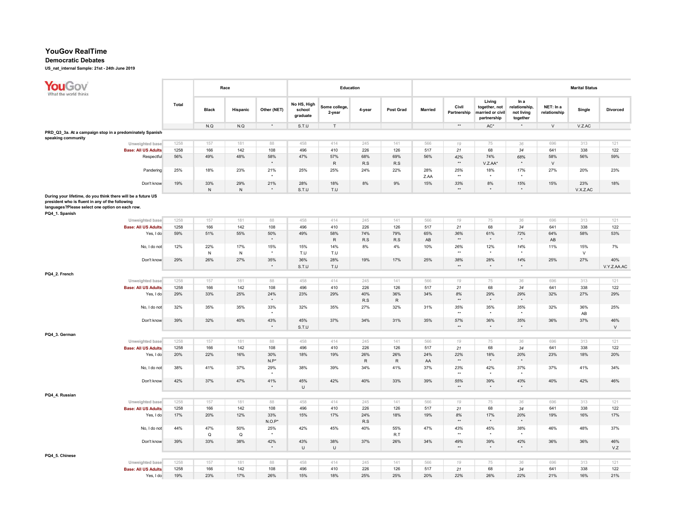#### Democratic Debates

| <b>YouGov</b><br>What the world thinks                                                                                                                                               |              |                  | Race             |                      |                                   | Education               |                  |                  |                |                            |                                                            |                                                 |                           | <b>Marital Status</b> |                    |
|--------------------------------------------------------------------------------------------------------------------------------------------------------------------------------------|--------------|------------------|------------------|----------------------|-----------------------------------|-------------------------|------------------|------------------|----------------|----------------------------|------------------------------------------------------------|-------------------------------------------------|---------------------------|-----------------------|--------------------|
|                                                                                                                                                                                      | <b>Total</b> | <b>Black</b>     | Hispanic         | Other (NET)          | No HS, High<br>school<br>graduate | Some college,<br>2-year | 4-year           | <b>Post Grad</b> | <b>Married</b> | Civil<br>Partnership       | Living<br>together, not<br>married or civil<br>partnership | In a<br>relationship,<br>not living<br>together | NET: In a<br>relationship | Single                | <b>Divorced</b>    |
|                                                                                                                                                                                      |              | N.Q              | N.Q              | $\star$              | S.T.U                             | $\mathsf{T}$            |                  |                  |                | $\star\star$               | $\mathsf{AC}^\star$                                        | $\star$                                         | $\vee$                    | V.Z.AC                |                    |
| PRD_Q3_3a. At a campaign stop in a predominately Spanish-<br>speaking community                                                                                                      |              |                  |                  |                      |                                   |                         |                  |                  |                |                            |                                                            |                                                 |                           |                       |                    |
| Unweighted base                                                                                                                                                                      | 1258         | 157              | 181              | 88                   | 458                               | 414                     | 245              | 141              | 566            | 19                         | 75                                                         | 36                                              | 696                       | 313                   | 121                |
| <b>Base: All US Adults</b>                                                                                                                                                           | 1258         | 166              | 142              | 108                  | 496                               | 410                     | 226              | 126              | 517            | 21                         | 68                                                         | 34                                              | 641                       | 338                   | 122                |
| Respectful                                                                                                                                                                           | 56%          | 49%              | 48%              | 58%<br>$\star$       | 47%                               | 57%<br>$\mathsf R$      | 68%<br>R.S       | 69%<br>R.S       | 56%            | 42%<br>$\star\star$        | 74%<br>V.Z.AA*                                             | 68%<br>$\star$                                  | 58%<br>$\vee$             | 56%                   | 59%                |
| Pandering                                                                                                                                                                            | 25%          | 18%              | 23%              | 21%                  | 25%                               | 25%                     | 24%              | 22%              | 28%<br>Z.AA    | 25%<br>$\star\star$        | 18%                                                        | 17%<br>$\bullet$                                | 27%                       | 20%                   | 23%                |
| Don't know                                                                                                                                                                           | 19%          | 33%              | 29%<br>N         | 21%                  | 28%                               | 18%                     | 8%               | 9%               | 15%            | 33%<br>$\star\star$        | 8%<br>$\star$                                              | 15%<br>$\star$                                  | 15%                       | 23%                   | 18%                |
| During your lifetime, do you think there will be a future US<br>president who is fluent in any of the following<br>languages?Please select one option on each row.<br>PQ4_1. Spanish |              | ${\sf N}$        |                  |                      | S.T.U                             | T.U                     |                  |                  |                |                            |                                                            |                                                 |                           | V.X.Z.AC              |                    |
| Unweighted base                                                                                                                                                                      | 1258         | 157              | 181              | 88                   | 458                               | 414                     | 245              | 141              | 566            | 19                         | 75                                                         | 36                                              | 696                       | 313                   | 121                |
| <b>Base: All US Adults</b><br>Yes, I do                                                                                                                                              | 1258<br>59%  | 166<br>51%       | 142<br>55%       | 108<br>50%           | 496<br>49%                        | 410<br>58%              | 226<br>74%       | 126<br>79%       | 517<br>65%     | 21<br>36%                  | 68<br>61%                                                  | 34<br>72%                                       | 641<br>64%                | 338<br>58%            | 122<br>53%         |
|                                                                                                                                                                                      |              |                  |                  |                      |                                   | $\sf R$                 | R.S              | R.S              | AB             | $\star\star$               |                                                            |                                                 | AB                        |                       |                    |
| No, I do not                                                                                                                                                                         | 12%          | 22%<br>${\sf N}$ | 17%<br>${\sf N}$ | 15%                  | 15%<br>T.U                        | 14%<br>T.U              | 8%               | 4%               | 10%            | 26%<br>$\star\star$        | 12%                                                        | 14%<br>$\star$                                  | 11%                       | 15%<br>$\mathsf{V}$   | 7%                 |
| Don't know                                                                                                                                                                           | 29%          | 26%              | 27%              | 35%<br>$\star$       | 36%<br>S.T.U                      | 28%<br>T.U              | 19%              | 17%              | 25%            | 38%<br>$**$                | 28%                                                        | 14%<br>$\star$                                  | 25%                       | 27%                   | 40%<br>V.Y.Z.AA.AC |
| PQ4_2. French                                                                                                                                                                        |              |                  |                  |                      |                                   |                         |                  |                  |                |                            |                                                            |                                                 |                           |                       |                    |
| Unweighted base                                                                                                                                                                      | 1258         | 157              | 181              | 88                   | 458                               | 414                     | 245              | 141              | 566            | 19                         | 75                                                         | 36                                              | 696                       | 313                   | 121                |
| <b>Base: All US Adults</b>                                                                                                                                                           | 1258         | 166              | 142              | 108                  | 496                               | 410                     | 226              | 126              | 517            | 21                         | 68                                                         | 34                                              | 641                       | 338                   | 122                |
| Yes, I do                                                                                                                                                                            | 29%          | 33%              | 25%              | 24%                  | 23%                               | 29%                     | 40%<br>R.S       | 36%<br>${\sf R}$ | 34%            | 8%<br>$\star\star$         | 29%                                                        | 29%<br>$\star$                                  | 32%                       | 27%                   | 29%                |
| No, I do not<br>Don't know                                                                                                                                                           | 32%<br>39%   | 35%<br>32%       | 35%<br>40%       | 33%<br>4<br>43%      | 32%<br>45%                        | 35%<br>37%              | 27%<br>34%       | 32%<br>31%       | 31%<br>35%     | 35%<br>$\star\star$<br>57% | 35%<br>36%                                                 | 35%<br>$\star$<br>35%                           | 32%<br>36%                | 36%<br>AB<br>37%      | 25%<br>46%         |
|                                                                                                                                                                                      |              |                  |                  | $\star$              | S.T.U                             |                         |                  |                  |                | $\star\star$               | $\ddot{\phantom{1}}$                                       | $\star$                                         |                           |                       | $\vee$             |
| PQ4_3. German                                                                                                                                                                        |              |                  |                  |                      |                                   |                         |                  |                  |                |                            |                                                            |                                                 |                           |                       |                    |
| Unweighted base                                                                                                                                                                      | 1258         | 157              | 181              | 88                   | 458                               | 414                     | 245              | 141              | 566            | 19                         | 75                                                         | 36                                              | 696                       | 313                   | 121                |
| <b>Base: All US Adults</b>                                                                                                                                                           | 1258         | 166              | 142              | 108                  | 496                               | 410                     | 226              | 126              | 517            | 21                         | 68                                                         | 34                                              | 641                       | 338                   | 122                |
| Yes, I do                                                                                                                                                                            | 20%          | 22%              | 16%              | 30%<br>$N.P^*$       | 18%                               | 19%                     | 26%<br>${\sf R}$ | 26%<br>${\sf R}$ | 24%<br>AA      | 22%<br>$^{\star\star}$     | 18%<br>$\ddot{\phantom{1}}$                                | 20%<br>$\star$                                  | 23%                       | 18%                   | 20%                |
| No, I do not                                                                                                                                                                         | 38%          | 41%              | 37%              | 29%                  | 38%                               | 39%                     | 34%              | 41%              | 37%            | 23%<br>$\star\star$        | 42%                                                        | 37%                                             | 37%                       | 41%                   | 34%                |
| Don't know                                                                                                                                                                           | 42%          | 37%              | 47%              | 41%                  | 45%<br>U                          | 42%                     | 40%              | 33%              | 39%            | 55%<br>$\star\star$        | 39%<br>$\star$                                             | 43%<br>$\star$                                  | 40%                       | 42%                   | 46%                |
| PQ4_4. Russian                                                                                                                                                                       |              |                  |                  |                      |                                   |                         |                  |                  |                |                            |                                                            |                                                 |                           |                       |                    |
| Unweighted base                                                                                                                                                                      | 1258         | 157              | 181              | 88                   | 458                               | 414                     | 245              | 141              | 566            | 19                         | 75                                                         | 36                                              | 696                       | 313                   | 121                |
| <b>Base: All US Adults</b><br>Yes, I do                                                                                                                                              | 1258<br>17%  | 166<br>20%       | 142<br>12%       | 108<br>33%           | 496<br>15%                        | 410<br>17%              | 226<br>24%       | 126<br>18%       | 517<br>19%     | 21<br>8%                   | 68<br>17%                                                  | 34<br>20%                                       | 641<br>19%                | 338<br>16%            | 122<br>17%         |
| No, I do not                                                                                                                                                                         | 44%          | 47%              | 50%              | $N.O.P^*$<br>25%     | 42%                               | 45%                     | R.S<br>40%       | 55%              | 47%            | $\star\star$<br>43%        | 45%                                                        | $\bullet$<br>38%                                | 46%                       | 48%                   | 37%                |
|                                                                                                                                                                                      |              | $\Omega$<br>33%  | $\Omega$<br>38%  | $\rightarrow$<br>42% | 43%                               | 38%                     | 37%              | R.T<br>26%       | 34%            | $\star\star$<br>49%        | 39%                                                        | $\star$                                         | 36%                       |                       |                    |
| Don't know                                                                                                                                                                           | 39%          |                  |                  | $\star$              | U                                 | U                       |                  |                  |                | $\star\star$               | $\star$                                                    | 42%<br>$\star$                                  |                           | 36%                   | 46%<br>V.Z         |
| PQ4_5. Chinese                                                                                                                                                                       |              |                  |                  |                      |                                   |                         |                  |                  |                |                            |                                                            |                                                 |                           |                       |                    |
| Unweighted base                                                                                                                                                                      | 1258         | 157              | 181              | 88                   | 458                               | 414                     | 245              | 141              | 566            | 19                         | 75                                                         | 36                                              | 696                       | 313                   | 121                |
| <b>Base: All US Adults</b>                                                                                                                                                           | 1258         | 166              | 142              | 108                  | 496                               | 410                     | 226              | 126              | 517            | 21                         | 68                                                         | 34                                              | 641                       | 338                   | 122                |
| Yes, I do                                                                                                                                                                            | 19%          | 23%              | 17%              | 26%                  | 15%                               | 18%                     | 25%              | 25%              | 20%            | 22%                        | 26%                                                        | 22%                                             | 21%                       | 16%                   | 21%                |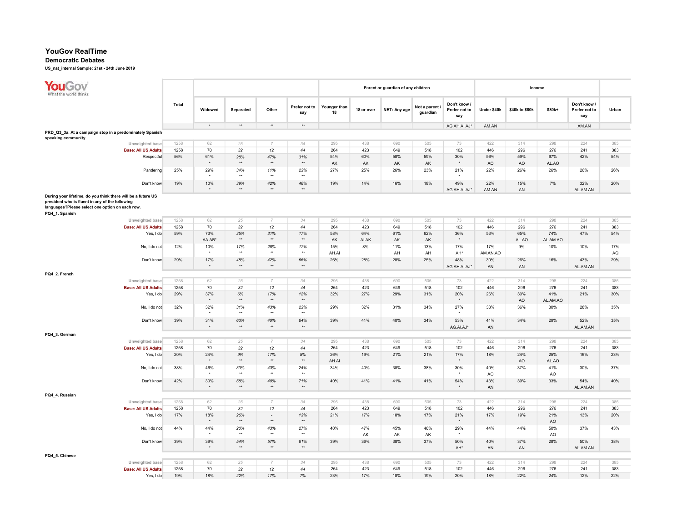#### Democratic Debates

| <b>YouGov</b><br>Mhat the world thinks                                                                                                                                               |              |                      |                     |                        |                        |                    |              | Parent or guardian of any children |                          |                                      |             | Income         |                 |                                      |       |
|--------------------------------------------------------------------------------------------------------------------------------------------------------------------------------------|--------------|----------------------|---------------------|------------------------|------------------------|--------------------|--------------|------------------------------------|--------------------------|--------------------------------------|-------------|----------------|-----------------|--------------------------------------|-------|
|                                                                                                                                                                                      | <b>Total</b> | Widowed              | Separated           | Other                  | Prefer not to<br>say   | Younger than<br>18 | 18 or over   | NET: Any age                       | Not a parent<br>guardian | Don't know /<br>Prefer not to<br>say | Under \$40k | \$40k to \$80k | \$80k+          | Don't know /<br>Prefer not to<br>say | Urban |
|                                                                                                                                                                                      |              | $^\star$             | $\star\star$        | $^{\star\star}$        | $^{\star\star}$        |                    |              |                                    |                          | AG.AH.AI.AJ*                         | AM.AN       |                |                 | AM.AN                                |       |
| PRD_Q3_3a. At a campaign stop in a predominately Spanish                                                                                                                             |              |                      |                     |                        |                        |                    |              |                                    |                          |                                      |             |                |                 |                                      |       |
| speaking community<br>Unweighted base                                                                                                                                                | 1258         | 62                   | 25                  | $\overline{7}$         | 34                     | 295                | 438          | 690                                | 505                      | 73                                   | 422         | 314            | 298             | 224                                  | 385   |
| <b>Base: All US Adults</b>                                                                                                                                                           | 1258         | 70                   | 32                  | 12                     | 44                     | 264                | 423          | 649                                | 518                      | 102                                  | 446         | 296            | 276             | 241                                  | 383   |
| Respectful                                                                                                                                                                           | 56%          | 61%                  | 28%                 | 47%                    | 31%                    | 54%                | 60%          | 58%                                | 59%                      | 30%                                  | 56%         | 59%            | 67%             | 42%                                  | 54%   |
|                                                                                                                                                                                      |              |                      | $\star\star$        | $\star\star$           | $**$                   | AK                 | AK           | AK                                 | AK                       | $\star$                              | AO          | AO             | AL.AO           |                                      |       |
| Pandering                                                                                                                                                                            | 25%          | 29%                  | 34%                 | 11%                    | 23%                    | 27%                | 25%          | 26%                                | 23%                      | 21%                                  | 22%         | 26%            | 26%             | 26%                                  | 26%   |
|                                                                                                                                                                                      |              |                      | $\star\star$        | $\star\star$           | $\star\star$           |                    |              |                                    |                          | $\star$                              |             |                |                 |                                      |       |
| Don't know                                                                                                                                                                           | 19%          | 10%                  | 39%                 | 42%                    | 46%                    | 19%                | 14%          | 16%                                | 18%                      | 49%                                  | 22%         | 15%            | 7%              | 32%                                  | 20%   |
|                                                                                                                                                                                      |              |                      | $\star\star$        | $\star\star$           | $\star\star$           |                    |              |                                    |                          | AG.AH.AI.AJ*                         | AM.AN       | AN             |                 | AL.AM.AN                             |       |
| During your lifetime, do you think there will be a future US<br>president who is fluent in any of the following<br>languages?Please select one option on each row.<br>PQ4_1. Spanish |              |                      |                     |                        |                        |                    |              |                                    |                          |                                      |             |                |                 |                                      |       |
| Unweighted base                                                                                                                                                                      | 1258         | 62                   | 25                  |                        | 34                     | 295                | 438          | 690                                | 505                      | 73                                   | 422         | 314            | 298             | 224                                  | 385   |
| <b>Base: All US Adults</b>                                                                                                                                                           | 1258         | 70                   | 32                  | 12                     | 44                     | 264                | 423          | 649                                | 518                      | 102                                  | 446         | 296            | 276             | 241                                  | 383   |
| Yes, I do                                                                                                                                                                            | 59%          | 73%<br>AA.AB*        | 35%<br>$\star\star$ | 31%<br>$\star\star$    | 17%<br>$**$            | 58%<br>AK          | 64%<br>AI.AK | 61%                                | 62%<br>AK                | 36%<br>$\star$                       | 53%         | 65%<br>AL.AO   | 74%<br>AL.AM.AO | 47%                                  | 54%   |
| No, I do not                                                                                                                                                                         | 12%          | 10%                  | 17%                 | 28%                    |                        | 15%                | 8%           | AK<br>11%                          | 13%                      | 17%                                  | 17%         | 9%             | 10%             | 10%                                  | 17%   |
|                                                                                                                                                                                      |              |                      | $^{\star\star}$     | $\star\star$           | 17%<br>$\star\star$    | AH.AI              |              | AH                                 | AH                       | AH*                                  | AM.AN.AO    |                |                 |                                      | AQ    |
| Don't know                                                                                                                                                                           | 29%          | 17%                  | 48%                 | 42%                    | 66%                    | 26%                | 28%          | 28%                                | 25%                      | 48%                                  | 30%         | 26%            | 16%             | 43%                                  | 29%   |
|                                                                                                                                                                                      |              |                      | $^{\star\star}$     | $\star\star$           | $\star\star$           |                    |              |                                    |                          | AG.AH.AI.AJ*                         | AN          | AN             |                 | AL.AM.AN                             |       |
| PQ4_2. French                                                                                                                                                                        |              |                      |                     |                        |                        |                    |              |                                    |                          |                                      |             |                |                 |                                      |       |
| Unweighted base                                                                                                                                                                      | 1258         | 62                   | 25                  | $\overline{7}$         | 34                     | 295                | 438          | 690                                | 505                      | 73                                   | 422         | 314            | 298             | 224                                  | 385   |
| <b>Base: All US Adults</b>                                                                                                                                                           | 1258         | 70                   | 32                  | 12                     | 44                     | 264                | 423          | 649                                | 518                      | 102                                  | 446         | 296            | 276             | 241                                  | 383   |
| Yes, I do                                                                                                                                                                            | 29%          | 37%                  | 6%                  | 17%                    | 12%                    | 32%                | 27%          | 29%                                | 31%                      | 20%                                  | 26%         | 30%            | 41%             | 21%                                  | 30%   |
|                                                                                                                                                                                      |              |                      | $\star\star$        | $\star\star$           | $\star\star$           |                    |              |                                    |                          | $\star$                              |             | AO             | AL.AM.AO        |                                      |       |
| No, I do not                                                                                                                                                                         | 32%          | 32%                  | 31%<br>$\star\star$ | 43%<br>$\star\star$    | 23%<br>$\star\star$    | 29%                | 32%          | 31%                                | 34%                      | 27%                                  | 33%         | 36%            | 30%             | 28%                                  | 35%   |
| Don't know                                                                                                                                                                           | 39%          | 31%                  | 63%<br>$\star\star$ | 40%<br>$\star\star$    | 64%<br>$\star\star$    | 39%                | 41%          | 40%                                | 34%                      | 53%<br>AG.AI.AJ*                     | 41%<br>AN   | 34%            | 29%             | 52%<br>AL.AM.AN                      | 35%   |
| PQ4_3. German                                                                                                                                                                        |              |                      |                     |                        |                        |                    |              |                                    |                          |                                      |             |                |                 |                                      |       |
| Unweighted base                                                                                                                                                                      | 1258         | 62                   | 25                  | $\overline{7}$         | 34                     | 295                | 438          | 690                                | 505                      | 73                                   | 422         | 314            | 298             | 224                                  | 385   |
| <b>Base: All US Adults</b>                                                                                                                                                           | 1258         | 70                   | 32                  | 12                     | 44                     | 264                | 423          | 649                                | 518                      | 102                                  | 446         | 296            | 276             | 241                                  | 383   |
| Yes, I do                                                                                                                                                                            | 20%          | 24%<br>$\star$       | 9%<br>$\star\star$  | 17%<br>$^{\star\star}$ | $5\%$<br>$\star\star$  | 26%<br>AH.AI       | 19%          | 21%                                | 21%                      | 17%<br>$\star$                       | 18%         | 24%<br>AO      | 25%<br>AL.AO    | 16%                                  | 23%   |
| No, I do not                                                                                                                                                                         | 38%          | 46%                  | 33%<br>$\star\star$ | 43%<br>$\star\star$    | 24%<br>$\star\star$    | 34%                | 40%          | 38%                                | 38%                      | 30%                                  | 40%<br>AO   | 37%            | 41%<br>AO       | 30%                                  | 37%   |
| Don't know                                                                                                                                                                           | 42%          | 30%                  | 58%                 | 40%                    | 71%                    | 40%                | 41%          | 41%                                | 41%                      | 54%                                  | 43%         | 39%            | 33%             | 54%                                  | 40%   |
|                                                                                                                                                                                      |              |                      | $^{\star\star}$     | $\star\star$           | $^{\star\star}$        |                    |              |                                    |                          | $^\star$                             | AN          |                |                 | AL.AM.AN                             |       |
| PQ4_4. Russian                                                                                                                                                                       |              |                      |                     |                        |                        |                    |              |                                    |                          |                                      |             |                |                 |                                      |       |
| Unweighted base                                                                                                                                                                      | 1258         | 62                   | 25                  | $\overline{7}$         | 34                     | 295                | 438          | 690                                | 505                      | 73                                   | 422         | 314            | 298             | 224                                  | 385   |
| <b>Base: All US Adults</b>                                                                                                                                                           | 1258         | 70                   | 32                  | 12                     | 44                     | 264                | 423          | 649                                | 518                      | 102                                  | 446         | 296            | 276             | 241                                  | 383   |
| Yes, I do                                                                                                                                                                            | 17%          | 18%                  | 26%                 | $\omega$               | 13%                    | 21%                | 17%          | 18%                                | 17%                      | 21%                                  | 17%         | 19%            | 21%             | 13%                                  | 20%   |
|                                                                                                                                                                                      |              |                      | $\star\star$        | $\star\star$           | $\star\star$           |                    |              |                                    |                          |                                      |             |                | AO              |                                      |       |
| No, I do not                                                                                                                                                                         | 44%          | 44%                  | 20%<br>$\star\star$ | 43%<br>$\star\star$    | 27%<br>$^{\star\star}$ | 40%                | 47%<br>AK    | 45%<br>AK                          | 46%<br>AK                | 29%<br>$\star$                       | 44%         | 44%            | 50%<br>AO       | 37%                                  | 43%   |
| Don't know                                                                                                                                                                           | 39%          | 39%                  | 54%                 | 57%                    | 61%                    | 39%                | 36%          | 38%                                | 37%                      | 50%                                  | 40%         | 37%            | 28%             | 50%                                  | 38%   |
|                                                                                                                                                                                      |              | $\ddot{\phantom{1}}$ | $\star\star$        | $\star\star$           | $\star\star$           |                    |              |                                    |                          | AH <sup>*</sup>                      | AN          | AN             |                 | AL.AM.AN                             |       |
| PQ4_5. Chinese                                                                                                                                                                       |              |                      |                     |                        |                        |                    |              |                                    |                          |                                      |             |                |                 |                                      |       |
| Unweighted base                                                                                                                                                                      | 1258         | 62                   | 25                  | $\overline{7}$         | 34                     | 295                | 438          | 690                                | 505                      | 73                                   | 422         | 314            | 298             | 224                                  | 385   |
| <b>Base: All US Adults</b>                                                                                                                                                           | 1258         | 70                   | 32                  | 12                     | 44                     | 264                | 423          | 649                                | 518                      | 102                                  | 446         | 296            | 276             | 241                                  | 383   |
| Yes, I do                                                                                                                                                                            | 19%          | 18%                  | 22%                 | 17%                    | 7%                     | 23%                | 17%          | 18%                                | 19%                      | 20%                                  | 18%         | 22%            | 24%             | 12%                                  | 22%   |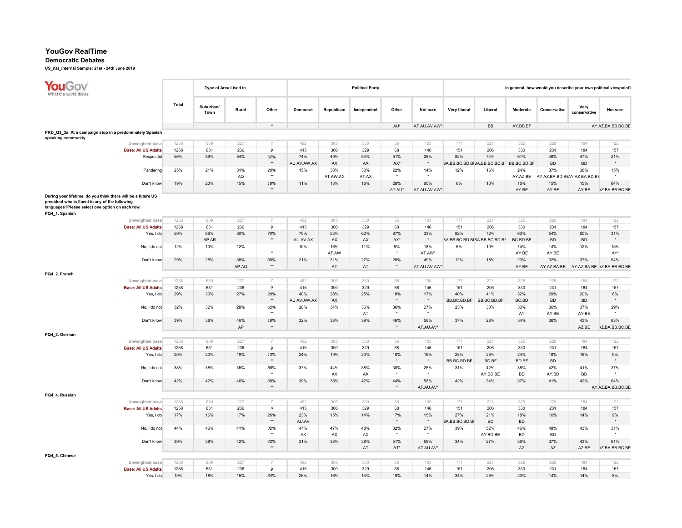## Democratic Debates

| YouGov<br>What the world thinks                                                                                                                                                      |              | Type of Area Lived in |              |                                          |                    |                 | <b>Political Party</b> |                |                     |                    |                                                 |                  |                                     |                      | In general, how would you describe your own political viewpoint? |
|--------------------------------------------------------------------------------------------------------------------------------------------------------------------------------------|--------------|-----------------------|--------------|------------------------------------------|--------------------|-----------------|------------------------|----------------|---------------------|--------------------|-------------------------------------------------|------------------|-------------------------------------|----------------------|------------------------------------------------------------------|
|                                                                                                                                                                                      | Total        | Suburban/<br>Town     | Rural        | Other                                    | Democrat           | Republican      | Independent            | Other          | Not sure            | Very liberal       | Liberal                                         | Moderate         | Conservative                        | Very<br>conservative | Not sure                                                         |
|                                                                                                                                                                                      |              |                       |              | $\star\star$                             |                    |                 |                        | AU*            | AT.AU.AV.AW*        |                    | BB                                              | AY.BB.BF         |                                     |                      | AY.AZ.BA.BB.BC.BE                                                |
| PRD_Q3_3a. At a campaign stop in a predominately Spanish-<br>speaking community                                                                                                      |              |                       |              |                                          |                    |                 |                        |                |                     |                    |                                                 |                  |                                     |                      |                                                                  |
| Unweighted base                                                                                                                                                                      | 1258         | 639                   | 227          |                                          | 462                | 305             | 330                    | 56             | 105                 | 177                | 221                                             | 325              | 229                                 | 184                  | 122                                                              |
| <b>Base: All US Adults</b>                                                                                                                                                           | 1258         | 631                   | 236          | 9                                        | 415                | 300             | 329                    | 68             | 146                 | 151                | 206                                             | 330              | 231                                 | 184                  | 157                                                              |
| Respectful                                                                                                                                                                           | 56%          | 59%                   | 54%          | 62%<br>$\star\star$                      | 74%<br>AU.AV.AW.AX | 49%<br>AX       | 54%<br>AX              | 51%<br>AX*     | 26%<br>$\star$      | 82%                | 74%<br>3A.BB.BC.BD.BF3A.BB.BC.BD.BF BB.BC.BD.BF | 61%              | 48%<br><b>BD</b>                    | 47%<br><b>BD</b>     | 21%                                                              |
| Pandering                                                                                                                                                                            | 25%          | 21%                   | 31%<br>AQ    | 20%<br>$\star\star$                      | 15%                | 38%<br>AT.AW.AX | 30%<br>AT.AX           | 22%            | 14%                 | 12%                | 16%                                             | 24%<br>AY.AZ.BE  | 37%<br>AY.AZ.BA.BD.BEAY.AZ.BA.BD.BE | 38%                  | 15%                                                              |
| Don't know                                                                                                                                                                           | 19%          | 20%                   | 15%          | 18%<br>$\star\star$                      | 11%                | 13%             | 16%                    | 28%<br>AT.AU*  | 60%<br>AT.AU.AV.AW* | $6\%$              | 10%                                             | 15%<br>AY.BE     | 15%<br>AY.BE                        | 15%<br>AY.BE         | 64%<br><b>\Z.BA.BB.BC.BE</b>                                     |
| During your lifetime, do you think there will be a future US<br>president who is fluent in any of the following<br>languages?Please select one option on each row.<br>PQ4 1. Spanish |              |                       |              |                                          |                    |                 |                        |                |                     |                    |                                                 |                  |                                     |                      |                                                                  |
| Unweighted base<br><b>Base: All US Adults</b>                                                                                                                                        | 1258<br>1258 | 639<br>631            | 227<br>236   | $\overline{7}$<br>9                      | 462<br>415         | 305<br>300      | 330<br>329             | 56<br>68       | 105<br>146          | 177<br>151         | 221<br>206                                      | 325<br>330       | 229<br>231                          | 184<br>184           | 122<br>157                                                       |
| Yes, I do                                                                                                                                                                            | 59%          | 66%                   | 50%          | 70%                                      | 70%                | 53%             | 62%                    | 67%            | 33%                 | 82%                | 72%                                             | 63%              | 54%                                 | 50%                  | 31%                                                              |
|                                                                                                                                                                                      |              | AP.AR                 |              | $**$                                     | AU.AV.AX           | AX              | AX                     | AX*            | $\star$             |                    | 3A.BB.BC.BD.BE3A.BB.BC.BD.BF                    | BC.BD.BF         | <b>BD</b>                           | <b>BD</b>            |                                                                  |
| No, I do not                                                                                                                                                                         | 12%          | 10%                   | 12%          | $\overline{\phantom{a}}$<br>$\star\star$ | 10%                | 16%<br>AT.AW    | 11%                    | 5%             | 18%<br>AT.AW*       | 6%                 | 10%                                             | 14%<br>AY.BE     | 14%<br>AY.BE                        | 12%                  | 15%<br>AY*                                                       |
| Don't know                                                                                                                                                                           | 29%          | 25%                   | 38%<br>AP.AQ | 30%<br>$\star\star$                      | 21%                | 31%<br>AT       | 27%<br>AT              | 28%<br>$\star$ | 49%<br>AT.AU.AV.AW* | 12%                | 18%                                             | 23%<br>AY.BE     | 32%<br>AY.AZ.BA.BE                  | 37%                  | 54%<br>AY.AZ.BA.BE \Z.BA.BB.BC.BE                                |
| PQ4_2. French                                                                                                                                                                        |              |                       |              |                                          |                    |                 |                        |                |                     |                    |                                                 |                  |                                     |                      |                                                                  |
| Unweighted base                                                                                                                                                                      | 1258         | 639                   | 227          | $\overline{7}$                           | 462                | 305             | 330                    | 56             | 105                 | 177                | 221                                             | 325              | 229                                 | 184                  | 122                                                              |
| <b>Base: All US Adults</b>                                                                                                                                                           | 1258         | 631                   | 236          | 9                                        | 415                | 300             | 329                    | 68             | 146                 | 151                | 206                                             | 330              | 231                                 | 184                  | 157                                                              |
| Yes, I do                                                                                                                                                                            | 29%          | 30%                   | 27%          | 20%<br>$\star\star$                      | 40%<br>AU.AV.AW.AX | 28%<br>AX       | 25%                    | 18%            | 17%<br>$\star$      | 40%<br>BB.BC.BD.BF | 41%<br>BB.BC.BD.BF                              | 32%<br>BC.BD     | 29%<br><b>BD</b>                    | 20%<br><b>BD</b>     | 8%<br>$\star$                                                    |
| No, I do not                                                                                                                                                                         | 32%          | 32%                   | 28%          | 62%<br>$\ddot{\phantom{1}}$              | 28%                | 34%             | 36%<br>AT              | 36%            | 27%                 | 23%                | 30%                                             | 33%<br>AY        | 36%<br>AY.BE                        | 37%<br>AY.BE         | 29%                                                              |
| Don't know                                                                                                                                                                           | 39%          | 38%                   | 46%<br>AP    | 18%<br>$\star\star$                      | 32%                | 38%             | 39%                    | 46%<br>$\star$ | 56%<br>AT.AU.AV*    | 37%                | 28%                                             | 34%              | 36%                                 | 43%<br>AZ.BE         | 63%<br><b>\Z.BA.BB.BC.BE</b>                                     |
| PQ4_3. German                                                                                                                                                                        |              |                       |              |                                          |                    |                 |                        |                |                     |                    |                                                 |                  |                                     |                      |                                                                  |
| Unweighted base                                                                                                                                                                      | 1258         | 639                   | 227          | $\overline{7}$                           | 462                | 305             | 330                    | 56             | 105                 | 177                | 221                                             | 325              | 229                                 | 184                  | 122                                                              |
| <b>Base: All US Adults</b>                                                                                                                                                           | 1258         | 631                   | 236          | 9                                        | 415                | 300             | 329                    | 68             | 146                 | 151                | 206                                             | 330              | 231                                 | 184                  | 157                                                              |
| Yes, I do                                                                                                                                                                            | 20%          | 20%                   | 19%          | 13%<br>$\star\star$                      | 24%                | 19%             | 20%                    | 18%            | 16%<br>$\star$      | 28%<br>BB.BC.BD.BF | 25%<br>BD.BF                                    | 24%<br>BD.BF     | 18%<br><b>BD</b>                    | 16%                  | 9%<br>$\star$                                                    |
| No, I do not                                                                                                                                                                         | 38%          | 38%                   | 35%          | 58%<br>$\star\star$                      | 37%                | 44%<br>AX       | 38%<br>AX              | 38%            | 26%                 | 31%                | 42%<br>AY.BD.BE                                 | 38%<br><b>BD</b> | 42%<br>AY.BD                        | 41%<br><b>BD</b>     | 27%                                                              |
| Don't know                                                                                                                                                                           | 42%          | 42%                   | 46%          | 30%<br>$\star\star$                      | 39%                | 38%             | 42%                    | 44%            | 58%<br>AT.AU.AV*    | 42%                | 34%                                             | 37%              | 41%                                 | 42%                  | 64%<br>AY.AZ.BA.BB.BC.BE                                         |
| PQ4_4. Russian                                                                                                                                                                       |              |                       |              |                                          |                    |                 |                        |                |                     |                    |                                                 |                  |                                     |                      |                                                                  |
| Unweighted base                                                                                                                                                                      | 1258         | 639                   | 227          |                                          | 462                | 305             | 330                    | 56             | 105                 | 177                | 221                                             | 325              | 229                                 | 184                  | 122                                                              |
| <b>Base: All US Adults</b>                                                                                                                                                           | 1258<br>17%  | 631<br>16%            | 236<br>17%   | 9<br>26%                                 | 415<br>23%         | 300<br>15%      | 329<br>14%             | 68<br>17%      | 146<br>15%          | 151<br>27%         | 206<br>21%                                      | 330<br>18%       | 231<br>16%                          | 184<br>14%           | 157<br>9%                                                        |
| Yes, I do                                                                                                                                                                            |              |                       |              | $\star\star$                             | AU.AV              |                 |                        |                | $\star$             | 3A.BB.BC.BD.BF     | <b>BD</b>                                       | <b>BD</b>        |                                     |                      | $\star$                                                          |
| No, I do not                                                                                                                                                                         | 44%          | 46%                   | 41%          | 32%<br>$\star\star$                      | 47%<br>AX          | 47%<br>AX       | 48%<br>AX              | 32%            | 27%                 | 39%                | 52%<br>AY.BD.BE                                 | 46%<br><b>BD</b> | 48%<br><b>BD</b>                    | 43%                  | 31%                                                              |
| Don't know                                                                                                                                                                           | 39%          | 38%                   | 42%          | 42%<br>$\star\star$                      | 31%                | 38%             | 38%<br>AT              | 51%<br>AT*     | 58%<br>AT.AU.AV*    | 34%                | 27%                                             | 36%<br>AZ        | 37%<br>AZ                           | 43%                  | 61%                                                              |
| PQ4_5. Chinese                                                                                                                                                                       |              |                       |              |                                          |                    |                 |                        |                |                     |                    |                                                 |                  |                                     | AZ.BE                | <b>\Z.BA.BB.BC.BE</b>                                            |
| Unweighted base                                                                                                                                                                      | 1258         | 639                   | 227          | $\overline{z}$                           | 462                | 305             | 330                    | 56             | 105                 | 177                | 221                                             | 325              | 229                                 | 184                  | 122                                                              |
| <b>Base: All US Adults</b>                                                                                                                                                           | 1258         | 631                   | 236          | 9                                        | 415                | 300             | 329                    | 68             | 146                 | 151                | 206                                             | 330              | 231                                 | 184                  | 157                                                              |
| Yes, I do                                                                                                                                                                            | 19%          | 18%                   | 15%          | 34%                                      | 26%                | 16%             | 14%                    | 19%            | 14%                 | 34%                | 25%                                             | 20%              | 14%                                 | 14%                  | 8%                                                               |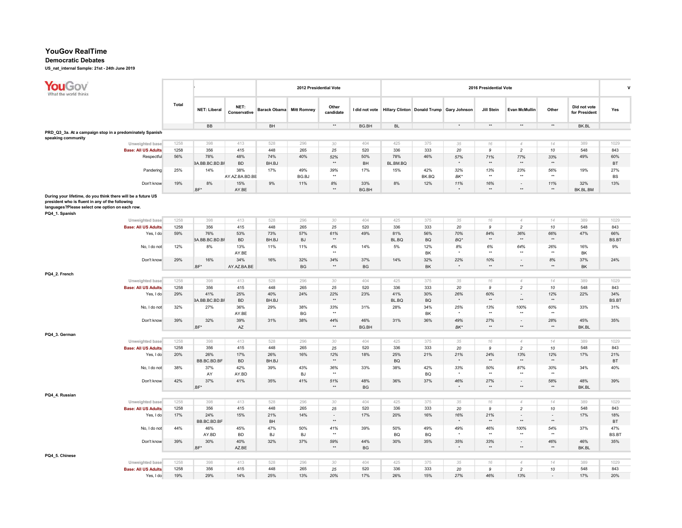#### Democratic Debates

| YouGov<br>What the world thinks                                                                                                                                                      |                                               |       |                     |                      |                                 | 2012 Presidential Vote |                     |           |           |           |                                                          | 2016 Presidential Vote |                                          |                        |                               | $\mathbf v$  |
|--------------------------------------------------------------------------------------------------------------------------------------------------------------------------------------|-----------------------------------------------|-------|---------------------|----------------------|---------------------------------|------------------------|---------------------|-----------|-----------|-----------|----------------------------------------------------------|------------------------|------------------------------------------|------------------------|-------------------------------|--------------|
|                                                                                                                                                                                      |                                               | Total | <b>NET: Liberal</b> | NET:<br>Conservative | <b>Barack Obama</b> Mitt Romney |                        | Other<br>candidate  |           |           |           | I did not vote Hillary Clinton Donald Trump Gary Johnson | Jill Stein             | Evan McMullin                            | Other                  | Did not vote<br>for President | Yes          |
|                                                                                                                                                                                      |                                               |       | BB                  |                      | BH                              |                        | $\star\star$        | BG.BH     | <b>BL</b> |           | $\star$                                                  | $^{\star\star}$        | $\star\star$                             | $^{\star\star}$        | BK.BL                         |              |
| PRD_Q3_3a. At a campaign stop in a predominately Spanish                                                                                                                             |                                               |       |                     |                      |                                 |                        |                     |           |           |           |                                                          |                        |                                          |                        |                               |              |
| speaking community                                                                                                                                                                   | Unweighted base                               | 1258  | 398                 | 413                  | 528                             | 296                    | 30                  | 404       | 425       | 375       | 35                                                       | 16                     | $\overline{4}$                           | 14                     | 389                           | 1029         |
|                                                                                                                                                                                      | <b>Base: All US Adults</b>                    | 1258  | 356                 | 415                  | 448                             | 265                    | 25                  | 520       | 336       | 333       | 20                                                       | 9                      | $\overline{c}$                           | 10                     | 548                           | 843          |
|                                                                                                                                                                                      | Respectful                                    | 56%   | 78%                 | 48%                  | 74%                             | 40%                    | 52%                 | 50%       | 78%       | 46%       | 57%                                                      | 71%                    | 77%                                      | 33%                    | 49%                           | 60%          |
|                                                                                                                                                                                      |                                               |       | BA.BB.BC.BD.BF      | <b>BD</b>            | BH.BJ                           |                        | $\star\star$        | BH        | BL.BM.BQ  |           |                                                          | $\star\star$           | $\star\star$                             | $\star\star$           |                               | BT           |
|                                                                                                                                                                                      | Pandering                                     | 25%   | 14%                 | 38%                  | 17%                             | 49%                    | 39%                 | 17%       | 15%       | 42%       | 32%                                                      | 13%                    | 23%                                      | 56%                    | 19%                           | 27%          |
|                                                                                                                                                                                      |                                               |       |                     | AY.AZ.BA.BD.BE       |                                 | BG.BJ                  | $\star\star$        |           |           | BK.BQ     | BK*                                                      | $\star\star$           | $\star\star$                             | $\star\star$           |                               | BS           |
|                                                                                                                                                                                      | Don't know                                    | 19%   | 8%                  | 15%                  | 9%                              | 11%                    | 8%                  | 33%       | 8%        | 12%       | 11%                                                      | 16%                    | $\blacksquare$                           | 11%                    | 32%                           | 13%          |
|                                                                                                                                                                                      |                                               |       | .BF*                | AY.BE                |                                 |                        | $\star\star$        | BG.BH     |           |           | $\ddot{\phantom{0}}$                                     | $\star\star$           | ××                                       | $+$                    | BK.BL.BM                      |              |
| During your lifetime, do you think there will be a future US<br>president who is fluent in any of the following<br>languages?Please select one option on each row.<br>PQ4_1. Spanish |                                               |       |                     |                      |                                 |                        |                     |           |           |           |                                                          |                        |                                          |                        |                               |              |
|                                                                                                                                                                                      | Unweighted base                               | 1258  | 398                 | 413                  | 528                             | 296                    | 30                  | 404       | 425       | 375       | 35                                                       | 16                     | $\overline{4}$                           | 14                     | 389                           | 1029         |
|                                                                                                                                                                                      | <b>Base: All US Adults</b>                    | 1258  | 356                 | 415                  | 448                             | 265                    | 25                  | 520       | 336       | 333       | 20                                                       | 9                      | $\overline{c}$                           | 10                     | 548                           | 843          |
|                                                                                                                                                                                      | Yes, I do                                     | 59%   | 76%                 | 53%                  | 73%                             | 57%                    | 61%                 | 49%       | 81%       | 56%       | 70%                                                      | 84%<br>$\star\star$    | 36%                                      | 66%                    | 47%                           | 66%          |
|                                                                                                                                                                                      |                                               |       | BA.BB.BC.BD.BF      | <b>BD</b>            | BH.BJ                           | <b>BJ</b>              | $\star\star$        |           | BL.BQ     | <b>BQ</b> | $BO*$                                                    |                        | $**$                                     | $\star\star$           |                               | BS.BT        |
|                                                                                                                                                                                      | No, I do not                                  | 12%   | 8%                  | 13%<br>AY.BE         | 11%                             | 11%                    | 4%<br>$\star\star$  | 14%       | 5%        | 12%<br>BK | 8%<br>$\ddot{\phantom{0}}$                               | 6%<br>$\star\star$     | 64%<br>$\star\star$                      | 26%<br>$^{\star\star}$ | 16%<br>BK                     | 9%           |
|                                                                                                                                                                                      | Don't know                                    | 29%   | 16%                 | 34%                  | 16%                             | 32%                    | 34%<br>$\star\star$ | 37%       | 14%       | 32%       | 22%<br>$\star$                                           | 10%<br>$\star\star$    | $\overline{\phantom{a}}$<br>$\star\star$ | $8\%$<br>$**$          | 37%                           | 24%          |
|                                                                                                                                                                                      |                                               |       | .BF*                | AY.AZ.BA.BE          |                                 | BG                     |                     | BG        |           | BK        |                                                          |                        |                                          |                        | BK                            |              |
| PQ4_2. French                                                                                                                                                                        |                                               |       |                     |                      |                                 |                        |                     |           |           |           |                                                          |                        |                                          |                        |                               |              |
|                                                                                                                                                                                      | Unweighted base                               | 1258  | 398                 | 413                  | 528                             | 296                    | 30                  | 404       | 425       | 375       | 35                                                       | 16                     | $\overline{4}$                           | 14                     | 389                           | 1029         |
|                                                                                                                                                                                      | <b>Base: All US Adults</b>                    | 1258  | 356                 | 415                  | 448                             | 265                    | 25                  | 520       | 336       | 333       | 20                                                       | 9                      | $\overline{c}$                           | 10                     | 548                           | 843          |
|                                                                                                                                                                                      | Yes, I do                                     | 29%   | 41%                 | 25%                  | 40%                             | 24%                    | 22%<br>$\star\star$ | 23%       | 41%       | 30%       | 26%<br>$\star$                                           | 60%<br>$\star\star$    | $\blacksquare$<br>××                     | 12%<br>$^{\star\star}$ | 22%                           | 34%          |
|                                                                                                                                                                                      |                                               |       | BA.BB.BC.BD.BF      | <b>BD</b>            | BH.BJ                           |                        |                     |           | BL.BQ     | BQ        |                                                          |                        |                                          |                        |                               | <b>BS.BT</b> |
|                                                                                                                                                                                      | No, I do not                                  | 32%   | 27%                 | 36%                  | 29%                             | 38%                    | 33%<br>$\star\star$ | 31%       | 28%       | 34%<br>BK | 25%                                                      | 13%<br>$\star$         | 100%<br>$\star\star$                     | 60%<br>$\star\star$    | 33%                           | 31%          |
|                                                                                                                                                                                      | Don't know                                    | 39%   | 32%                 | AY.BE<br>39%         | 31%                             | BG<br>38%              | 44%                 | 46%       | 31%       | 36%       | 49%                                                      | 27%                    | $\overline{\phantom{a}}$                 | 28%                    | 45%                           | 35%          |
|                                                                                                                                                                                      |                                               |       | $BF^*$              | AZ                   |                                 |                        | $\star\star$        | BG.BH     |           |           | $BK^*$                                                   | $\rightarrow$          | $\star\star$                             | $**$                   | BK.BL                         |              |
| PQ4_3. German                                                                                                                                                                        |                                               |       |                     |                      |                                 |                        |                     |           |           |           |                                                          |                        |                                          |                        |                               |              |
|                                                                                                                                                                                      | Unweighted base                               | 1258  | 398                 | 413                  | 528                             | 296                    | 30                  | 404       | 425       | 375       | 35                                                       | 16                     | $\overline{4}$                           | 14                     | 389                           | 1029         |
|                                                                                                                                                                                      | <b>Base: All US Adults</b>                    | 1258  | 356                 | 415                  | 448                             | 265                    | 25                  | 520       | 336       | 333       | 20                                                       | 9                      | $\overline{c}$                           | 10                     | 548                           | 843          |
|                                                                                                                                                                                      | Yes, I do                                     | 20%   | 26%                 | 17%                  | 26%                             | 16%                    | 12%                 | 18%       | 25%       | 21%       | 21%                                                      | 24%                    | 13%                                      | 12%                    | 17%                           | 21%          |
|                                                                                                                                                                                      |                                               |       | BB.BC.BD.BF         | <b>BD</b>            | BH.BJ                           |                        | $\star\star$        |           | BQ        |           |                                                          | $^{\star\star}$        | $\star\star$                             | $^{\star\star}$        |                               | BT           |
|                                                                                                                                                                                      | No, I do not                                  | 38%   | 37%                 | 42%                  | 39%                             | 43%                    | 36%                 | 33%       | 38%       | 42%       | 33%                                                      | 50%                    | 87%                                      | 30%                    | 34%                           | 40%          |
|                                                                                                                                                                                      |                                               |       | AY                  | AY.BD                |                                 | <b>BJ</b>              | $\star\star$        |           |           | <b>BQ</b> |                                                          | $\star$                | $\star\star$                             | $\star\star$           |                               |              |
|                                                                                                                                                                                      | Don't know                                    | 42%   | 37%                 | 41%                  | 35%                             | 41%                    | 51%                 | 48%       | 36%       | 37%       | 46%                                                      | 27%                    | $\overline{\phantom{a}}$                 | 58%                    | 48%                           | 39%          |
|                                                                                                                                                                                      |                                               |       | $BF^*$              |                      |                                 |                        | $\star\star$        | <b>BG</b> |           |           | $\star$                                                  | $\star\star$           | $\star\star$                             | $**$                   | BK.BL                         |              |
| PQ4_4. Russian                                                                                                                                                                       |                                               |       |                     |                      |                                 |                        |                     |           |           |           |                                                          |                        |                                          |                        |                               |              |
|                                                                                                                                                                                      | Unweighted base                               | 1258  | 398                 | 413                  | 528                             | 296                    | 30                  | 404       | 425       | 375       | 35                                                       | 16                     | $\overline{4}$                           | 14                     | 389                           | 1029         |
|                                                                                                                                                                                      | <b>Base: All US Adults</b>                    | 1258  | 356                 | 415                  | 448                             | 265                    | 25                  | 520       | 336       | 333       | 20                                                       | 9                      | $\overline{c}$                           | 10                     | 548                           | 843          |
|                                                                                                                                                                                      | Yes, I do                                     | 17%   | 24%                 | 15%                  | 21%                             | 14%                    | $\omega$            | 17%       | 20%       | 16%       | 16%                                                      | 21%                    | $\blacksquare$                           | $\sim$                 | 17%                           | 18%          |
|                                                                                                                                                                                      |                                               |       | BB.BC.BD.BF         |                      | BH                              |                        | $\star\star$        |           |           |           | $\ddot{\phantom{0}}$                                     | $\rightarrow$          | $\star\star$                             | $\star\star$           |                               | BT           |
|                                                                                                                                                                                      | No, I do not                                  | 44%   | 46%                 | 45%                  | 47%                             | 50%                    | 41%                 | 39%       | 50%       | 49%       | 49%                                                      | 46%                    | 100%                                     | 54%                    | 37%                           | 47%          |
|                                                                                                                                                                                      |                                               |       | AY.BD               | <b>BD</b>            | <b>BJ</b>                       | <b>BJ</b>              | $\star\star$        |           | BQ        | <b>BQ</b> | $\star$                                                  | $\star$                | $\star\star$                             | $**$                   |                               | <b>BS.BT</b> |
|                                                                                                                                                                                      | Don't know                                    | 39%   | 30%                 | 40%                  | 32%                             | 37%                    | 59%                 | 44%       | 30%       | 35%       | 35%                                                      | 33%                    | $\blacksquare$                           | 46%                    | 46%                           | 35%          |
|                                                                                                                                                                                      |                                               |       | $BF^*$              | AZ.BE                |                                 |                        | $**$                | BG        |           |           | $\star$                                                  | $\star\star$           | $\star\star$                             | $***$                  | BK.BL                         |              |
|                                                                                                                                                                                      |                                               |       |                     |                      |                                 |                        |                     |           |           |           |                                                          |                        |                                          |                        |                               |              |
|                                                                                                                                                                                      |                                               |       |                     |                      |                                 |                        |                     |           |           |           |                                                          |                        |                                          |                        |                               |              |
|                                                                                                                                                                                      |                                               | 1258  | 398                 | 413                  | 528                             | 296                    |                     | 404       | 425       | 375       |                                                          |                        | $\overline{4}$                           | 14                     | 389                           | 1029         |
| PQ4_5. Chinese                                                                                                                                                                       | Unweighted base<br><b>Base: All US Adults</b> | 1258  | 356                 | 415                  | 448                             | 265                    | 30<br>25            | 520       | 336       | 333       | 35<br>20                                                 | 16<br>9                | $\overline{c}$                           | 10                     | 548                           | 843          |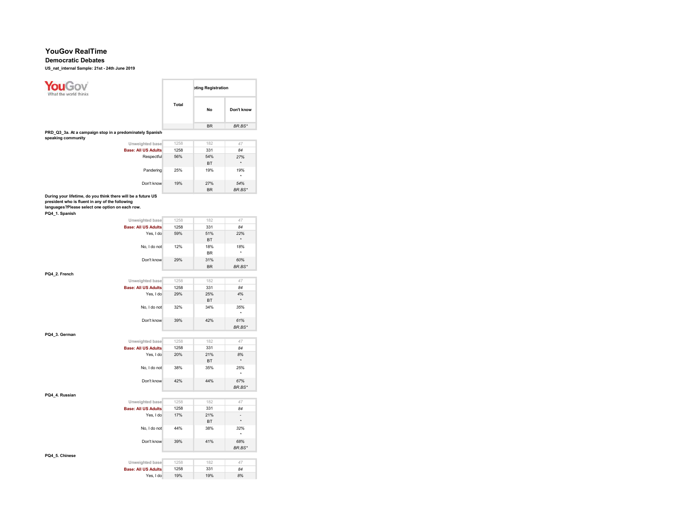### Democratic Debates

| <b>ouGov</b><br>the world thinks                                                                                                                                                     |       | oting Registration |                                     |
|--------------------------------------------------------------------------------------------------------------------------------------------------------------------------------------|-------|--------------------|-------------------------------------|
|                                                                                                                                                                                      | Total | <b>No</b>          | Don't know                          |
|                                                                                                                                                                                      |       | <b>BR</b>          | BR.BS*                              |
| PRD_Q3_3a. At a campaign stop in a predominately Spanish                                                                                                                             |       |                    |                                     |
| speaking community<br>Unweighted base                                                                                                                                                | 1258  | 182                | 47                                  |
| <b>Base: All US Adults</b>                                                                                                                                                           | 1258  | 331                | 84                                  |
| Respectful                                                                                                                                                                           | 56%   | 54%                | 27%                                 |
|                                                                                                                                                                                      |       | BT                 | $^\star$                            |
| Pandering                                                                                                                                                                            | 25%   | 19%                | 19%                                 |
| Don't know                                                                                                                                                                           | 19%   | 27%<br><b>BR</b>   | 54%<br>BR.BS*                       |
| During your lifetime, do you think there will be a future US<br>president who is fluent in any of the following<br>languages?Please select one option on each row.<br>PQ4_1. Spanish |       |                    |                                     |
| Unweighted base                                                                                                                                                                      | 1258  | 182                | 47                                  |
| <b>Base: All US Adults</b>                                                                                                                                                           | 1258  | 331                | 84                                  |
| Yes, I do                                                                                                                                                                            | 59%   | 51%<br><b>BT</b>   | 22%<br>$\star$                      |
| No, I do not                                                                                                                                                                         | 12%   | 18%<br><b>BR</b>   | 18%<br>۰                            |
| Don't know                                                                                                                                                                           | 29%   | 31%<br><b>BR</b>   | 60%<br>BR.BS*                       |
| PQ4_2. French                                                                                                                                                                        |       |                    |                                     |
| Unweighted base                                                                                                                                                                      | 1258  | 182                | 47                                  |
| <b>Base: All US Adults</b>                                                                                                                                                           | 1258  | 331                | 84                                  |
| Yes, I do                                                                                                                                                                            | 29%   | 25%<br><b>BT</b>   | 4%                                  |
| No, I do not                                                                                                                                                                         | 32%   | 34%                | 35%<br>$\star$                      |
| Don't know                                                                                                                                                                           | 39%   | 42%                | 61%<br>BR.BS*                       |
| PQ4_3. German                                                                                                                                                                        |       |                    |                                     |
| Unweighted base                                                                                                                                                                      | 1258  | 182                | 47                                  |
| <b>Base: All US Adults</b>                                                                                                                                                           | 1258  | 331                | 84                                  |
| Yes, I do                                                                                                                                                                            | 20%   | 21%<br><b>BT</b>   | 8%                                  |
| No, I do not                                                                                                                                                                         | 38%   | 35%                | 25%<br>٠                            |
| Don't know                                                                                                                                                                           | 42%   | 44%                | 67%<br>BR.BS*                       |
| PQ4_4. Russian                                                                                                                                                                       |       |                    |                                     |
| Unweighted base                                                                                                                                                                      | 1258  | 182                | 47                                  |
| <b>Base: All US Adults</b>                                                                                                                                                           | 1258  | 331                | 84                                  |
| Yes, I do                                                                                                                                                                            | 17%   | 21%<br><b>BT</b>   | $\overline{\phantom{a}}$<br>$\star$ |
| No, I do not                                                                                                                                                                         | 44%   | 38%                | 32%<br>$^\star$                     |
| Don't know                                                                                                                                                                           | 39%   | 41%                | 68%<br>BR.BS*                       |
| PQ4_5. Chinese                                                                                                                                                                       |       |                    |                                     |
| Unweighted base                                                                                                                                                                      | 1258  | 182                | 47                                  |
| <b>Base: All US Adults</b>                                                                                                                                                           | 1258  | 331                | 84                                  |
| Yes, I do                                                                                                                                                                            | 19%   | 19%                | 8%                                  |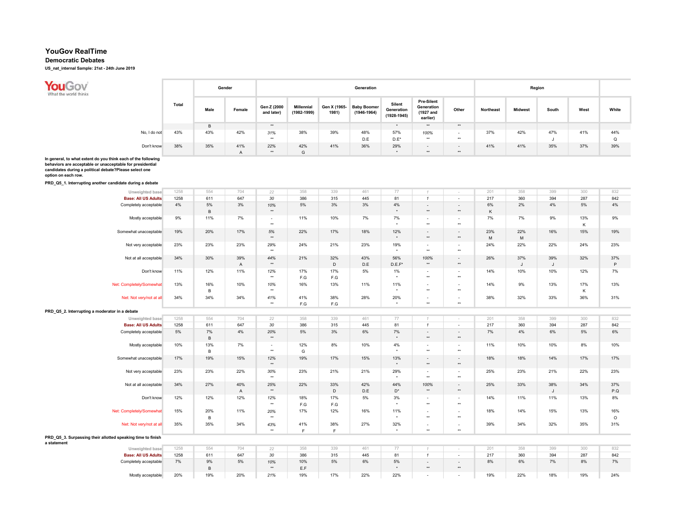## Democratic Debates

US\_nat\_internal Sample: 21st - 24th June 2019

**You Gov**<br>What the world thinks Gender Generation **Generation** Generation **Generation** Communication **Region** Pre-Silent Total Male Female Gen Z (2000 Silent Generation Millennial Generation Gen X (1965- Baby Boomer Other Northeast Midwest South West White and later) (1982-1999) 1981) (1946-1964) (1927 and (1928-1945) earlier) B \*\* \* \*\* \*\* No, I do not 43% 43% 42% 31% 38% 39% 48% 57% 100% - 37% 42% 47% 41% 44% \* | J | D.E | D.E\* | \*\* | \*\* | J | Q Don't know 38% 35% 41% 22% 42% 41% 36% 29% - - 41% 41% 35% 37% 39% A \*\* G \* \*\* \*\*

In general, to what extent do you think each of the following behaviors are acceptable or unacceptable for presidential

candidates during a political debate?Please select one

option on each row.

PRD\_Q5\_1. Interrupting another candidate during a debate

| Unweighted base                                             | 1258  | 554 | 704            | 22             | 358 | 339         | 461 | 77                   | $\mathcal I$             | $\sim$                   | 201 | 358          | 399 | 300 | 832     |
|-------------------------------------------------------------|-------|-----|----------------|----------------|-----|-------------|-----|----------------------|--------------------------|--------------------------|-----|--------------|-----|-----|---------|
| <b>Base: All US Adults</b>                                  | 1258  | 611 | 647            | 30             | 386 | 315         | 445 | 81                   | $\mathbf{1}$             | $\sim$                   | 217 | 360          | 394 | 287 | 842     |
| Completely acceptable                                       | $4\%$ | 5%  | 3%             | 10%            | 5%  | 3%          | 3%  | 4%                   | $\overline{\phantom{a}}$ | $\sim$                   | 6%  | 2%           | 4%  | 5%  | 4%      |
|                                                             |       | В   |                | $\star\star$   |     |             |     | $\star$              | $\star\star$             | $**$                     | Κ   |              |     |     |         |
| Mostly acceptable                                           | 9%    | 11% | 7%             | $\sim$         | 11% | 10%         | 7%  | 7%                   | $\sim$                   | $\sim$                   | 7%  | 7%           | 9%  | 13% | 9%      |
|                                                             |       |     |                | $\star\star$   |     |             |     | $\star$              | $\star\star$             | $\star\star$             |     |              |     | К   |         |
| Somewhat unacceptable                                       | 19%   | 20% | 17%            | $5%$           | 22% | 17%         | 18% | 12%                  | $\overline{\phantom{a}}$ | $\sim$                   | 23% | 22%          | 16% | 15% | 19%     |
|                                                             |       |     |                | $\star\star$   |     |             |     | $\star$              | $\star\star$             | $\star\star$             | M   | M            |     |     |         |
| Not very acceptable                                         | 23%   | 23% | 23%            | 29%            | 24% | 21%         | 23% | 19%                  | $\overline{\phantom{a}}$ | $\sim$                   | 24% | 22%          | 22% | 24% | 23%     |
|                                                             |       |     |                | $\star\star$   |     |             |     | $\star$              | $\star\star$             | $\star\star$             |     |              |     |     |         |
| Not at all acceptable                                       | 34%   | 30% | 39%            | 44%            | 21% | 32%         | 43% | 56%                  | 100%                     | $\sim$                   | 26% | 37%          | 39% | 32% | 37%     |
|                                                             |       |     | $\overline{A}$ | $\star\star$   |     | $\mathsf D$ | D.E | $D.E.F*$             | $^{\star\star}$          | $^{\star\star}$          |     | $\mathsf{J}$ | J   |     | P       |
| Don't know                                                  | 11%   | 12% | 11%            | 12%            | 17% | 17%         | 5%  | 1%                   | $\overline{\phantom{a}}$ | ٠                        | 14% | 10%          | 10% | 12% | 7%      |
|                                                             |       |     |                | $\star\star$   | F.G | F.G         |     | $\star$              | $\star\star$             | $\star\star$             |     |              |     |     |         |
| Net: Completely/Somewhat                                    | 13%   | 16% | 10%            | 10%            | 16% | 13%         | 11% | 11%                  | $\overline{\phantom{a}}$ | $\overline{\phantom{a}}$ | 14% | 9%           | 13% | 17% | 13%     |
|                                                             |       | в   |                | $\star\star$   |     |             |     |                      | $\star\star$             | $\star\star$             |     |              |     | К   |         |
|                                                             | 34%   | 34% | 34%            | 41%            | 41% | 38%         | 28% | 20%                  | $\overline{\phantom{a}}$ | $\sim$                   | 38% | 32%          | 33% | 36% | 31%     |
| Net: Not very/not at all                                    |       |     |                | $\star\star$   | F.G | F.G         |     | $\ddot{\phantom{1}}$ | $\star\star$             | $\star\star$             |     |              |     |     |         |
|                                                             |       |     |                |                |     |             |     |                      |                          |                          |     |              |     |     |         |
| PRD_Q5_2. Interrupting a moderator in a debate              |       |     |                |                |     |             |     |                      |                          |                          |     |              |     |     |         |
| Unweighted base                                             | 1258  | 554 | 704            | 22             | 358 | 339         | 461 | 77                   | $\tau$                   | $\sim$                   | 201 | 358          | 399 | 300 | 832     |
| <b>Base: All US Adults</b>                                  | 1258  | 611 | 647            | 30             | 386 | 315         | 445 | 81                   | $\mathbf{1}$             | $\sim$                   | 217 | 360          | 394 | 287 | 842     |
| Completely acceptable                                       | 5%    | 7%  | 4%             | 20%            | 5%  | 3%          | 6%  | 7%                   | $\overline{\phantom{a}}$ | $\sim$                   | 7%  | $4\%$        | 6%  | 5%  | 6%      |
|                                                             |       | В   |                | $\star\star$   |     |             |     | $^\star$             | $\star\star$             | $\star\star$             |     |              |     |     |         |
| Mostly acceptable                                           | 10%   | 13% | 7%             | $\blacksquare$ | 12% | 8%          | 10% | 4%                   | $\overline{\phantom{a}}$ | $\blacksquare$           | 11% | 10%          | 10% | 8%  | 10%     |
|                                                             |       | в   |                | $\star\star$   | G   |             |     | $\star$              | $\star\star$             | $\star\star$             |     |              |     |     |         |
| Somewhat unacceptable                                       | 17%   | 19% | 15%            | 12%            | 19% | 17%         | 15% | 13%                  | $\overline{\phantom{a}}$ | $\sim$                   | 18% | 18%          | 14% | 17% | 17%     |
|                                                             |       |     |                | $\star\star$   |     |             |     | $\star$              | $\star\star$             | $\star\star$             |     |              |     |     |         |
| Not very acceptable                                         | 23%   | 23% | 22%            | 30%            | 23% | 21%         | 21% | 29%                  | $\sim$                   | $\sim$                   | 25% | 23%          | 21% | 22% | 23%     |
|                                                             |       |     |                | $\star\star$   |     |             |     | $\star$              | $\star\star$             | $\star\star$             |     |              |     |     |         |
| Not at all acceptable                                       | 34%   | 27% | 40%            | 25%            | 22% | 33%         | 42% | 44%                  | 100%                     | $\sim$                   | 25% | 33%          | 38% | 34% | 37%     |
|                                                             |       |     | $\mathsf A$    | $\star\star$   |     | $\mathsf D$ | D.E | $\mathsf{D}^\star$   | $\star\star$             | $\star\star$             |     |              | J   |     | P.Q     |
| Don't know                                                  | 12%   | 12% | 12%            | 12%            | 18% | 17%         | 5%  | 3%                   | $\overline{\phantom{a}}$ | ٠                        | 14% | 11%          | 11% | 13% | 8%      |
|                                                             |       |     |                | $\star\star$   | F.G | F.G         |     | $\ddot{\phantom{1}}$ | $\star\star$             | $\star\star$             |     |              |     |     |         |
| Net: Completely/Somewhat                                    | 15%   | 20% | 11%            | 20%            | 17% | 12%         | 16% | 11%                  | $\overline{\phantom{a}}$ | ٠                        | 18% | 14%          | 15% | 13% | 16%     |
|                                                             |       | в   |                | $\star\star$   |     |             |     | $\star$              | $\star\star$             | $\star\star$             |     |              |     |     | $\circ$ |
| Net: Not very/not at all                                    | 35%   | 35% | 34%            | 43%            | 41% | 38%         | 27% | 32%                  | $\overline{\phantom{a}}$ | $\overline{\phantom{a}}$ | 39% | 34%          | 32% | 35% | 31%     |
|                                                             |       |     |                | $\star\star$   | F   | F           |     | $\ddot{\phantom{1}}$ | $\star\star$             | $\star\star$             |     |              |     |     |         |
| PRD_Q5_3. Surpassing their allotted speaking time to finish |       |     |                |                |     |             |     |                      |                          |                          |     |              |     |     |         |
| a statement                                                 |       |     |                |                |     |             |     |                      |                          |                          |     |              |     |     |         |
| Unweighted base                                             | 1258  | 554 | 704            | 22             | 358 | 339         | 461 | 77                   | $\mathcal{A}$            | $\sim$                   | 201 | 358          | 399 | 300 | 832     |
| <b>Base: All US Adults</b>                                  | 1258  | 611 | 647            | 30             | 386 | 315         | 445 | 81                   | $\mathbf{1}$             | $\sim$                   | 217 | 360          | 394 | 287 | 842     |
| Completely acceptable                                       | 7%    | 9%  | 5%             | 10%            | 10% | 5%          | 6%  | 5%                   | $\overline{\phantom{a}}$ | $\sim$                   | 8%  | 6%           | 7%  | 8%  | 7%      |
|                                                             |       | В   |                | $\star\star$   | E.F |             |     | $\star$              | $\star\star$             | $\star\star$             |     |              |     |     |         |
| Mostly acceptable                                           | 20%   | 19% | 20%            | 21%            | 19% | 17%         | 22% | 22%                  | $\sim$                   | ٠                        | 19% | 22%          | 18% | 19% | 24%     |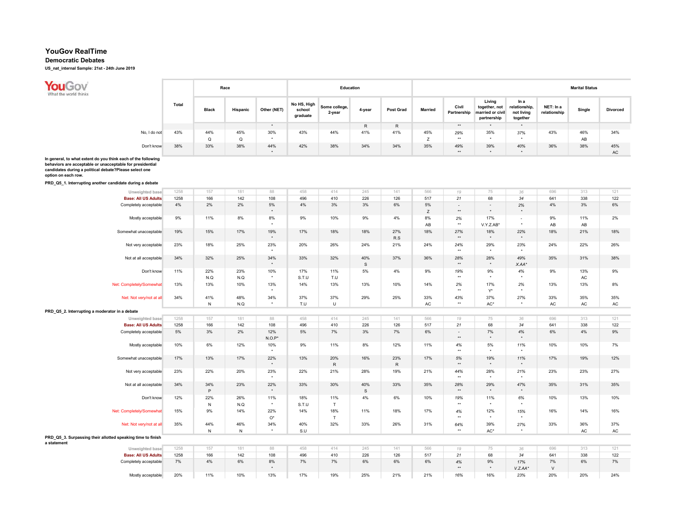### Democratic Debates

US\_nat\_internal Sample: 21st - 24th June 2019

| <b>YOUGO</b><br>What the world thinks |              |              |              | Race            |             |                                   | Education               |        |                  |                |                      |                                                            |                                                 |                           | <b>Marital Status</b> |                 |
|---------------------------------------|--------------|--------------|--------------|-----------------|-------------|-----------------------------------|-------------------------|--------|------------------|----------------|----------------------|------------------------------------------------------------|-------------------------------------------------|---------------------------|-----------------------|-----------------|
|                                       |              | <b>Total</b> | <b>Black</b> | <b>Hispanic</b> | Other (NET) | No HS, High<br>school<br>graduate | Some college,<br>2-year | 4-year | <b>Post Grad</b> | <b>Married</b> | Civil<br>Partnership | Living<br>together, not<br>married or civil<br>partnership | In a<br>relationship,<br>not living<br>together | NET: In a<br>relationship | Single                | <b>Divorced</b> |
|                                       |              |              |              |                 |             |                                   |                         | R      | R                |                | $***$                |                                                            |                                                 |                           |                       |                 |
|                                       | No, I do not | 43%          | 44%          | 45%             | 30%         | 43%                               | 44%                     | 41%    | 41%              | 45%            | 29%                  | 35%                                                        | 37%                                             | 43%                       | 46%                   | 34%             |
|                                       |              |              | Q            | Q               |             |                                   |                         |        |                  |                | **                   |                                                            |                                                 |                           | AB                    |                 |
|                                       | Don't know   | 38%          | 33%          | 38%             | 44%         | 42%                               | 38%                     | 34%    | 34%              | 35%            | 49%                  | 39%                                                        | 40%                                             | 36%                       | 38%                   | 45%             |
|                                       |              |              |              |                 |             |                                   |                         |        |                  |                | **                   | ٠                                                          | $\cdot$                                         |                           |                       | AC              |

In general, to what extent do you think each of the following behaviors are acceptable or unacceptable for presidential candidates during a political debate?Please select one option on each row.

PRD\_Q5\_1. Interrupting another candidate during a debate

| Unweighted base                                             | 1258  | 157       | 181       | 88             | 458   | 414       | 245 | 141       | 566         | 19                  | 75                       | 36             | 696    | 313 | 121 |
|-------------------------------------------------------------|-------|-----------|-----------|----------------|-------|-----------|-----|-----------|-------------|---------------------|--------------------------|----------------|--------|-----|-----|
| <b>Base: All US Adults</b>                                  | 1258  | 166       | 142       | 108            | 496   | 410       | 226 | 126       | 517         | 21                  | 68                       | 34             | 641    | 338 | 122 |
| Completely acceptable                                       | $4\%$ | 2%        | 2%        | $5\%$          | 4%    | 3%        | 3%  | 6%        | 5%          | $\sim$              | $\overline{\phantom{a}}$ | 2%             | 4%     | 3%  | 6%  |
|                                                             |       |           |           | $\star$        |       |           |     |           | $\mathsf Z$ | $**$                | $\star$                  | $\star$        |        |     |     |
| Mostly acceptable                                           | 9%    | 11%       | 8%        | 8%             | 9%    | 10%       | 9%  | 4%        | 8%          | 2%                  | 17%                      | $\sim$         | 9%     | 11% | 2%  |
|                                                             |       |           |           | $\star$        |       |           |     |           | AB          | $\star\star$        | V.Y.Z.AB*                | $^\star$       | AB     | AB  |     |
| Somewhat unacceptable                                       | 19%   | 15%       | 17%       | 19%            | 17%   | 18%       | 18% | 27%       | 18%         | 27%                 | 18%                      | 22%            | 18%    | 21% | 18% |
|                                                             |       |           |           | $\star$        |       |           |     | R.S       |             | $^{\star\star}$     | $\star$                  | $\star$        |        |     |     |
| Not very acceptable                                         | 23%   | 18%       | 25%       | 23%            | 20%   | 26%       | 24% | 21%       | 24%         | 24%                 | 29%                      | 23%            | 24%    | 22% | 26% |
|                                                             |       |           |           | $\star$        |       |           |     |           |             | $\star\star$        | $\star$                  | $\star$        |        |     |     |
| Not at all acceptable                                       | 34%   | 32%       | 25%       | 34%            | 33%   | 32%       | 40% | 37%       | 36%         | 28%                 | 28%                      | 49%            | 35%    | 31% | 38% |
|                                                             |       |           |           | $\star$        |       |           | S   |           |             | $\star\star$        | $^\star$                 | $X.AA*$        |        |     |     |
| Don't know                                                  | 11%   | 22%       | 23%       | 10%            | 17%   | 11%       | 5%  | 4%        | 9%          | 19%                 | 9%                       | 4%             | 9%     | 13% | 9%  |
|                                                             |       | N.Q       | N.Q       | $\star$        | S.T.U | T.U       |     |           |             | $\star\star$        | $\star$                  | $\star$        |        | AC  |     |
|                                                             | 13%   |           |           | 13%            |       |           | 13% | 10%       | 14%         |                     |                          |                |        | 13% | 8%  |
| Net: Completely/Somewhat                                    |       | 13%       | 10%       | $^\star$       | 14%   | 13%       |     |           |             | 2%<br>$**$          | 17%<br>$Y^*$             | 2%<br>$\star$  | 13%    |     |     |
|                                                             |       |           |           |                |       |           |     |           |             |                     |                          |                |        |     |     |
| Net: Not very/not at all                                    | 34%   | 41%       | 48%       | 34%<br>$\star$ | 37%   | 37%       | 29% | 25%       | 33%         | 43%<br>$\star\star$ | 37%                      | 27%<br>$\star$ | 33%    | 35% | 35% |
|                                                             |       | N         | N.Q       |                | T.U   | U         |     |           | AC          |                     | AC*                      |                | AC     | AC  | AC  |
| PRD_Q5_2. Interrupting a moderator in a debate              |       |           |           |                |       |           |     |           |             |                     |                          |                |        |     |     |
| Unweighted base                                             | 1258  | 157       | 181       | 88             | 458   | 414       | 245 | 141       | 566         | 19                  | 75                       | 36             | 696    | 313 | 121 |
| <b>Base: All US Adults</b>                                  | 1258  | 166       | 142       | 108            | 496   | 410       | 226 | 126       | 517         | 21                  | 68                       | 34             | 641    | 338 | 122 |
| Completely acceptable                                       | $5\%$ | 3%        | 2%        | 12%            | 5%    | 7%        | 3%  | 7%        | $6\%$       | ٠                   | 7%                       | 4%             | 6%     | 4%  | 9%  |
|                                                             |       |           |           | $N.O.P^*$      |       |           |     |           |             | $\star\star$        | $\star$                  | $\star$        |        |     |     |
| Mostly acceptable                                           | 10%   | 6%        | 12%       | 10%            | 9%    | 11%       | 8%  | 12%       | 11%         | 4%                  | 5%                       | 11%            | 10%    | 10% | 7%  |
|                                                             |       |           |           | $^\star$       |       |           |     |           |             | $\star\star$        | $\star$                  | $^\star$       |        |     |     |
| Somewhat unacceptable                                       | 17%   | 13%       | 17%       | 22%            | 13%   | 20%       | 16% | 23%       | 17%         | 5%                  | 19%                      | 11%            | 17%    | 19% | 12% |
|                                                             |       |           |           | $\star$        |       | ${\sf R}$ |     | ${\sf R}$ |             | $^{\star\star}$     | $^\star$                 | $\star$        |        |     |     |
| Not very acceptable                                         | 23%   | 22%       | 20%       | 23%            | 22%   | 21%       | 28% | 19%       | 21%         | 44%                 | 28%                      | 21%            | 23%    | 23% | 27% |
|                                                             |       |           |           | $\star$        |       |           |     |           |             | $\star\star$        | $\star$                  | $\star$        |        |     |     |
| Not at all acceptable                                       | 34%   | 34%       | 23%       | 22%            | 33%   | 30%       | 40% | 33%       | 35%         | 28%                 | 29%                      | 47%            | 35%    | 31% | 35% |
|                                                             |       | $\sf P$   |           | $\star$        |       |           | S   |           |             | $**$                | $\star$                  | $\star$        |        |     |     |
| Don't know                                                  | 12%   | 22%       | 26%       | 11%            | 18%   | 11%       | 4%  | 6%        | 10%         | 19%                 | 11%                      | 6%             | 10%    | 13% | 10% |
|                                                             |       | ${\sf N}$ | N.Q       | $\star$        | S.T.U | T         |     |           |             | $\star\star$        | $\star$                  | $\star$        |        |     |     |
| Net: Completely/Somewhat                                    | 15%   | 9%        | 14%       | 22%            | 14%   | 18%       | 11% | 18%       | 17%         | 4%                  | 12%                      | 15%            | 16%    | 14% | 16% |
|                                                             |       |           |           | $O^{\star}$    |       | T         |     |           |             | $**$                | $\star$                  | $^\star$       |        |     |     |
| Net: Not very/not at all                                    | 35%   | 44%       | 46%       | 34%            | 40%   | 32%       | 33% | 26%       | 31%         | 64%                 | 39%                      | 27%            | 33%    | 36% | 37% |
|                                                             |       | ${\sf N}$ | ${\sf N}$ | $^\star$       | S.U   |           |     |           |             | $\star\star$        | AC*                      | $\star$        |        | AC  | AC  |
| PRD_Q5_3. Surpassing their allotted speaking time to finish |       |           |           |                |       |           |     |           |             |                     |                          |                |        |     |     |
| a statement                                                 |       |           |           |                |       |           |     |           |             |                     |                          |                |        |     |     |
| Unweighted base                                             | 1258  | 157       | 181       | 88             | 458   | 414       | 245 | 141       | 566         | 19                  | 75                       | 36             | 696    | 313 | 121 |
| <b>Base: All US Adults</b>                                  | 1258  | 166       | 142       | 108            | 496   | 410       | 226 | 126       | 517         | 21                  | 68                       | 34             | 641    | 338 | 122 |
| Completely acceptable                                       | 7%    | 4%        | 6%        | 8%             | 7%    | 7%        | 6%  | 6%        | 6%          | 4%                  | 9%                       | 17%            | 7%     | 6%  | 7%  |
|                                                             |       |           |           | $\star$        |       |           |     |           |             | $\star\star$        | $\star$                  | $V.Z.AA*$      | $\vee$ |     |     |
| Mostly acceptable                                           | 20%   | 11%       | 10%       | 13%            | 17%   | 19%       | 25% | 21%       | 21%         | 16%                 | 16%                      | 23%            | 20%    | 20% | 24% |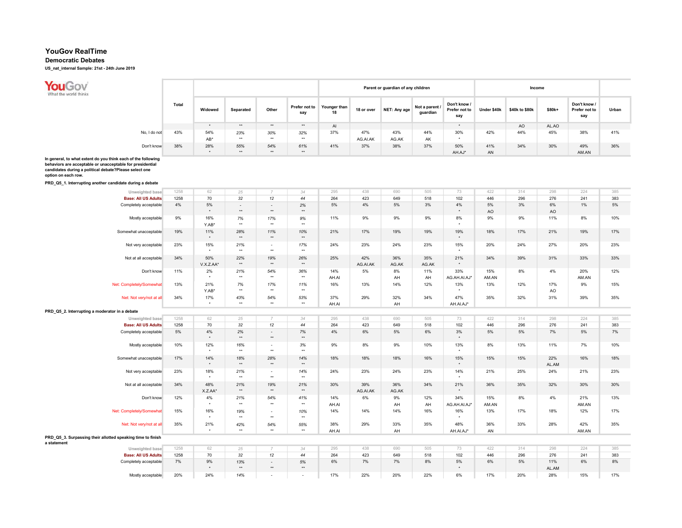## Democratic Debates

US\_nat\_internal Sample: 21st - 24th June 2019

**You Gov**<br>What the world thinks

|              |       |         |           |       |                      |                    |            | Parent or guardian of any children |                            |                                      |             | Income         |        |                                      |       |
|--------------|-------|---------|-----------|-------|----------------------|--------------------|------------|------------------------------------|----------------------------|--------------------------------------|-------------|----------------|--------|--------------------------------------|-------|
|              | Total | Widowed | Separated | Other | Prefer not to<br>say | Younger than<br>18 | 18 or over | NET: Any age                       | Not a parent /<br>guardian | Don't know /<br>Prefer not to<br>say | Under \$40k | \$40k to \$80k | \$80k+ | Don't know /<br>Prefer not to<br>say | Urban |
|              |       |         | **        | $***$ | **                   | AI                 |            |                                    |                            | $\cdot$                              |             | AO             | AL.AO  |                                      |       |
| No, I do not | 43%   | 54%     | 23%       | 30%   | 32%                  | 37%                | 47%        | 43%                                | 44%                        | 30%                                  | 42%         | 44%            | 45%    | 38%                                  | 41%   |
|              |       | AB*     | $***$     | $***$ | **                   |                    | AG.AI.AK   | AG.AK                              | AK                         |                                      |             |                |        |                                      |       |
| Don't know   | 38%   | 28%     | 55%       | 54%   | 61%                  | 41%                | 37%        | 38%                                | 37%                        | 50%                                  | 41%         | 34%            | 30%    | 49%                                  | 36%   |
|              |       | ۰       | $***$     | **    | **                   |                    |            |                                    |                            | AH.AJ*                               | AN          |                |        | AM.AN                                |       |

PRD\_Q5\_1. Interrupting another candidate during a debate

| Unweighted base                                                            | 1258  | 62        | 25           | $\overline{7}$           | 34              | 295   | 438      | 690   | 505   | 73           | 422   | 314   | 298   | 224   | 385 |
|----------------------------------------------------------------------------|-------|-----------|--------------|--------------------------|-----------------|-------|----------|-------|-------|--------------|-------|-------|-------|-------|-----|
| <b>Base: All US Adults</b>                                                 | 1258  | 70        | 32           | 12                       | 44              | 264   | 423      | 649   | 518   | 102          | 446   | 296   | 276   | 241   | 383 |
| Completely acceptable                                                      | 4%    | 5%        | $\sim$       | $\overline{\phantom{a}}$ | 2%              | 5%    | 4%       | 5%    | 3%    | 4%           | 5%    | 3%    | 6%    | 1%    | 5%  |
|                                                                            |       | $\star$   | $\star\star$ | $\star\star$             | $^{\star\star}$ |       |          |       |       | $\star$      | AO    |       | AO    |       |     |
| Mostly acceptable                                                          | 9%    | 16%       | 7%           | 17%                      | 9%              | 11%   | 9%       | 9%    | 9%    | 8%           | 9%    | 9%    | 11%   | 8%    | 10% |
|                                                                            |       | Y.AB*     | $\star\star$ | $\star\star$             | $\star\star$    |       |          |       |       | $\star$      |       |       |       |       |     |
| Somewhat unacceptable                                                      | 19%   | 11%       | 28%          | 11%                      | 10%             | 21%   | 17%      | 19%   | 19%   | 19%          | 18%   | 17%   | 21%   | 19%   | 17% |
|                                                                            |       | $\star$   | $\star\star$ | $\star\star$             | $\star\star$    |       |          |       |       | $\star$      |       |       |       |       |     |
| Not very acceptable                                                        | 23%   | 15%       | 21%          | $\sim$                   | 17%             | 24%   | 23%      | 24%   | 23%   | 15%          | 20%   | 24%   | 27%   | 20%   | 23% |
|                                                                            |       | $^\star$  | $\star\star$ | $\star\star$             | $^{\star\star}$ |       |          |       |       | $\star$      |       |       |       |       |     |
| Not at all acceptable                                                      | 34%   | 50%       | 22%          | 19%                      | 26%             | 25%   | 42%      | 36%   | 35%   | 21%          | 34%   | 39%   | 31%   | 33%   | 33% |
|                                                                            |       | V.X.Z.AA* | $\star\star$ | $\star\star$             | $^{\star\star}$ |       | AG.AI.AK | AG.AK | AG.AK | $\star$      |       |       |       |       |     |
| Don't know                                                                 | 11%   | 2%        | 21%          | 54%                      | 36%             | 14%   | 5%       | 8%    | 11%   | 33%          | 15%   | 8%    | 4%    | 20%   | 12% |
|                                                                            |       | $^\star$  | $\star\star$ | $\star\star$             | $\star\star$    | AH.AI |          | AH    | AH    | AG.AH.AI.AJ* | AM.AN |       |       | AM.AN |     |
| Net: Completely/Somewhat                                                   | 13%   | 21%       | 7%           | 17%                      | 11%             | 16%   | 13%      | 14%   | 12%   | 13%          | 13%   | 12%   | 17%   | 9%    | 15% |
|                                                                            |       | Y.AB*     | $\star\star$ | $\star\star$             | $^{\star\star}$ |       |          |       |       | $\star$      |       |       | AO    |       |     |
| Net: Not very/not at all                                                   | 34%   | 17%       | 43%          | 54%                      | 53%             | 37%   | 29%      | 32%   | 34%   | 47%          | 35%   | 32%   | 31%   | 39%   | 35% |
|                                                                            |       | $\star$   | $\star\star$ | $\star\star$             | $\star\star$    | AH.AI |          | AH    |       | AH.AI.AJ*    |       |       |       |       |     |
| PRD_Q5_2. Interrupting a moderator in a debate                             |       |           |              |                          |                 |       |          |       |       |              |       |       |       |       |     |
| Unweighted base                                                            | 1258  | 62        | 25           | $\overline{7}$           | 34              | 295   | 438      | 690   | 505   | 73           | 422   | 314   | 298   | 224   | 385 |
| <b>Base: All US Adults</b>                                                 | 1258  | 70        | 32           | 12                       | 44              | 264   | 423      | 649   | 518   | 102          | 446   | 296   | 276   | 241   | 383 |
| Completely acceptable                                                      | $5\%$ | 4%        | 2%           | $\overline{\phantom{a}}$ | 7%              | 4%    | 6%       | 5%    | 6%    | 3%           | 5%    | $5\%$ | 7%    | 5%    | 7%  |
|                                                                            |       | $\star$   | $\star\star$ | $\star\star$             | $^{\star\star}$ |       |          |       |       | $\star$      |       |       |       |       |     |
| Mostly acceptable                                                          | 10%   | 12%       | 16%          | $\sim$                   | 3%              | 9%    | 8%       | 9%    | 10%   | 13%          | 8%    | 13%   | 11%   | 7%    | 10% |
|                                                                            |       | $^\star$  | $\star\star$ | $\star\star$             | $\star\star$    |       |          |       |       | $^\star$     |       |       |       |       |     |
| Somewhat unacceptable                                                      | 17%   | 14%       | 18%          | 28%                      | 14%             | 18%   | 18%      | 18%   | 16%   | 15%          | 15%   | 15%   | 22%   | 16%   | 18% |
|                                                                            |       | $\star$   | $\star\star$ | $\star\star$             | $^{\star\star}$ |       |          |       |       | $\star$      |       |       | AL.AM |       |     |
| Not very acceptable                                                        | 23%   | 18%       | 21%          | $\sim$                   | 14%             | 24%   | 23%      | 24%   | 23%   | 14%          | 21%   | 25%   | 24%   | 21%   | 23% |
|                                                                            |       | $\star$   | $\star\star$ | $\star\star$             | $\star\star$    |       |          |       |       | $\star$      |       |       |       |       |     |
| Not at all acceptable                                                      | 34%   | 48%       | 21%          | 19%                      | 21%             | 30%   | 39%      | 36%   | 34%   | 21%          | 36%   | 35%   | 32%   | 30%   | 30% |
|                                                                            |       | X.Z.AA*   | $\star\star$ | $\star\star$             | $\star\star$    |       | AG.AI.AK | AG.AK |       | $\star$      |       |       |       |       |     |
| Don't know                                                                 | 12%   | 4%        | 21%          | 54%                      | 41%             | 14%   | 6%       | 9%    | 12%   | 34%          | 15%   | 8%    | 4%    | 21%   | 13% |
|                                                                            |       | $\star$   | $\star\star$ | $\star\star$             | $\star\star$    | AH.AI |          | AH    | AH    | AG.AH.AI.AJ* | AM.AN |       |       | AM.AN |     |
| Net: Completely/Somewhat                                                   | 15%   | 16%       | 19%          | $\sim$                   | 10%             | 14%   | 14%      | 14%   | 16%   | 16%          | 13%   | 17%   | 18%   | 12%   | 17% |
|                                                                            |       | $\star$   | $\star\star$ | $\star\star$             | $\star\star$    |       |          |       |       | $\star$      |       |       |       |       |     |
| Net: Not very/not at all                                                   | 35%   | 21%       | 42%          | 54%                      | 55%             | 38%   | 29%      | 33%   | 35%   | 48%          | 36%   | 33%   | 28%   | 42%   | 35% |
|                                                                            |       | $\star$   | $\star\star$ | $\star\star$             | $\star\star$    | AH.AI |          | AH    |       | AH.AI.AJ*    | AN    |       |       | AM.AN |     |
| PRD_Q5_3. Surpassing their allotted speaking time to finish<br>a statement |       |           |              |                          |                 |       |          |       |       |              |       |       |       |       |     |
| Unweighted base                                                            | 1258  | 62        | 25           | $\overline{7}$           | 34              | 295   | 438      | 690   | 505   | 73           | 422   | 314   | 298   | 224   | 385 |
| <b>Base: All US Adults</b>                                                 | 1258  | 70        | 32           | 12                       | 44              | 264   | 423      | 649   | 518   | 102          | 446   | 296   | 276   | 241   | 383 |
| Completely acceptable                                                      | $7\%$ | 9%        | 13%          | $\sim$                   | 5%              | 6%    | 7%       | 7%    | 8%    | 5%           | 6%    | 5%    | 11%   | 6%    | 8%  |
|                                                                            |       | $\star$   | $**$         | $\star\star$             | $\star\star$    |       |          |       |       | $\star$      |       |       | AL.AM |       |     |
| Mostly acceptable                                                          | 20%   | 24%       | 14%          | $\sim$                   | $\sim$          | 17%   | 22%      | 20%   | 22%   | 6%           | 17%   | 20%   | 28%   | 15%   | 17% |
|                                                                            |       |           |              |                          |                 |       |          |       |       |              |       |       |       |       |     |

In general, to what extent do you think each of the following behaviors are acceptable or unacceptable for presidential candidates during a political debate?Please select one option on each row.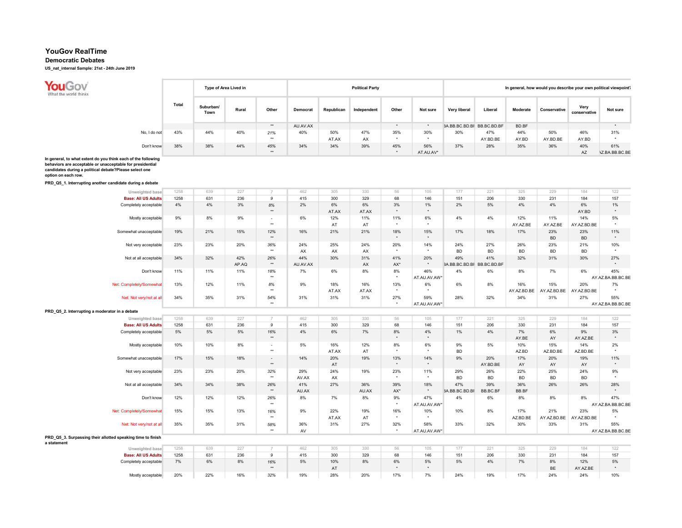## Democratic Debates

US\_nat\_internal Sample: 21st - 24th June 2019

**You Gov**<br>What the world thinks Total

|              |              |                   | Type of Area Lived in |       |          |            | <b>Political Party</b> |       |           |                            |          |          | In general, how would you describe your own political viewpoint? |                      |                       |
|--------------|--------------|-------------------|-----------------------|-------|----------|------------|------------------------|-------|-----------|----------------------------|----------|----------|------------------------------------------------------------------|----------------------|-----------------------|
|              | <b>Total</b> | Suburban/<br>Town | Rural                 | Other | Democrat | Republican | Independent            | Other | Not sure  | Very liberal               | Liberal  | Moderate | Conservative                                                     | Verv<br>conservative | Not sure              |
|              |              |                   |                       | $***$ | AU.AV.AX |            |                        |       |           | 3A.BB.BC.BD.BF BB.BC.BD.BF |          | BD.BF    |                                                                  |                      |                       |
| No, I do not | 43%          | 44%               | 40%                   | 21%   | 40%      | 50%        | 47%                    | 35%   | 30%       | 30%                        | 47%      | 44%      | 50%                                                              | 46%                  | 31%                   |
|              |              |                   |                       | $***$ |          | AT.AX      | AX                     |       |           |                            | AY.BD.BE | AY.BD    | AY.BD.BE                                                         | AY.BD                |                       |
| Don't know   | 38%          | 38%               | 44%                   | 45%   | 34%      | 34%        | 39%                    | 45%   | 56%       | 37%                        | 28%      | 35%      | 36%                                                              | 40%                  | 61%                   |
|              |              |                   |                       | **    |          |            |                        |       | AT.AU.AV* |                            |          |          |                                                                  | AZ                   | <b>\Z.BA.BB.BC.BE</b> |

T

In general, to what extent do you think each of the following<br>behaviors are acceptable or unacceptable for presidential

behaviors are acceptable or unacceptable for presidential candidates during a political debate?Please select one option on each row.

PRD\_Q5\_1. Interrupting another candidate during a debate

| Unweighted base                                             | 1258 | 639 | 227   | $\overline{7}$           | 462      | 305   | 330                    | 56                   | 105          | 177                        | 221       | 325         | 229         | 184         | 122               |
|-------------------------------------------------------------|------|-----|-------|--------------------------|----------|-------|------------------------|----------------------|--------------|----------------------------|-----------|-------------|-------------|-------------|-------------------|
|                                                             |      |     |       |                          |          |       |                        |                      |              |                            |           |             |             |             |                   |
| <b>Base: All US Adults</b>                                  | 1258 | 631 | 236   | 9                        | 415      | 300   | 329                    | 68                   | 146          | 151                        | 206       | 330         | 231         | 184         | 157               |
| Completely acceptable                                       | 4%   | 4%  | 3%    | $8\%$                    | 2%       | 6%    | 6%                     | 3%                   | 1%           | 2%                         | 5%        | 4%          | 4%          | 6%          | 1%                |
|                                                             |      |     |       | $\star\star$             |          | AT.AX | AT.AX                  | $^{\star}$           | $\star$      |                            |           |             |             | AY.BD       | $\star$           |
| Mostly acceptable                                           | 9%   | 8%  | 9%    | $\sim$                   | 6%       | 12%   | 11%                    | 11%                  | 6%           | 4%                         | 4%        | 12%         | 11%         | 14%         | 5%                |
|                                                             |      |     |       | $\star\star$             |          | AT    | AT                     | $\star$              | $\star$      |                            |           | AY.AZ.BE    | AY.AZ.BE    | AY.AZ.BD.BE |                   |
| Somewhat unacceptable                                       | 19%  | 21% | 15%   | 12%                      | 16%      | 21%   | 21%                    | 18%                  | 15%          | 17%                        | 18%       | 17%         | 23%         | 23%         | 11%               |
|                                                             |      |     |       | $\star\star$             |          |       |                        | $\star$              | $\star$      |                            |           |             | <b>BD</b>   | <b>BD</b>   | $\star$           |
| Not very acceptable                                         | 23%  | 23% | 20%   | 36%                      | 24%      | 25%   | 24%                    | 20%                  | 14%          | 24%                        | 27%       | 26%         | 23%         | 21%         | 10%               |
|                                                             |      |     |       | $\star\star$             | AX       | AX    | AX                     | $\star$              | $\star$      | <b>BD</b>                  | <b>BD</b> | <b>BD</b>   | <b>BD</b>   | <b>BD</b>   | $\cdot$           |
| Not at all acceptable                                       | 34%  | 32% | 42%   | 26%                      | 44%      | 30%   | 31%                    | 41%                  | 20%          | 49%                        | 41%       | 32%         | 31%         | 30%         | 27%               |
|                                                             |      |     |       | $\star\star$             |          |       |                        |                      | $_{\star}$   |                            |           |             |             |             |                   |
|                                                             |      |     | AP.AQ |                          | AU.AV.AX |       | $\mathsf{A}\mathsf{X}$ | $AX^*$               |              | 3A.BB.BC.BD.BF BB.BC.BD.BF |           |             |             |             |                   |
| Don't know                                                  | 11%  | 11% | 11%   | 18%                      | 7%       | 6%    | 8%                     | 8%                   | 46%          | 4%                         | 6%        | 8%          | 7%          | 6%          | 45%               |
|                                                             |      |     |       | $\star\star$             |          |       |                        | $^\star$             | AT.AU.AV.AW* |                            |           |             |             |             | AY.AZ.BA.BB.BC.BE |
| Net: Completely/Somewhat                                    | 13%  | 12% | 11%   | 8%                       | 9%       | 18%   | 16%                    | 13%                  | 6%           | 6%                         | 8%        | 16%         | 15%         | 20%         | 7%                |
|                                                             |      |     |       | $\star\star$             |          | AT.AX | AT.AX                  | $\star$              | $\star$      |                            |           | AY.AZ.BD.BE | AY.AZ.BD.BE | AY.AZ.BD.BE |                   |
| Net: Not very/not at all                                    | 34%  | 35% | 31%   | 54%                      | 31%      | 31%   | 31%                    | 27%                  | 59%          | 28%                        | 32%       | 34%         | 31%         | 27%         | 55%               |
|                                                             |      |     |       | $\star\star$             |          |       |                        | $\star$              | AT.AU.AV.AW* |                            |           |             |             |             | AY.AZ.BA.BB.BC.BE |
| PRD Q5 2. Interrupting a moderator in a debate              |      |     |       |                          |          |       |                        |                      |              |                            |           |             |             |             |                   |
| Unweighted base                                             | 1258 | 639 | 227   | $\overline{7}$           | 462      | 305   | 330                    | 56                   | 105          | 177                        | 221       | 325         | 229         | 184         | 122               |
|                                                             |      |     |       |                          |          |       |                        |                      |              |                            |           |             |             |             |                   |
| <b>Base: All US Adults</b>                                  | 1258 | 631 | 236   | 9                        | 415      | 300   | 329                    | 68                   | 146          | 151                        | 206       | 330         | 231         | 184         | 157               |
| Completely acceptable                                       | 5%   | 5%  | 5%    | 16%                      | 4%       | 6%    | 7%                     | $8\%$                | 4%           | $1\%$                      | 4%        | 7%          | 6%          | 9%          | $3\%$             |
|                                                             |      |     |       | $\star\star$             |          |       |                        | $^{\star}$           | $\star$      |                            |           | AY.BE       | AY          | AY.AZ.BE    | $\star$           |
| Mostly acceptable                                           | 10%  | 10% | 8%    | $\sim$                   | 5%       | 16%   | 12%                    | 8%                   | 6%           | 9%                         | 5%        | 10%         | 15%         | 14%         | 2%                |
|                                                             |      |     |       | $\star\star$             |          | AT.AX | AT                     | $\star$              | $\star$      | <b>BD</b>                  |           | AZ.BD       | AZ.BD.BE    | AZ.BD.BE    | $\star$           |
| Somewhat unacceptable                                       | 17%  | 15% | 18%   | $\overline{\phantom{a}}$ | 14%      | 20%   | 19%                    | 13%                  | 14%          | 9%                         | 20%       | 17%         | 20%         | 19%         | 11%               |
|                                                             |      |     |       | $\star\star$             |          | AT    |                        | $\star$              | $_{\star}$   |                            | AY.BD.BE  | AY          | AY          | AY          | $\star$           |
| Not very acceptable                                         | 23%  | 23% | 20%   | 32%                      | 29%      | 24%   | 19%                    | 23%                  | 11%          | 29%                        | 26%       | 22%         | 25%         | 24%         | 9%                |
|                                                             |      |     |       | $\star\star$             | AV.AX    | AX    |                        | $\ddot{\phantom{1}}$ | $\star$      | <b>BD</b>                  | <b>BD</b> | <b>BD</b>   | <b>BD</b>   | <b>BD</b>   |                   |
| Not at all acceptable                                       | 34%  | 34% | 38%   | 26%                      | 41%      | 27%   | 36%                    | 39%                  | 18%          | 47%                        | 39%       | 36%         | 26%         | 26%         | 28%               |
|                                                             |      |     |       | $\star\star$             |          |       |                        |                      | $\star$      |                            | BB.BC.BF  | BB.BF       |             |             |                   |
|                                                             |      |     |       |                          | AU.AX    |       | AU.AX                  | AX*                  |              | 3A.BB.BC.BD.BF             |           |             |             |             |                   |
| Don't know                                                  | 12%  | 12% | 12%   | 26%                      | 8%       | 7%    | 8%                     | 9%<br>$\star$        | 47%          | 4%                         | 6%        | 8%          | 8%          | 8%          | 47%               |
|                                                             |      |     |       | $\star\star$             |          |       |                        |                      | AT.AU.AV.AW* |                            |           |             |             |             | AY.AZ.BA.BB.BC.BE |
| Net: Completely/Somewhat                                    | 15%  | 15% | 13%   | 16%                      | 9%       | 22%   | 19%                    | 16%                  | 10%          | 10%                        | 8%        | 17%         | 21%         | 23%         | 5%                |
|                                                             |      |     |       | $\star\star$             |          | AT.AX | AT                     | $\star$              |              |                            |           | AZ.BD.BE    | AY.AZ.BD.BE | AY.AZ.BD.BE |                   |
| Net: Not very/not at all                                    | 35%  | 35% | 31%   | 58%                      | 36%      | 31%   | 27%                    | 32%                  | 58%          | 33%                        | 32%       | 30%         | 33%         | 31%         | 55%               |
|                                                             |      |     |       | $\star\star$             | AV       |       |                        | $\star$              | AT.AU.AV.AW* |                            |           |             |             |             | AY.AZ.BA.BB.BC.BE |
| PRD Q5 3. Surpassing their allotted speaking time to finish |      |     |       |                          |          |       |                        |                      |              |                            |           |             |             |             |                   |
| a statement                                                 |      |     |       |                          |          |       |                        |                      |              |                            |           |             |             |             |                   |
| Unweighted base                                             | 1258 | 639 | 227   | $\overline{7}$           | 462      | 305   | 330                    | 56                   | 105          | 177                        | 221       | 325         | 229         | 184         | 122               |
| <b>Base: All US Adults</b>                                  | 1258 | 631 | 236   | 9                        | 415      | 300   | 329                    | 68                   | 146          | 151                        | 206       | 330         | 231         | 184         | 157               |
| Completely acceptable                                       | 7%   | 6%  | 8%    | 16%                      | 5%       | 10%   | 8%                     | 6%                   | $5\%$        | $5\%$                      | 4%        | 7%          | 8%          | 12%         | 5%                |
|                                                             |      |     |       | $\star\star$             |          | AT    |                        | $\star$              | $\star$      |                            |           |             | BE          | AY.AZ.BE    |                   |
|                                                             | 20%  | 22% | 16%   |                          | 19%      | 28%   |                        | 17%                  |              | 24%                        | 19%       | 17%         | 24%         | 24%         |                   |
| Mostly acceptable                                           |      |     |       | 32%                      |          |       | 20%                    |                      | 7%           |                            |           |             |             |             | 10%               |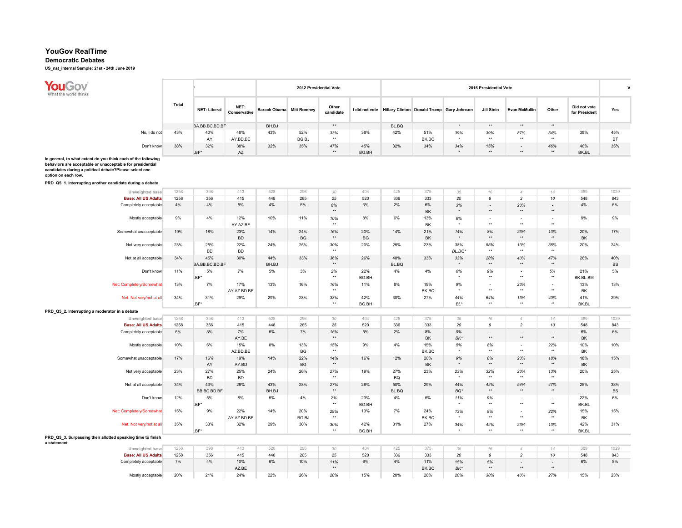## Democratic Debates

US\_nat\_internal Sample: 21st - 24th June 2019

F

| יר∩−<br>orld thinks |       |                     |                      |                                 | 2012 Presidential Vote |                    |       |       |       |                                                          | 2016 Presidential Vote |                      |       |                               |           |
|---------------------|-------|---------------------|----------------------|---------------------------------|------------------------|--------------------|-------|-------|-------|----------------------------------------------------------|------------------------|----------------------|-------|-------------------------------|-----------|
|                     | Total | <b>NET: Liberal</b> | NET:<br>Conservative | <b>Barack Obama</b> Mitt Romney |                        | Other<br>candidate |       |       |       | I did not vote Hillary Clinton Donald Trump Gary Johnson | Jill Stein             | <b>Evan McMullin</b> | Other | Did not vote<br>for President | Yes       |
|                     |       | BA.BB.BC.BD.BF      |                      | BH.BJ                           |                        | **                 |       | BL.BQ |       |                                                          | **                     | **                   | **    |                               |           |
| No, I do not        | 43%   | 40%                 | 48%                  | 43%                             | 52%                    | 33%                | 38%   | 42%   | 51%   | 39%                                                      | 39%                    | 87%                  | 54%   | 38%                           | 45%       |
|                     |       | AY                  | AY.BD.BE             |                                 | BG.BJ                  | **                 |       |       | BK.BQ |                                                          | **                     | $***$                | $***$ |                               | <b>BT</b> |
| Don't know          | 38%   | 32%                 | 38%                  | 32%                             | 35%                    | 47%                | 45%   | 32%   | 34%   | 34%                                                      | 15%                    | $\sim$               | 46%   | 46%                           | 35%       |
|                     |       | .BF*                | AZ                   |                                 |                        | **                 | BG.BH |       |       |                                                          | **                     | **                   | **    | BK.BL                         |           |

In general, to what extent do you think each of the following behaviors are acceptable or unacceptable for presidential candidates during a political debate?Please select one option on each row.

PRD\_Q5\_1. Interrupting another candidate during a debate

| Unweighted base                                             | 1258 | 398            | 413         | 528   | 296       | 30           | 404       | 425       | 375       | 35       | 16                       | $\varDelta$              | 14                       | 389       | 1029      |
|-------------------------------------------------------------|------|----------------|-------------|-------|-----------|--------------|-----------|-----------|-----------|----------|--------------------------|--------------------------|--------------------------|-----------|-----------|
| <b>Base: All US Adults</b>                                  | 1258 | 356            | 415         | 448   | 265       | 25           | 520       | 336       | 333       | 20       | 9                        | $\overline{c}$           | 10                       | 548       | 843       |
| Completely acceptable                                       | 4%   | 4%             | 5%          | 4%    | 5%        | $6\%$        | 3%        | 2%        | 6%        | 3%       | $\overline{\phantom{a}}$ | 23%                      | $\sim$                   | 4%        | $5\%$     |
|                                                             |      |                |             |       |           | $\star\star$ |           |           | BK        | $\star$  | $\star\star$             | $\star\star$             | $\star\star$             |           |           |
| Mostly acceptable                                           | 9%   | 4%             | 12%         | 10%   | 11%       | 10%          | 8%        | 6%        | 13%       | 6%       | $\overline{\phantom{a}}$ | $\overline{\phantom{a}}$ | $\overline{\phantom{a}}$ | 9%        | 9%        |
|                                                             |      |                | AY.AZ.BE    |       |           | $\star\star$ |           |           | <b>BK</b> | $\star$  | $\star\star$             | $\star\star$             | $\star\star$             |           |           |
| Somewhat unacceptable                                       | 19%  | 18%            | 23%         | 14%   | 24%       | 16%          | 20%       | 14%       | 21%       | 14%      | 8%                       | 23%                      | 13%                      | 20%       | 17%       |
|                                                             |      |                | <b>BD</b>   |       | <b>BG</b> | $\star\star$ | <b>BG</b> |           | <b>BK</b> | $\star$  | $^{\star\star}$          | $\star\star$             | $\star\star$             | <b>BK</b> |           |
| Not very acceptable                                         | 23%  | 25%            | 22%         | 24%   | 25%       | 30%          | 20%       | 25%       | 23%       | 38%      | 55%                      | 13%                      | 35%                      | 20%       | 24%       |
|                                                             |      | <b>BD</b>      | <b>BD</b>   |       |           | $\star\star$ |           |           |           | BL.BQ*   | $\star\star$             | $\star\star$             | $\star\star$             |           |           |
| Not at all acceptable                                       | 34%  | 45%            | 30%         | 44%   | 33%       | 36%          | 26%       | 48%       | 33%       | 33%      | 28%                      | 40%                      | 47%                      | 26%       | 40%       |
|                                                             |      | BA.BB.BC.BD.BF |             | BH.BJ |           | $\star\star$ |           | BL.BQ     |           | $\star$  | $^{\star\star}$          | $\star\star$             | $\star\star$             |           | BS        |
| Don't know                                                  | 11%  | 5%             | 7%          | 5%    | 3%        | 2%           | 22%       | 4%        | 4%        | 6%       | 9%                       | $\sim$                   | 5%                       | 21%       | 5%        |
|                                                             |      | BF*            |             |       |           | $\star\star$ | BG.BH     |           |           | $\star$  | $^{\star\star}$          | $\star\star$             | $\star\star$             | BK.BL.BM  |           |
| Net: Completely/Somewhat                                    | 13%  | 7%             | 17%         | 13%   | 16%       | 16%          | 11%       | 8%        | 19%       | 9%       | $\sim$                   | 23%                      | $\sim$                   | 13%       | 13%       |
|                                                             |      |                | AY.AZ.BD.BE |       |           | $\star\star$ |           |           | BK.BQ     | $\star$  | $\star\star$             | $\star\star$             | $\star\star$             | BK        |           |
| Net: Not very/not at all                                    | 34%  | 31%            | 29%         | 29%   | 28%       | 33%          | 42%       | 30%       | 27%       | 44%      | 64%                      | 13%                      | 40%                      | 41%       | 29%       |
|                                                             |      | .BF*           |             |       |           | $\star\star$ | BG.BH     |           |           | $BL^*$   | $\star\star$             | $\star\star$             | $\star\star$             | BK.BL     |           |
|                                                             |      |                |             |       |           |              |           |           |           |          |                          |                          |                          |           |           |
| PRD_Q5_2. Interrupting a moderator in a debate              |      |                |             |       |           |              |           |           |           |          |                          |                          |                          |           |           |
| Unweighted base                                             | 1258 | 398            | 413         | 528   | 296       | 30           | 404       | 425       | 375       | 35       | 16                       | $\overline{4}$           | 14                       | 389       | 1029      |
| <b>Base: All US Adults</b>                                  | 1258 | 356            | 415         | 448   | 265       | 25           | 520       | 336       | 333       | 20       | 9                        | $\overline{c}$           | 10                       | 548       | 843       |
| Completely acceptable                                       | 5%   | 3%             | 7%          | 5%    | 7%        | 15%          | 5%        | 2%        | 8%        | 9%       | $\sim$                   | $\overline{\phantom{a}}$ | ٠.                       | 6%        | 6%        |
|                                                             |      |                | AY.BE       |       |           | $\star\star$ |           |           | BK        | BK*      | $\star\star$             | $\star\star$             | $^{\star\star}$          | BK        |           |
| Mostly acceptable                                           | 10%  | 6%             | 15%         | 8%    | 13%       | 15%          | 9%        | 4%        | 15%       | 5%       | 8%                       | $\sim$                   | 22%                      | 10%       | 10%       |
|                                                             |      |                | AZ.BD.BE    |       | <b>BG</b> | $\star\star$ |           |           | BK.BQ     | $^\star$ | $^{\star\star}$          | $\star\star$             | $\star\star$             | BK        |           |
| Somewhat unacceptable                                       | 17%  | 16%            | 19%         | 14%   | 22%       | 14%          | 16%       | 12%       | 20%       | 9%       | 8%                       | 23%                      | 18%                      | 18%       | 15%       |
|                                                             |      | AY             | AY.BD       |       | <b>BG</b> | $\star\star$ |           |           | <b>BK</b> | $\star$  | $\star\star$             | $\star\star$             | $**$                     | BK        |           |
| Not very acceptable                                         | 23%  | 27%            | 25%         | 24%   | 26%       | 27%          | 19%       | 27%       | 23%       | 23%      | 32%                      | 23%                      | 13%                      | 20%       | 25%       |
|                                                             |      | <b>BD</b>      | <b>BD</b>   |       |           | $\star\star$ |           | <b>BQ</b> |           | $\star$  | $^{\star\star}$          | $\star\star$             | $\star\star$             |           |           |
| Not at all acceptable                                       | 34%  | 43%            | 26%         | 43%   | 28%       | 27%          | 28%       | 50%       | 29%       | 44%      | 42%                      | 54%                      | 47%                      | 25%       | 38%       |
|                                                             |      | BB.BC.BD.BF    |             | BH.BJ |           | $\star\star$ |           | BL.BQ     |           | BQ*      | $\star\star$             | $\star\star$             | $**$                     |           | <b>BS</b> |
| Don't know                                                  | 12%  | 5%             | 8%          | 5%    | 4%        | 2%           | 23%       | 4%        | 5%        | 11%      | 9%                       | $\overline{\phantom{a}}$ | $\sim$                   | 22%       | 6%        |
|                                                             |      | BF'            |             |       |           | $\star\star$ | BG.BH     |           |           | $^\star$ | $\star\star$             | $\star\star$             | $\star\star$             | BK.BL     |           |
| Net: Completely/Somewhat                                    | 15%  | 9%             | 22%         | 14%   | 20%       | 29%          | 13%       | 7%        | 24%       | 13%      | 8%                       | $\overline{\phantom{a}}$ | 22%                      | 15%       | 15%       |
|                                                             |      |                | AY.AZ.BD.BE |       | BG.BJ     | $\star\star$ |           |           | BK.BQ     | $^\star$ | $^{\star\star}$          | $\star\star$             | $\star\star$             | BK        |           |
| Net: Not very/not at all                                    | 35%  | 33%            | 32%         | 29%   | 30%       | 30%          | 42%       | 31%       | 27%       | 34%      | 42%                      | 23%                      | 13%                      | 42%       | 31%       |
|                                                             |      | .BF*           |             |       |           | $\star\star$ | BG.BH     |           |           | $\star$  | $\star\star$             | $\star\star$             | $\star\star$             | BK.BL     |           |
| PRD Q5 3. Surpassing their allotted speaking time to finish |      |                |             |       |           |              |           |           |           |          |                          |                          |                          |           |           |
| a statement                                                 |      |                |             |       |           |              |           |           |           |          |                          |                          |                          |           |           |
| Unweighted base                                             | 1258 | 398            | 413         | 528   | 296       | 30           | 404       | 425       | 375       | 35       | 16                       | $\overline{4}$           | 14                       | 389       | 1029      |
| <b>Base: All US Adults</b>                                  | 1258 | 356            | 415         | 448   | 265       | 25           | 520       | 336       | 333       | 20       | 9                        | $\overline{c}$           | 10                       | 548       | 843       |
| Completely acceptable                                       | 7%   | 4%             | 10%         | 6%    | 10%       | 11%          | 6%        | 4%        | 11%       | 15%      | 5%                       | $\overline{\phantom{a}}$ | $\sim$                   | 6%        | 8%        |
|                                                             |      |                | AZ.BE       |       |           | $\star\star$ |           |           | BK.BQ     | BK*      | $\star\star$             | $\star\star$             | $\star\star$             |           |           |
| Mostly acceptable                                           | 20%  | 21%            | 24%         | 22%   | 26%       | 20%          | 15%       | 20%       | 26%       | 20%      | 38%                      | 40%                      | 27%                      | 15%       | 23%       |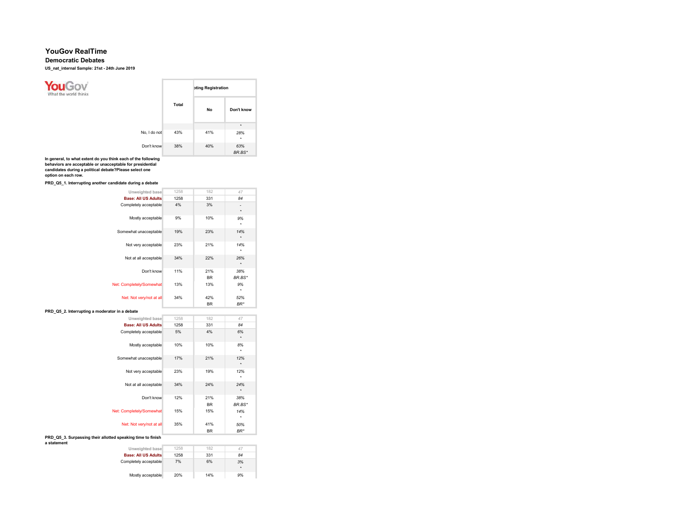## Democratic Debates

US\_nat\_internal Sample: 21st - 24th June 2019



In general, to what extent do you think each of the following behaviors are acceptable or unacceptable for presidential

candidates during a political debate?Please select one option on each row.

PRD\_Q5\_1. Interrupting another candidate during a debate

| Unweighted base                                                            | 1258 | 182              | 47                       |
|----------------------------------------------------------------------------|------|------------------|--------------------------|
| <b>Base: All US Adults</b>                                                 | 1258 | 331              | 84                       |
| Completely acceptable                                                      | 4%   | 3%               | $\frac{1}{2}$<br>$\star$ |
| Mostly acceptable                                                          | 9%   | 10%              | 9%<br>٠                  |
| Somewhat unacceptable                                                      | 19%  | 23%              | 14%<br>$\star$           |
| Not very acceptable                                                        | 23%  | 21%              | 14%<br>$^\star$          |
| Not at all acceptable                                                      | 34%  | 22%              | 26%<br>$\star$           |
| Don't know                                                                 | 11%  | 21%<br><b>BR</b> | 38%<br>BR.BS*            |
| Net: Completely/Somewhat                                                   | 13%  | 13%              | 9%<br>$^\star$           |
| Net: Not very/not at all                                                   | 34%  | 42%<br><b>BR</b> | 52%<br>$BR^*$            |
| PRD Q5 2. Interrupting a moderator in a debate                             |      |                  |                          |
| Unweighted base                                                            | 1258 | 182              | 47                       |
| <b>Base: All US Adults</b>                                                 | 1258 | 331              | 84                       |
| Completely acceptable                                                      | 5%   | 4%               | 6%<br>$\star$            |
| Mostly acceptable                                                          | 10%  | 10%              | 8%<br>$^\star$           |
| Somewhat unacceptable                                                      | 17%  | 21%              | 12%<br>$\star$           |
| Not very acceptable                                                        | 23%  | 19%              | 12%<br>$^\star$          |
| Not at all acceptable                                                      | 34%  | 24%              | 24%<br>$\star$           |
| Don't know                                                                 | 12%  | 21%<br><b>BR</b> | 38%<br>BR.BS*            |
| Net: Completely/Somewhat                                                   | 15%  | 15%              | 14%<br>$^\star$          |
| Net: Not very/not at all                                                   | 35%  | 41%<br><b>BR</b> | 50%<br>$BR^*$            |
| PRD Q5 3. Surpassing their allotted speaking time to finish<br>a statement |      |                  |                          |
| Unweighted base                                                            | 1258 | 182              | 47                       |
| <b>Base: All US Adults</b>                                                 | 1258 | 331              | 84                       |

Completely acceptable 7% Mostly acceptable 20% 6% 3%  $^\star$ 14% 9%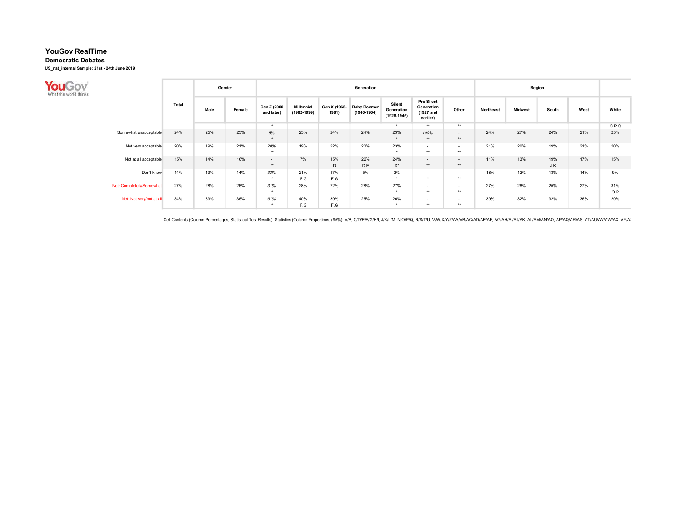Democratic Debates

US\_nat\_internal Sample: 21st - 24th June 2019

| What the world thinks    |       |      | Gender |                           |                                  |                       | Generation                            |                                         |                                                   |                 |           | Region         |            |      |            |
|--------------------------|-------|------|--------|---------------------------|----------------------------------|-----------------------|---------------------------------------|-----------------------------------------|---------------------------------------------------|-----------------|-----------|----------------|------------|------|------------|
|                          | Total | Male | Female | Gen Z (2000<br>and later) | <b>Millennial</b><br>(1982-1999) | Gen X (1965-<br>1981) | <b>Baby Boomer</b><br>$(1946 - 1964)$ | Silent<br>Generation<br>$(1928 - 1945)$ | Pre-Silent<br>Generation<br>(1927 and<br>earlier) | Other           | Northeast | <b>Midwest</b> | South      | West | White      |
|                          |       |      |        | **                        |                                  |                       |                                       | $\bullet$                               | **                                                | $***$           |           |                |            |      | O.P.Q      |
| Somewhat unacceptable    | 24%   | 25%  | 23%    | 8%<br>$***$               | 25%                              | 24%                   | 24%                                   | 23%<br>$\star$                          | 100%<br>$**$                                      | $\sim$<br>$***$ | 24%       | 27%            | 24%        | 21%  | 25%        |
| Not very acceptable      | 20%   | 19%  | 21%    | 28%<br>$***$              | 19%                              | 22%                   | 20%                                   | 23%<br>$\bullet$                        | $\sim$<br>$***$                                   | $\sim$<br>$***$ | 21%       | 20%            | 19%        | 21%  | 20%        |
| Not at all acceptable    | 15%   | 14%  | 16%    | $\sim$<br>$***$           | 7%                               | 15%<br>D              | 22%<br>D.E                            | 24%<br>$D^*$                            | $\sim$<br>$**$                                    | $\sim$<br>$***$ | 11%       | 13%            | 19%<br>J.K | 17%  | 15%        |
| Don't know               | 14%   | 13%  | 14%    | 33%<br>**                 | 21%<br>F.G                       | 17%<br>F.G            | 5%                                    | 3%<br>$\bullet$                         | $\sim$<br>$***$                                   | $\sim$<br>$***$ | 18%       | 12%            | 13%        | 14%  | 9%         |
| Net: Completely/Somewhat | 27%   | 28%  | 26%    | 31%<br>$***$              | 28%                              | 22%                   | 28%                                   | 27%<br>$\bullet$                        | $\overline{\phantom{a}}$<br>$***$                 | $\sim$<br>$***$ | 27%       | 28%            | 25%        | 27%  | 31%<br>O.P |
| Net: Not very/not at all | 34%   | 33%  | 36%    | 61%<br>$***$              | 40%<br>F.G                       | 39%<br>F.G            | 25%                                   | 26%<br>$\ddot{\phantom{1}}$             | $\sim$<br>$***$                                   | $\sim$<br>$***$ | 39%       | 32%            | 32%        | 36%  | 29%        |

Cell Contents (Column Percentages, Statistical Test Results), Statistics (Column Proportions, (95%): A/B, C/D/E/F/G/H/I, J/K/L/M, N/O/P/Q, R/S/T/U, V/W/X/Y/Z/AA/AB/AC/AD/AE/AF, AG/AH/AI/AJ/AK, AL/AM/AN/AO, AP/AQ/AR/AS, AT/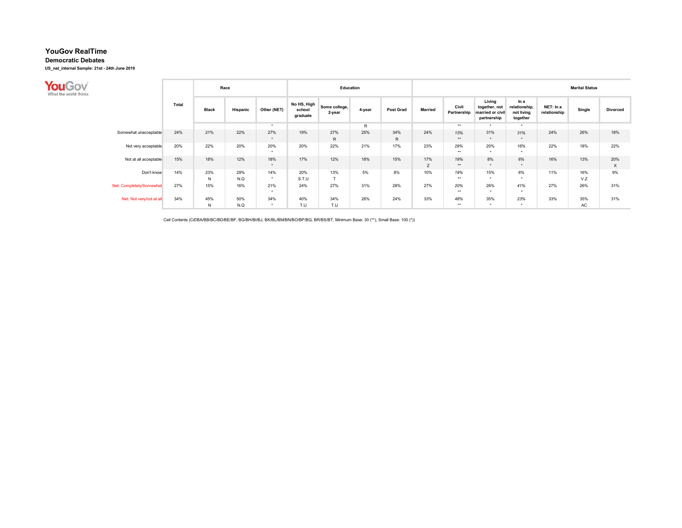Democratic Debates

US\_nat\_internal Sample: 21st - 24th June 2019

| What the world thinks    |       | Race                |            |                      |                                   | Education               |        |                  | <b>Marital Status</b> |                      |                                                            |                                                 |                           |            |                 |  |  |
|--------------------------|-------|---------------------|------------|----------------------|-----------------------------------|-------------------------|--------|------------------|-----------------------|----------------------|------------------------------------------------------------|-------------------------------------------------|---------------------------|------------|-----------------|--|--|
|                          | Total | <b>Black</b>        | Hispanic   | Other (NET)          | No HS, High<br>school<br>graduate | Some college,<br>2-year | 4-year | <b>Post Grad</b> | <b>Married</b>        | Civil<br>Partnership | Living<br>together, not<br>married or civil<br>partnership | In a<br>relationship,<br>not living<br>together | NET: In a<br>relationship | Single     | <b>Divorced</b> |  |  |
|                          |       |                     |            | . .                  |                                   |                         | R      |                  |                       | **                   | ۰                                                          | $\rightarrow$                                   |                           |            |                 |  |  |
| Somewhat unacceptable    | 24%   | 21%                 | 22%        | 27%<br>$\star$       | 19%                               | 27%<br>$\mathsf{R}$     | 25%    | 34%<br>R         | 24%                   | 13%<br>$***$         | 31%<br>$\star$                                             | 31%<br>$\star$                                  | 24%                       | 26%        | 18%             |  |  |
| Not very acceptable      | 20%   | 22%                 | 20%        | 20%<br>$\rightarrow$ | 20%                               | 22%                     | 21%    | 17%              | 23%                   | 29%<br>**            | 20%<br>$\star$                                             | 16%<br>$\star$                                  | 22%                       | 18%        | 22%             |  |  |
| Not at all acceptable    | 15%   | 18%                 | 12%        | 18%<br>. .           | 17%                               | 12%                     | 18%    | 15%              | 17%<br>z              | 19%<br>**            | 8%<br>$\ddot{\phantom{1}}$                                 | 6%<br>$\ddot{\phantom{1}}$                      | 16%                       | 13%        | 20%<br>X        |  |  |
| Don't know               | 14%   | 23%<br>$\mathsf{N}$ | 29%<br>N.Q | 14%<br>$\cdot$       | 20%<br>S.T.U                      | 13%<br>$\rightarrow$    | 5%     | 8%               | 10%                   | 19%<br>**            | 15%<br>$\bullet$                                           | 6%<br>$\rightarrow$                             | 11%                       | 16%<br>V.Z | 9%              |  |  |
| Net: Completely/Somewhat | 27%   | 15%                 | 16%        | 21%<br>$\cdot$       | 24%                               | 27%                     | 31%    | 28%              | 27%                   | 20%<br>**            | 26%<br>$\star$                                             | 41%<br>$\star$                                  | 27%                       | 26%        | 31%             |  |  |
| Net: Not very/not at all | 34%   | 45%<br>$\mathsf{N}$ | 50%<br>N.Q | 34%<br>$\cdot$       | 40%<br>T.U                        | 34%<br>T.U              | 26%    | 24%              | 33%                   | 48%<br>**            | 35%<br>$\ddot{\phantom{1}}$                                | 23%<br>$\star$                                  | 33%                       | 35%<br>AC  | 31%             |  |  |

Cell Contents (CZ/BA/BB/BC/BD/BE/BF, BG/BH/BI/BJ, BK/BL/BM/BN/BO/BP/BQ, BR/BS/BT, Minimum Base: 30 (\*\*), Small Base: 100 (\*))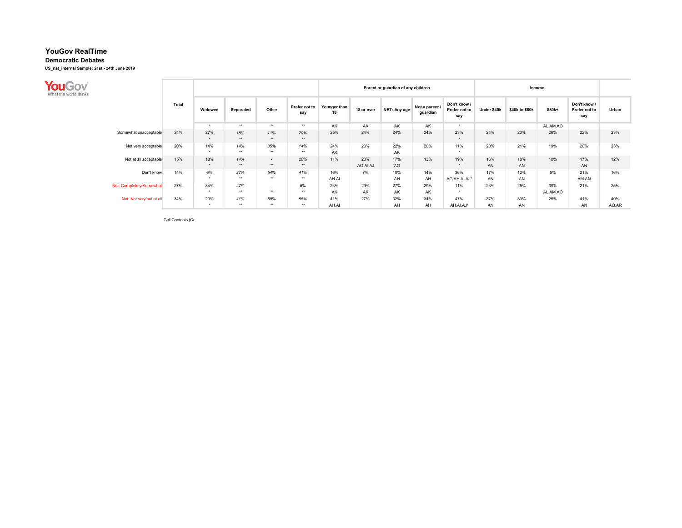Democratic Debates

US\_nat\_internal Sample: 21st - 24th June 2019

| What the world thinks    |              |                      |              |                 |                      |                    |                 | Parent or guardian of any children |                            |                                      |             |                |                 |                                      |              |
|--------------------------|--------------|----------------------|--------------|-----------------|----------------------|--------------------|-----------------|------------------------------------|----------------------------|--------------------------------------|-------------|----------------|-----------------|--------------------------------------|--------------|
|                          | <b>Total</b> | Widowed              | Separated    | Other           | Prefer not to<br>say | Younger than<br>18 | 18 or over      | NET: Any age                       | Not a parent /<br>guardian | Don't know /<br>Prefer not to<br>say | Under \$40k | \$40k to \$80k | \$80k+          | Don't know /<br>Prefer not to<br>say | Urban        |
|                          |              | $\rightarrow$        | $***$        | $***$           | **                   | AK                 | AK              | AK.                                | AK                         | $\cdot$                              |             |                | AL.AM.AO        |                                      |              |
| Somewhat unacceptable    | 24%          | 27%<br>$\star$       | 18%<br>$**$  | 11%<br>**       | 20%<br>**            | 25%                | 24%             | 24%                                | 24%                        | 23%<br>$\cdot$                       | 24%         | 23%            | 26%             | 22%                                  | 23%          |
| Not very acceptable      | 20%          | 14%<br>$\rightarrow$ | 14%<br>$***$ | 35%<br>$***$    | 14%<br>**            | 24%<br>AK          | 20%             | 22%<br>AK                          | 20%                        | 11%                                  | 20%         | 21%            | 19%             | 20%                                  | 23%          |
| Not at all acceptable    | 15%          | 18%<br>$\star$       | 14%<br>$***$ | $\sim$<br>$**$  | 20%<br>**            | 11%                | 20%<br>AG.AI.AJ | 17%<br>AG                          | 13%                        | 19%<br>$\cdot$                       | 16%<br>AN   | 18%<br>AN      | 10%             | 17%<br>AN                            | 12%          |
| Don't know               | 14%          | 6%<br>$\rightarrow$  | 27%<br>$***$ | 54%<br>$***$    | 41%<br>**            | 16%<br>AH.AI       | 7%              | 10%<br>AH                          | 14%<br>AH                  | 36%<br>AG.AH.AI.AJ*                  | 17%<br>AN   | 12%<br>AN      | 5%              | 21%<br>AM.AN                         | 16%          |
| Net: Completely/Somewhat | 27%          | 34%<br>$\rightarrow$ | 27%<br>$***$ | $\sim$<br>$***$ | 5%<br>**             | 23%<br>AK          | 29%<br>AK       | 27%<br>AK                          | 29%<br>AK                  | 11%<br>$\cdot$                       | 23%         | 25%            | 39%<br>AL.AM.AO | 21%                                  | 25%          |
| Net: Not very/not at all | 34%          | 20%<br>$\star$       | 41%<br>$***$ | 89%<br>$***$    | 55%<br>**            | 41%<br>AH.AI       | 27%             | 32%<br>AH                          | 34%<br>AH                  | 47%<br>AH.AI.AJ*                     | 37%<br>AN   | 33%<br>AN      | 25%             | 41%<br>AN                            | 40%<br>AQ.AR |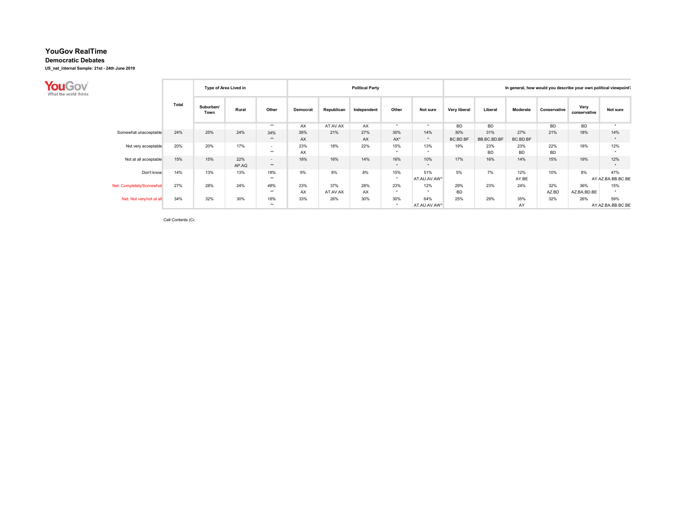Democratic Debates

US\_nat\_internal Sample: 21st - 24th June 2019

| What the world thinks    |       |                   | Type of Area Lived in |                 |           |                 | <b>Political Party</b> |                      |                             | In general, how would you describe your own political viewpoint's |                    |                  |                  |                      |                          |  |
|--------------------------|-------|-------------------|-----------------------|-----------------|-----------|-----------------|------------------------|----------------------|-----------------------------|-------------------------------------------------------------------|--------------------|------------------|------------------|----------------------|--------------------------|--|
|                          | Total | Suburban/<br>Town | Rural                 | Other           | Democrat  | Republican      | Independent            | Other                | Not sure                    | Very liberal                                                      | Liberal            | Moderate         | Conservative     | Very<br>conservative | Not sure                 |  |
|                          |       |                   |                       | $***$           | AX        | AT.AV.AX        | AX                     | $\bullet$            | ۰                           | <b>BD</b>                                                         | <b>BD</b>          |                  | <b>BD</b>        | <b>BD</b>            | $\cdot$                  |  |
| Somewhat unacceptable    | 24%   | 25%               | 24%                   | 34%<br>$**$     | 26%<br>AX | 21%             | 27%<br>AX              | 30%<br>$AX^*$        | 14%<br>$\star$              | 30%<br>BC.BD.BF                                                   | 31%<br>BB.BC.BD.BF | 27%<br>BC.BD.BF  | 21%              | 18%                  | 14%                      |  |
| Not very acceptable      | 20%   | 20%               | 17%                   | $\sim$<br>$***$ | 23%<br>AX | 18%             | 22%                    | 15%<br>$\rightarrow$ | 13%<br>$\ddot{\phantom{1}}$ | 19%                                                               | 23%<br><b>BD</b>   | 23%<br><b>BD</b> | 22%<br><b>BD</b> | 18%                  | 12%                      |  |
| Not at all acceptable    | 15%   | 15%               | 22%<br>AP.AQ          | $\sim$<br>$**$  | 18%       | 16%             | 14%                    | 16%<br>$\star$       | 10%<br>$\star$              | 17%                                                               | 16%                | 14%              | 15%              | 19%                  | 12%                      |  |
| Don't know               | 14%   | 13%               | 13%                   | 18%<br>$**$     | 9%        | 8%              | 8%                     | 15%<br>$\star$       | 51%<br>AT.AU.AV.AW*         | 5%                                                                | 7%                 | 12%<br>AY.BE     | 10%              | 8%                   | 47%<br>AY.AZ.BA.BB.BC.BE |  |
| Net: Completely/Somewhat | 27%   | 28%               | 24%                   | 48%<br>$***$    | 23%<br>AX | 37%<br>AT.AV.AX | 28%<br>AX              | 23%<br>$\star$       | 12%<br>$\cdot$              | 29%<br><b>BD</b>                                                  | 23%                | 24%              | 32%<br>AZ.BD     | 36%<br>AZ.BA.BD.BE   | 15%<br>$\cdot$           |  |
| Net: Not very/not at all | 34%   | 32%               | 30%                   | 18%<br>$***$    | 33%       | 26%             | 30%                    | 30%<br>$\star$       | 64%                         | 25%                                                               | 29%                | 35%              | 32%              | 26%                  | 59%                      |  |
|                          |       |                   |                       |                 |           |                 |                        |                      | AT.AU.AV.AW*                |                                                                   |                    | AY               |                  |                      | AY.AZ.BA.BB.BC.BE        |  |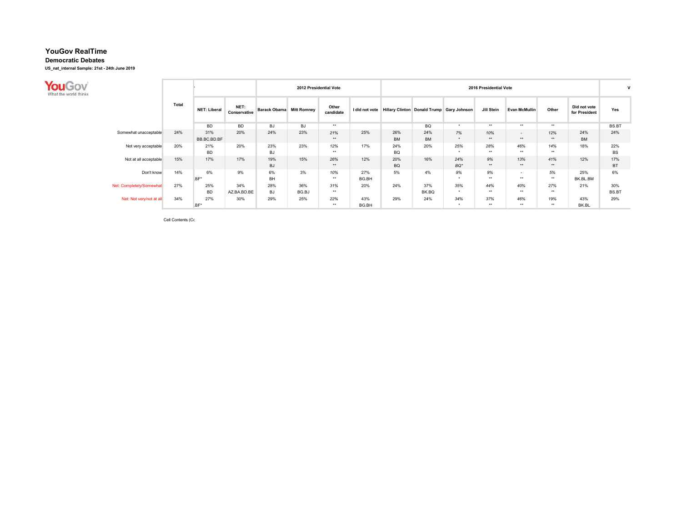Democratic Debates

US\_nat\_internal Sample: 21st - 24th June 2019

| What the world thinks    |              |                     |                      |                                 |              | 2012 Presidential Vote |              | 2016 Presidential Vote |                  |                                                          |                       |                      |              |                               |                  |
|--------------------------|--------------|---------------------|----------------------|---------------------------------|--------------|------------------------|--------------|------------------------|------------------|----------------------------------------------------------|-----------------------|----------------------|--------------|-------------------------------|------------------|
|                          | <b>Total</b> | <b>NET: Liberal</b> | NET:<br>Conservative | <b>Barack Obama</b> Mitt Romney |              | Other<br>candidate     |              |                        |                  | I did not vote Hillary Clinton Donald Trump Gary Johnson | Jill Stein            | <b>Evan McMullin</b> | Other        | Did not vote<br>for President | Yes              |
|                          |              | <b>BD</b>           | <b>BD</b>            | BJ                              | BJ           | $***$                  |              |                        | BQ               | $\bullet$                                                | **                    | $***$                | $***$        |                               | BS.BT            |
| Somewhat unacceptable    | 24%          | 31%<br>BB.BC.BD.BF  | 20%                  | 24%                             | 23%          | 21%<br>$***$           | 25%          | 26%<br><b>BM</b>       | 24%<br><b>BM</b> | 7%<br>$\star$                                            | 10%<br>$**$           | $\sim$<br>$**$       | 12%<br>**    | 24%<br><b>BM</b>              | 24%              |
| Not very acceptable      | 20%          | 21%<br><b>BD</b>    | 20%                  | 23%<br><b>BJ</b>                | 23%          | 12%<br>**              | 17%          | 24%<br>BQ              | 20%              | 25%<br>$\bullet$                                         | 28%<br>-88            | 46%<br>$***$         | 14%<br>$***$ | 18%                           | 22%<br><b>BS</b> |
| Not at all acceptable    | 15%          | 17%                 | 17%                  | 19%<br><b>BJ</b>                | 15%          | 26%<br>$***$           | 12%          | 20%<br><b>BQ</b>       | 16%              | 24%<br>$BQ^*$                                            | 9%<br>**              | 13%<br>**            | 41%<br>**    | 12%                           | 17%<br><b>BT</b> |
| Don't know               | 14%          | 6%<br>$BF^*$        | 9%                   | 6%<br><b>BH</b>                 | 3%           | 10%<br>$***$           | 27%<br>BG.BH | 5%                     | 4%               | 9%<br>$\star$                                            | 9%<br>$^{\star\star}$ | $\sim$<br>$***$      | 5%<br>$***$  | 25%<br>BK.BL.BM               | 6%               |
| Net: Completely/Somewhat | 27%          | 25%<br><b>BD</b>    | 34%<br>AZ.BA.BD.BE   | 28%<br><b>BJ</b>                | 36%<br>BG.BJ | 31%<br>$***$           | 20%          | 24%                    | 37%<br>BK.BQ     | 35%<br>$\star$                                           | 44%<br>**             | 40%<br>$***$         | 27%<br>$***$ | 21%                           | 30%<br>BS.BT     |
| Net: Not very/not at all | 34%          | 27%                 | 30%                  | 29%                             | 25%          | 22%                    | 43%          | 29%                    | 24%              | 34%                                                      | 37%                   | 46%                  | 19%          | 43%                           | 29%              |
|                          |              | $ BF^* $            |                      |                                 |              | $***$                  | BG.BH        |                        |                  | $\star$                                                  | -88                   | $***$                | $***$        | BK.BL                         |                  |